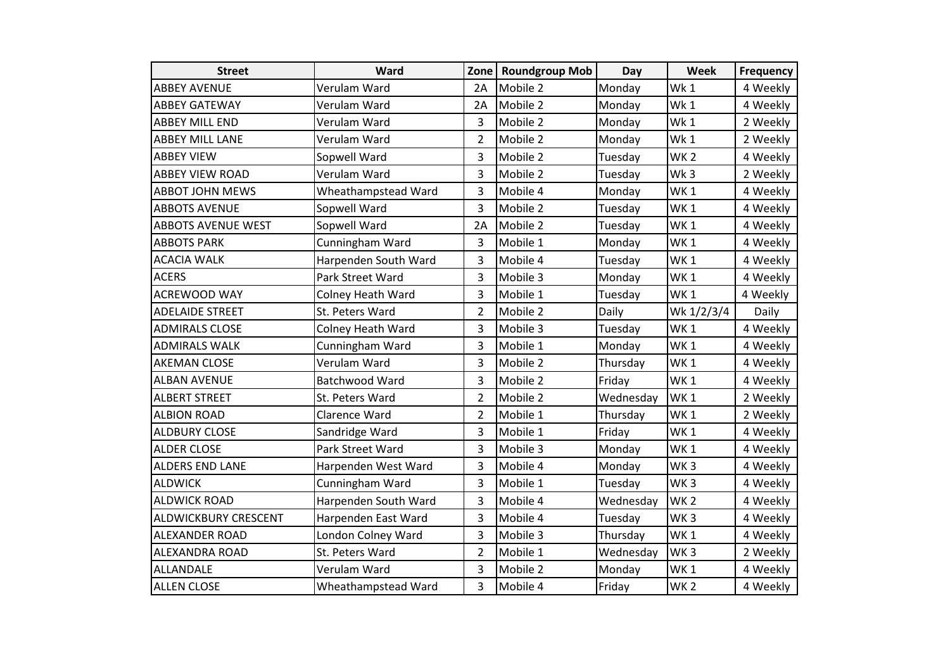| <b>Street</b>               | Ward                 |                | Zone   Roundgroup Mob | Day       | Week            | <b>Frequency</b> |
|-----------------------------|----------------------|----------------|-----------------------|-----------|-----------------|------------------|
| <b>ABBEY AVENUE</b>         | Verulam Ward         | 2A             | Mobile 2              | Monday    | Wk1             | 4 Weekly         |
| <b>ABBEY GATEWAY</b>        | Verulam Ward         | 2A             | Mobile 2              | Monday    | Wk1             | 4 Weekly         |
| <b>ABBEY MILL END</b>       | Verulam Ward         | 3              | Mobile 2              | Monday    | Wk1             | 2 Weekly         |
| <b>ABBEY MILL LANE</b>      | Verulam Ward         | $\overline{2}$ | Mobile 2              | Monday    | Wk1             | 2 Weekly         |
| <b>ABBEY VIEW</b>           | Sopwell Ward         | 3              | Mobile 2              | Tuesday   | WK <sub>2</sub> | 4 Weekly         |
| <b>ABBEY VIEW ROAD</b>      | Verulam Ward         | 3              | Mobile 2              | Tuesday   | Wk3             | 2 Weekly         |
| <b>ABBOT JOHN MEWS</b>      | Wheathampstead Ward  | 3              | Mobile 4              | Monday    | WK <sub>1</sub> | 4 Weekly         |
| <b>ABBOTS AVENUE</b>        | Sopwell Ward         | 3              | Mobile 2              | Tuesday   | WK <sub>1</sub> | 4 Weekly         |
| <b>ABBOTS AVENUE WEST</b>   | Sopwell Ward         | 2A             | Mobile 2              | Tuesday   | WK1             | 4 Weekly         |
| <b>ABBOTS PARK</b>          | Cunningham Ward      | 3              | Mobile 1              | Monday    | WK <sub>1</sub> | 4 Weekly         |
| <b>ACACIA WALK</b>          | Harpenden South Ward | 3              | Mobile 4              | Tuesday   | WK <sub>1</sub> | 4 Weekly         |
| <b>ACERS</b>                | Park Street Ward     | 3              | Mobile 3              | Monday    | WK <sub>1</sub> | 4 Weekly         |
| <b>ACREWOOD WAY</b>         | Colney Heath Ward    | 3              | Mobile 1              | Tuesday   | WK <sub>1</sub> | 4 Weekly         |
| <b>ADELAIDE STREET</b>      | St. Peters Ward      | $\overline{2}$ | Mobile 2              | Daily     | Wk 1/2/3/4      | Daily            |
| <b>ADMIRALS CLOSE</b>       | Colney Heath Ward    | 3              | Mobile 3              | Tuesday   | WK <sub>1</sub> | 4 Weekly         |
| <b>ADMIRALS WALK</b>        | Cunningham Ward      | 3              | Mobile 1              | Monday    | WK1             | 4 Weekly         |
| <b>AKEMAN CLOSE</b>         | Verulam Ward         | 3              | Mobile 2              | Thursday  | WK1             | 4 Weekly         |
| <b>ALBAN AVENUE</b>         | Batchwood Ward       | 3              | Mobile 2              | Friday    | WK <sub>1</sub> | 4 Weekly         |
| <b>ALBERT STREET</b>        | St. Peters Ward      | $\overline{2}$ | Mobile 2              | Wednesday | WK <sub>1</sub> | 2 Weekly         |
| <b>ALBION ROAD</b>          | Clarence Ward        | $\overline{2}$ | Mobile 1              | Thursday  | WK <sub>1</sub> | 2 Weekly         |
| <b>ALDBURY CLOSE</b>        | Sandridge Ward       | 3              | Mobile 1              | Friday    | WK <sub>1</sub> | 4 Weekly         |
| <b>ALDER CLOSE</b>          | Park Street Ward     | 3              | Mobile 3              | Monday    | WK <sub>1</sub> | 4 Weekly         |
| <b>ALDERS END LANE</b>      | Harpenden West Ward  | 3              | Mobile 4              | Monday    | WK <sub>3</sub> | 4 Weekly         |
| <b>ALDWICK</b>              | Cunningham Ward      | 3              | Mobile 1              | Tuesday   | WK <sub>3</sub> | 4 Weekly         |
| <b>ALDWICK ROAD</b>         | Harpenden South Ward | 3              | Mobile 4              | Wednesday | WK <sub>2</sub> | 4 Weekly         |
| <b>ALDWICKBURY CRESCENT</b> | Harpenden East Ward  | 3              | Mobile 4              | Tuesday   | WK <sub>3</sub> | 4 Weekly         |
| <b>ALEXANDER ROAD</b>       | London Colney Ward   | 3              | Mobile 3              | Thursday  | WK <sub>1</sub> | 4 Weekly         |
| <b>ALEXANDRA ROAD</b>       | St. Peters Ward      | $\overline{2}$ | Mobile 1              | Wednesday | WK <sub>3</sub> | 2 Weekly         |
| ALLANDALE                   | Verulam Ward         | 3              | Mobile 2              | Monday    | WK <sub>1</sub> | 4 Weekly         |
| <b>ALLEN CLOSE</b>          | Wheathampstead Ward  | 3              | Mobile 4              | Friday    | WK <sub>2</sub> | 4 Weekly         |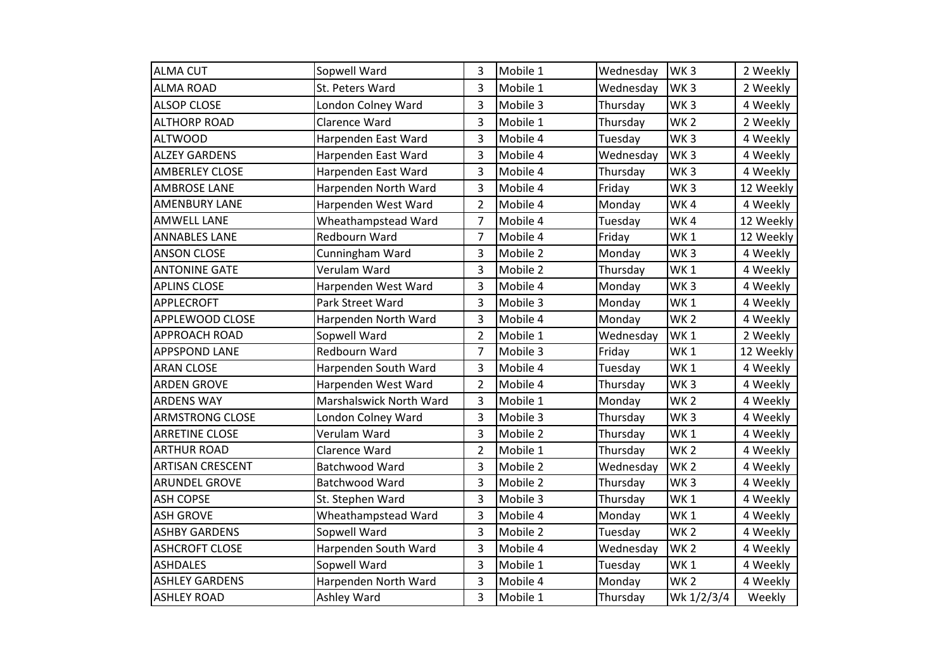| <b>ALMA CUT</b>         | Sopwell Ward            | 3              | Mobile 1 | Wednesday | WK <sub>3</sub> | 2 Weekly  |
|-------------------------|-------------------------|----------------|----------|-----------|-----------------|-----------|
| <b>ALMA ROAD</b>        | St. Peters Ward         | 3              | Mobile 1 | Wednesday | WK <sub>3</sub> | 2 Weekly  |
| <b>ALSOP CLOSE</b>      | London Colney Ward      | 3              | Mobile 3 | Thursday  | WK <sub>3</sub> | 4 Weekly  |
| <b>ALTHORP ROAD</b>     | Clarence Ward           | 3              | Mobile 1 | Thursday  | WK <sub>2</sub> | 2 Weekly  |
| <b>ALTWOOD</b>          | Harpenden East Ward     | 3              | Mobile 4 | Tuesday   | WK <sub>3</sub> | 4 Weekly  |
| <b>ALZEY GARDENS</b>    | Harpenden East Ward     | 3              | Mobile 4 | Wednesday | WK <sub>3</sub> | 4 Weekly  |
| <b>AMBERLEY CLOSE</b>   | Harpenden East Ward     | 3              | Mobile 4 | Thursday  | WK <sub>3</sub> | 4 Weekly  |
| <b>AMBROSE LANE</b>     | Harpenden North Ward    | 3              | Mobile 4 | Friday    | WK <sub>3</sub> | 12 Weekly |
| <b>AMENBURY LANE</b>    | Harpenden West Ward     | $\overline{2}$ | Mobile 4 | Monday    | WK4             | 4 Weekly  |
| <b>AMWELL LANE</b>      | Wheathampstead Ward     | 7              | Mobile 4 | Tuesday   | WK4             | 12 Weekly |
| <b>ANNABLES LANE</b>    | Redbourn Ward           | $\overline{7}$ | Mobile 4 | Friday    | WK <sub>1</sub> | 12 Weekly |
| <b>ANSON CLOSE</b>      | Cunningham Ward         | 3              | Mobile 2 | Monday    | WK <sub>3</sub> | 4 Weekly  |
| <b>ANTONINE GATE</b>    | Verulam Ward            | 3              | Mobile 2 | Thursday  | WK <sub>1</sub> | 4 Weekly  |
| <b>APLINS CLOSE</b>     | Harpenden West Ward     | 3              | Mobile 4 | Monday    | WK <sub>3</sub> | 4 Weekly  |
| <b>APPLECROFT</b>       | Park Street Ward        | 3              | Mobile 3 | Monday    | WK <sub>1</sub> | 4 Weekly  |
| APPLEWOOD CLOSE         | Harpenden North Ward    | 3              | Mobile 4 | Monday    | WK <sub>2</sub> | 4 Weekly  |
| <b>APPROACH ROAD</b>    | Sopwell Ward            | $\overline{2}$ | Mobile 1 | Wednesday | WK <sub>1</sub> | 2 Weekly  |
| <b>APPSPOND LANE</b>    | <b>Redbourn Ward</b>    | $\overline{7}$ | Mobile 3 | Friday    | WK <sub>1</sub> | 12 Weekly |
| <b>ARAN CLOSE</b>       | Harpenden South Ward    | 3              | Mobile 4 | Tuesday   | WK <sub>1</sub> | 4 Weekly  |
| <b>ARDEN GROVE</b>      | Harpenden West Ward     | $\overline{2}$ | Mobile 4 | Thursday  | WK <sub>3</sub> | 4 Weekly  |
| <b>ARDENS WAY</b>       | Marshalswick North Ward | 3              | Mobile 1 | Monday    | WK <sub>2</sub> | 4 Weekly  |
| <b>ARMSTRONG CLOSE</b>  | London Colney Ward      | 3              | Mobile 3 | Thursday  | WK <sub>3</sub> | 4 Weekly  |
| <b>ARRETINE CLOSE</b>   | Verulam Ward            | 3              | Mobile 2 | Thursday  | WK <sub>1</sub> | 4 Weekly  |
| <b>ARTHUR ROAD</b>      | Clarence Ward           | $\overline{2}$ | Mobile 1 | Thursday  | WK <sub>2</sub> | 4 Weekly  |
| <b>ARTISAN CRESCENT</b> | Batchwood Ward          | 3              | Mobile 2 | Wednesday | WK <sub>2</sub> | 4 Weekly  |
| <b>ARUNDEL GROVE</b>    | Batchwood Ward          | 3              | Mobile 2 | Thursday  | WK <sub>3</sub> | 4 Weekly  |
| <b>ASH COPSE</b>        | St. Stephen Ward        | 3              | Mobile 3 | Thursday  | WK <sub>1</sub> | 4 Weekly  |
| <b>ASH GROVE</b>        | Wheathampstead Ward     | 3              | Mobile 4 | Monday    | WK <sub>1</sub> | 4 Weekly  |
| <b>ASHBY GARDENS</b>    | Sopwell Ward            | 3              | Mobile 2 | Tuesday   | WK <sub>2</sub> | 4 Weekly  |
| <b>ASHCROFT CLOSE</b>   | Harpenden South Ward    | 3              | Mobile 4 | Wednesday | WK <sub>2</sub> | 4 Weekly  |
| <b>ASHDALES</b>         | Sopwell Ward            | 3              | Mobile 1 | Tuesday   | WK <sub>1</sub> | 4 Weekly  |
| <b>ASHLEY GARDENS</b>   | Harpenden North Ward    | 3              | Mobile 4 | Monday    | WK <sub>2</sub> | 4 Weekly  |
| <b>ASHLEY ROAD</b>      | Ashley Ward             | 3              | Mobile 1 | Thursday  | Wk 1/2/3/4      | Weekly    |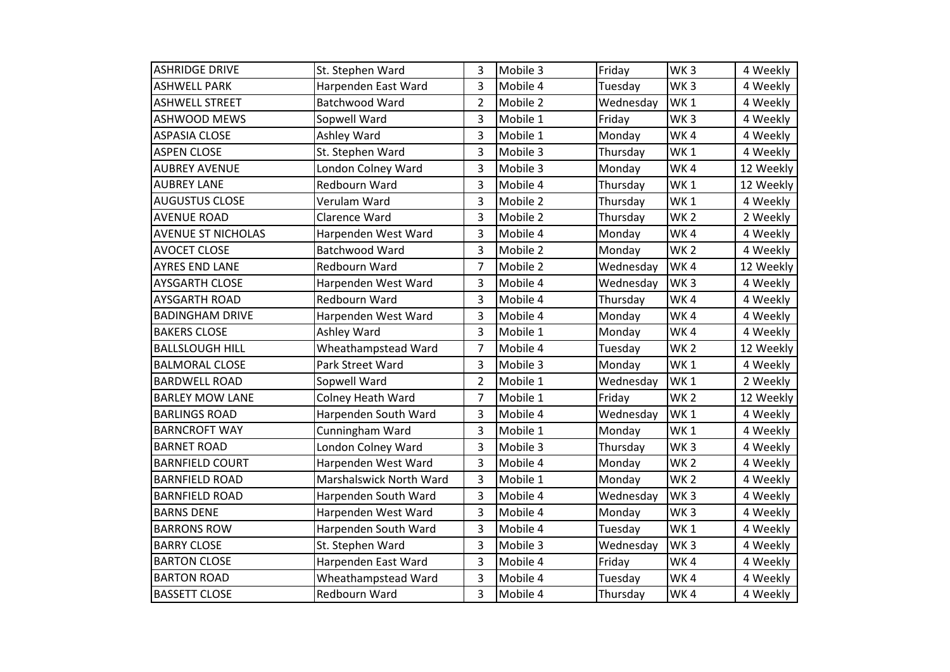| <b>ASHRIDGE DRIVE</b>     | St. Stephen Ward         | 3              | Mobile 3 | Friday    | WK <sub>3</sub> | 4 Weekly  |
|---------------------------|--------------------------|----------------|----------|-----------|-----------------|-----------|
| <b>ASHWELL PARK</b>       | Harpenden East Ward      | 3              | Mobile 4 | Tuesday   | WK <sub>3</sub> | 4 Weekly  |
| <b>ASHWELL STREET</b>     | Batchwood Ward           | 2              | Mobile 2 | Wednesday | WK <sub>1</sub> | 4 Weekly  |
| <b>ASHWOOD MEWS</b>       | Sopwell Ward             | 3              | Mobile 1 | Friday    | WK <sub>3</sub> | 4 Weekly  |
| <b>ASPASIA CLOSE</b>      | Ashley Ward              | 3              | Mobile 1 | Monday    | WK4             | 4 Weekly  |
| <b>ASPEN CLOSE</b>        | St. Stephen Ward         | 3              | Mobile 3 | Thursday  | WK <sub>1</sub> | 4 Weekly  |
| <b>AUBREY AVENUE</b>      | London Colney Ward       | 3              | Mobile 3 | Monday    | WK4             | 12 Weekly |
| <b>AUBREY LANE</b>        | Redbourn Ward            | 3              | Mobile 4 | Thursday  | WK <sub>1</sub> | 12 Weekly |
| <b>AUGUSTUS CLOSE</b>     | Verulam Ward             | 3              | Mobile 2 | Thursday  | WK <sub>1</sub> | 4 Weekly  |
| <b>AVENUE ROAD</b>        | Clarence Ward            | 3              | Mobile 2 | Thursday  | WK <sub>2</sub> | 2 Weekly  |
| <b>AVENUE ST NICHOLAS</b> | Harpenden West Ward      | 3              | Mobile 4 | Monday    | WK4             | 4 Weekly  |
| <b>AVOCET CLOSE</b>       | Batchwood Ward           | 3              | Mobile 2 | Monday    | WK <sub>2</sub> | 4 Weekly  |
| <b>AYRES END LANE</b>     | Redbourn Ward            | 7              | Mobile 2 | Wednesday | WK4             | 12 Weekly |
| <b>AYSGARTH CLOSE</b>     | Harpenden West Ward      | 3              | Mobile 4 | Wednesday | WK <sub>3</sub> | 4 Weekly  |
| <b>AYSGARTH ROAD</b>      | Redbourn Ward            | 3              | Mobile 4 | Thursday  | WK4             | 4 Weekly  |
| <b>BADINGHAM DRIVE</b>    | Harpenden West Ward      | 3              | Mobile 4 | Monday    | WK4             | 4 Weekly  |
| <b>BAKERS CLOSE</b>       | Ashley Ward              | 3              | Mobile 1 | Monday    | WK4             | 4 Weekly  |
| <b>BALLSLOUGH HILL</b>    | Wheathampstead Ward      | 7              | Mobile 4 | Tuesday   | WK <sub>2</sub> | 12 Weekly |
| <b>BALMORAL CLOSE</b>     | Park Street Ward         | 3              | Mobile 3 | Monday    | WK1             | 4 Weekly  |
| <b>BARDWELL ROAD</b>      | Sopwell Ward             | $\overline{2}$ | Mobile 1 | Wednesday | WK <sub>1</sub> | 2 Weekly  |
| <b>BARLEY MOW LANE</b>    | <b>Colney Heath Ward</b> | $\overline{7}$ | Mobile 1 | Friday    | WK <sub>2</sub> | 12 Weekly |
| <b>BARLINGS ROAD</b>      | Harpenden South Ward     | 3              | Mobile 4 | Wednesday | WK <sub>1</sub> | 4 Weekly  |
| <b>BARNCROFT WAY</b>      | Cunningham Ward          | 3              | Mobile 1 | Monday    | WK <sub>1</sub> | 4 Weekly  |
| <b>BARNET ROAD</b>        | London Colney Ward       | 3              | Mobile 3 | Thursday  | WK <sub>3</sub> | 4 Weekly  |
| <b>BARNFIELD COURT</b>    | Harpenden West Ward      | 3              | Mobile 4 | Monday    | WK <sub>2</sub> | 4 Weekly  |
| <b>BARNFIELD ROAD</b>     | Marshalswick North Ward  | 3              | Mobile 1 | Monday    | WK <sub>2</sub> | 4 Weekly  |
| <b>BARNFIELD ROAD</b>     | Harpenden South Ward     | 3              | Mobile 4 | Wednesday | WK <sub>3</sub> | 4 Weekly  |
| <b>BARNS DENE</b>         | Harpenden West Ward      | 3              | Mobile 4 | Monday    | WK <sub>3</sub> | 4 Weekly  |
| <b>BARRONS ROW</b>        | Harpenden South Ward     | 3              | Mobile 4 | Tuesday   | WK <sub>1</sub> | 4 Weekly  |
| <b>BARRY CLOSE</b>        | St. Stephen Ward         | 3              | Mobile 3 | Wednesday | WK <sub>3</sub> | 4 Weekly  |
| <b>BARTON CLOSE</b>       | Harpenden East Ward      | 3              | Mobile 4 | Friday    | WK4             | 4 Weekly  |
| <b>BARTON ROAD</b>        | Wheathampstead Ward      | 3              | Mobile 4 | Tuesday   | WK4             | 4 Weekly  |
| <b>BASSETT CLOSE</b>      | Redbourn Ward            | 3              | Mobile 4 | Thursday  | WK4             | 4 Weekly  |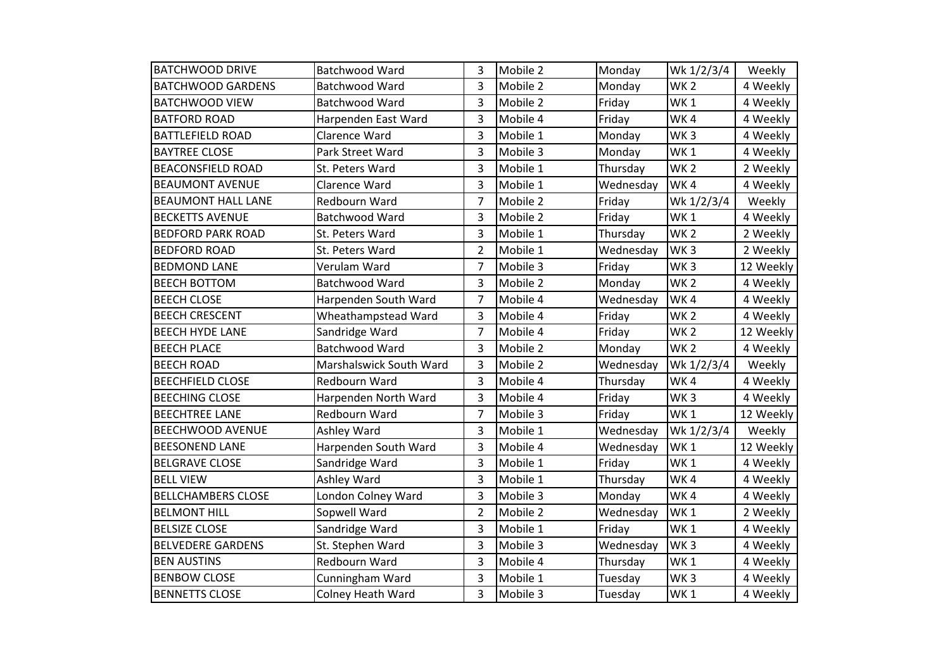| <b>BATCHWOOD DRIVE</b>    | Batchwood Ward           | 3              | Mobile 2 | Monday    | Wk 1/2/3/4      | Weekly    |
|---------------------------|--------------------------|----------------|----------|-----------|-----------------|-----------|
| <b>BATCHWOOD GARDENS</b>  | Batchwood Ward           | 3              | Mobile 2 | Monday    | WK <sub>2</sub> | 4 Weekly  |
| <b>BATCHWOOD VIEW</b>     | Batchwood Ward           | 3              | Mobile 2 | Friday    | WK <sub>1</sub> | 4 Weekly  |
| <b>BATFORD ROAD</b>       | Harpenden East Ward      | 3              | Mobile 4 | Friday    | WK4             | 4 Weekly  |
| <b>BATTLEFIELD ROAD</b>   | Clarence Ward            | 3              | Mobile 1 | Monday    | WK <sub>3</sub> | 4 Weekly  |
| <b>BAYTREE CLOSE</b>      | Park Street Ward         | 3              | Mobile 3 | Monday    | WK <sub>1</sub> | 4 Weekly  |
| <b>BEACONSFIELD ROAD</b>  | St. Peters Ward          | 3              | Mobile 1 | Thursday  | WK <sub>2</sub> | 2 Weekly  |
| <b>BEAUMONT AVENUE</b>    | Clarence Ward            | 3              | Mobile 1 | Wednesday | WK4             | 4 Weekly  |
| <b>BEAUMONT HALL LANE</b> | Redbourn Ward            | 7              | Mobile 2 | Friday    | Wk 1/2/3/4      | Weekly    |
| <b>BECKETTS AVENUE</b>    | Batchwood Ward           | 3              | Mobile 2 | Friday    | WK <sub>1</sub> | 4 Weekly  |
| <b>BEDFORD PARK ROAD</b>  | St. Peters Ward          | 3              | Mobile 1 | Thursday  | WK <sub>2</sub> | 2 Weekly  |
| <b>BEDFORD ROAD</b>       | St. Peters Ward          | $\overline{2}$ | Mobile 1 | Wednesday | WK <sub>3</sub> | 2 Weekly  |
| <b>BEDMOND LANE</b>       | Verulam Ward             | 7              | Mobile 3 | Friday    | WK <sub>3</sub> | 12 Weekly |
| <b>BEECH BOTTOM</b>       | Batchwood Ward           | 3              | Mobile 2 | Monday    | WK <sub>2</sub> | 4 Weekly  |
| <b>BEECH CLOSE</b>        | Harpenden South Ward     | $\overline{7}$ | Mobile 4 | Wednesday | WK4             | 4 Weekly  |
| <b>BEECH CRESCENT</b>     | Wheathampstead Ward      | 3              | Mobile 4 | Friday    | WK <sub>2</sub> | 4 Weekly  |
| <b>BEECH HYDE LANE</b>    | Sandridge Ward           | $\overline{7}$ | Mobile 4 | Friday    | WK <sub>2</sub> | 12 Weekly |
| <b>BEECH PLACE</b>        | Batchwood Ward           | 3              | Mobile 2 | Monday    | WK <sub>2</sub> | 4 Weekly  |
| <b>BEECH ROAD</b>         | Marshalswick South Ward  | 3              | Mobile 2 | Wednesday | Wk 1/2/3/4      | Weekly    |
| <b>BEECHFIELD CLOSE</b>   | Redbourn Ward            | 3              | Mobile 4 | Thursday  | WK4             | 4 Weekly  |
| <b>BEECHING CLOSE</b>     | Harpenden North Ward     | 3              | Mobile 4 | Friday    | WK <sub>3</sub> | 4 Weekly  |
| <b>BEECHTREE LANE</b>     | Redbourn Ward            | $\overline{7}$ | Mobile 3 | Friday    | WK <sub>1</sub> | 12 Weekly |
| <b>BEECHWOOD AVENUE</b>   | Ashley Ward              | 3              | Mobile 1 | Wednesday | Wk 1/2/3/4      | Weekly    |
| <b>BEESONEND LANE</b>     | Harpenden South Ward     | 3              | Mobile 4 | Wednesday | WK <sub>1</sub> | 12 Weekly |
| <b>BELGRAVE CLOSE</b>     | Sandridge Ward           | 3              | Mobile 1 | Friday    | WK <sub>1</sub> | 4 Weekly  |
| <b>BELL VIEW</b>          | Ashley Ward              | 3              | Mobile 1 | Thursday  | WK4             | 4 Weekly  |
| <b>BELLCHAMBERS CLOSE</b> | London Colney Ward       | 3              | Mobile 3 | Monday    | WK4             | 4 Weekly  |
| <b>BELMONT HILL</b>       | Sopwell Ward             | $\overline{2}$ | Mobile 2 | Wednesday | WK <sub>1</sub> | 2 Weekly  |
| <b>BELSIZE CLOSE</b>      | Sandridge Ward           | 3              | Mobile 1 | Friday    | WK <sub>1</sub> | 4 Weekly  |
| <b>BELVEDERE GARDENS</b>  | St. Stephen Ward         | 3              | Mobile 3 | Wednesday | WK <sub>3</sub> | 4 Weekly  |
| <b>BEN AUSTINS</b>        | <b>Redbourn Ward</b>     | 3              | Mobile 4 | Thursday  | WK <sub>1</sub> | 4 Weekly  |
| <b>BENBOW CLOSE</b>       | Cunningham Ward          | 3              | Mobile 1 | Tuesday   | WK <sub>3</sub> | 4 Weekly  |
| <b>BENNETTS CLOSE</b>     | <b>Colney Heath Ward</b> | 3              | Mobile 3 | Tuesday   | WK <sub>1</sub> | 4 Weekly  |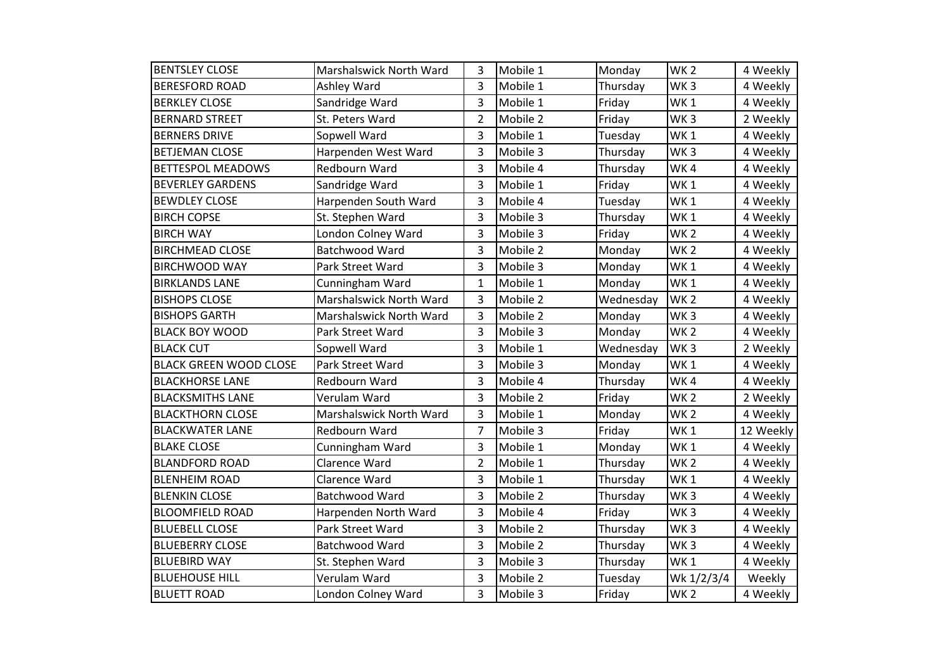| <b>BENTSLEY CLOSE</b>         | Marshalswick North Ward | 3              | Mobile 1 | Monday    | WK <sub>2</sub> | 4 Weekly  |
|-------------------------------|-------------------------|----------------|----------|-----------|-----------------|-----------|
| <b>BERESFORD ROAD</b>         | Ashley Ward             | 3              | Mobile 1 | Thursday  | WK <sub>3</sub> | 4 Weekly  |
| <b>BERKLEY CLOSE</b>          | Sandridge Ward          | 3              | Mobile 1 | Friday    | WK <sub>1</sub> | 4 Weekly  |
| <b>BERNARD STREET</b>         | St. Peters Ward         | $\overline{2}$ | Mobile 2 | Friday    | WK <sub>3</sub> | 2 Weekly  |
| <b>BERNERS DRIVE</b>          | Sopwell Ward            | 3              | Mobile 1 | Tuesday   | WK <sub>1</sub> | 4 Weekly  |
| <b>BETJEMAN CLOSE</b>         | Harpenden West Ward     | 3              | Mobile 3 | Thursday  | WK <sub>3</sub> | 4 Weekly  |
| <b>BETTESPOL MEADOWS</b>      | Redbourn Ward           | 3              | Mobile 4 | Thursday  | WK4             | 4 Weekly  |
| <b>BEVERLEY GARDENS</b>       | Sandridge Ward          | 3              | Mobile 1 | Friday    | WK <sub>1</sub> | 4 Weekly  |
| <b>BEWDLEY CLOSE</b>          | Harpenden South Ward    | 3              | Mobile 4 | Tuesday   | WK <sub>1</sub> | 4 Weekly  |
| <b>BIRCH COPSE</b>            | St. Stephen Ward        | 3              | Mobile 3 | Thursday  | WK <sub>1</sub> | 4 Weekly  |
| <b>BIRCH WAY</b>              | London Colney Ward      | 3              | Mobile 3 | Friday    | WK <sub>2</sub> | 4 Weekly  |
| <b>BIRCHMEAD CLOSE</b>        | Batchwood Ward          | 3              | Mobile 2 | Monday    | WK <sub>2</sub> | 4 Weekly  |
| <b>BIRCHWOOD WAY</b>          | Park Street Ward        | 3              | Mobile 3 | Monday    | WK <sub>1</sub> | 4 Weekly  |
| <b>BIRKLANDS LANE</b>         | Cunningham Ward         | $\mathbf{1}$   | Mobile 1 | Monday    | WK <sub>1</sub> | 4 Weekly  |
| <b>BISHOPS CLOSE</b>          | Marshalswick North Ward | 3              | Mobile 2 | Wednesday | WK <sub>2</sub> | 4 Weekly  |
| <b>BISHOPS GARTH</b>          | Marshalswick North Ward | 3              | Mobile 2 | Monday    | WK <sub>3</sub> | 4 Weekly  |
| <b>BLACK BOY WOOD</b>         | Park Street Ward        | 3              | Mobile 3 | Monday    | WK <sub>2</sub> | 4 Weekly  |
| <b>BLACK CUT</b>              | Sopwell Ward            | 3              | Mobile 1 | Wednesday | WK <sub>3</sub> | 2 Weekly  |
| <b>BLACK GREEN WOOD CLOSE</b> | Park Street Ward        | 3              | Mobile 3 | Monday    | WK1             | 4 Weekly  |
| <b>BLACKHORSE LANE</b>        | Redbourn Ward           | 3              | Mobile 4 | Thursday  | WK4             | 4 Weekly  |
| <b>BLACKSMITHS LANE</b>       | Verulam Ward            | 3              | Mobile 2 | Friday    | WK <sub>2</sub> | 2 Weekly  |
| <b>BLACKTHORN CLOSE</b>       | Marshalswick North Ward | 3              | Mobile 1 | Monday    | WK <sub>2</sub> | 4 Weekly  |
| <b>BLACKWATER LANE</b>        | Redbourn Ward           | $\overline{7}$ | Mobile 3 | Friday    | WK <sub>1</sub> | 12 Weekly |
| <b>BLAKE CLOSE</b>            | Cunningham Ward         | 3              | Mobile 1 | Monday    | WK <sub>1</sub> | 4 Weekly  |
| <b>BLANDFORD ROAD</b>         | Clarence Ward           | $\overline{2}$ | Mobile 1 | Thursday  | WK <sub>2</sub> | 4 Weekly  |
| <b>BLENHEIM ROAD</b>          | Clarence Ward           | 3              | Mobile 1 | Thursday  | WK <sub>1</sub> | 4 Weekly  |
| <b>BLENKIN CLOSE</b>          | Batchwood Ward          | 3              | Mobile 2 | Thursday  | WK <sub>3</sub> | 4 Weekly  |
| <b>BLOOMFIELD ROAD</b>        | Harpenden North Ward    | 3              | Mobile 4 | Friday    | WK <sub>3</sub> | 4 Weekly  |
| <b>BLUEBELL CLOSE</b>         | Park Street Ward        | 3              | Mobile 2 | Thursday  | WK <sub>3</sub> | 4 Weekly  |
| <b>BLUEBERRY CLOSE</b>        | Batchwood Ward          | 3              | Mobile 2 | Thursday  | WK <sub>3</sub> | 4 Weekly  |
| <b>BLUEBIRD WAY</b>           | St. Stephen Ward        | 3              | Mobile 3 | Thursday  | WK <sub>1</sub> | 4 Weekly  |
| <b>BLUEHOUSE HILL</b>         | Verulam Ward            | 3              | Mobile 2 | Tuesday   | Wk 1/2/3/4      | Weekly    |
| <b>BLUETT ROAD</b>            | London Colney Ward      | 3              | Mobile 3 | Friday    | <b>WK2</b>      | 4 Weekly  |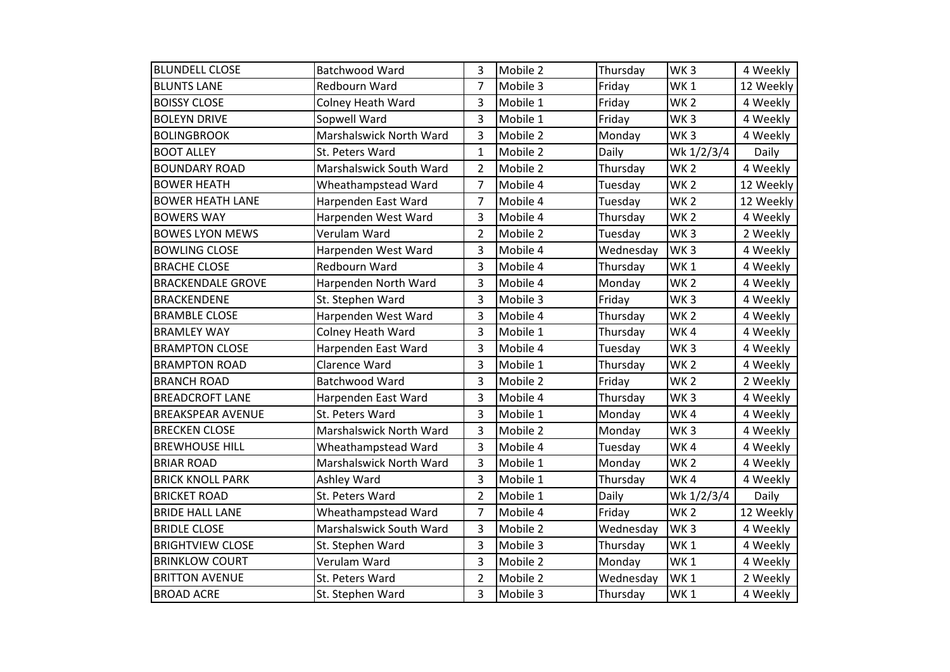| <b>BLUNDELL CLOSE</b>    | Batchwood Ward          | 3              | Mobile 2 | Thursday  | WK <sub>3</sub> | 4 Weekly  |
|--------------------------|-------------------------|----------------|----------|-----------|-----------------|-----------|
| <b>BLUNTS LANE</b>       | <b>Redbourn Ward</b>    | $\overline{7}$ | Mobile 3 | Friday    | WK <sub>1</sub> | 12 Weekly |
| <b>BOISSY CLOSE</b>      | Colney Heath Ward       | 3              | Mobile 1 | Friday    | WK <sub>2</sub> | 4 Weekly  |
| <b>BOLEYN DRIVE</b>      | Sopwell Ward            | 3              | Mobile 1 | Friday    | WK <sub>3</sub> | 4 Weekly  |
| <b>BOLINGBROOK</b>       | Marshalswick North Ward | 3              | Mobile 2 | Monday    | WK <sub>3</sub> | 4 Weekly  |
| <b>BOOT ALLEY</b>        | St. Peters Ward         | $\mathbf{1}$   | Mobile 2 | Daily     | Wk 1/2/3/4      | Daily     |
| <b>BOUNDARY ROAD</b>     | Marshalswick South Ward | $\overline{2}$ | Mobile 2 | Thursday  | WK <sub>2</sub> | 4 Weekly  |
| <b>BOWER HEATH</b>       | Wheathampstead Ward     | 7              | Mobile 4 | Tuesday   | WK <sub>2</sub> | 12 Weekly |
| <b>BOWER HEATH LANE</b>  | Harpenden East Ward     | $\overline{7}$ | Mobile 4 | Tuesday   | WK <sub>2</sub> | 12 Weekly |
| <b>BOWERS WAY</b>        | Harpenden West Ward     | 3              | Mobile 4 | Thursday  | WK <sub>2</sub> | 4 Weekly  |
| <b>BOWES LYON MEWS</b>   | Verulam Ward            | $\overline{2}$ | Mobile 2 | Tuesday   | WK <sub>3</sub> | 2 Weekly  |
| <b>BOWLING CLOSE</b>     | Harpenden West Ward     | 3              | Mobile 4 | Wednesday | WK <sub>3</sub> | 4 Weekly  |
| <b>BRACHE CLOSE</b>      | Redbourn Ward           | 3              | Mobile 4 | Thursday  | WK <sub>1</sub> | 4 Weekly  |
| <b>BRACKENDALE GROVE</b> | Harpenden North Ward    | 3              | Mobile 4 | Monday    | WK <sub>2</sub> | 4 Weekly  |
| <b>BRACKENDENE</b>       | St. Stephen Ward        | 3              | Mobile 3 | Friday    | WK <sub>3</sub> | 4 Weekly  |
| <b>BRAMBLE CLOSE</b>     | Harpenden West Ward     | 3              | Mobile 4 | Thursday  | WK <sub>2</sub> | 4 Weekly  |
| <b>BRAMLEY WAY</b>       | Colney Heath Ward       | 3              | Mobile 1 | Thursday  | WK4             | 4 Weekly  |
| <b>BRAMPTON CLOSE</b>    | Harpenden East Ward     | 3              | Mobile 4 | Tuesday   | WK <sub>3</sub> | 4 Weekly  |
| <b>BRAMPTON ROAD</b>     | Clarence Ward           | 3              | Mobile 1 | Thursday  | WK <sub>2</sub> | 4 Weekly  |
| <b>BRANCH ROAD</b>       | Batchwood Ward          | 3              | Mobile 2 | Friday    | WK <sub>2</sub> | 2 Weekly  |
| <b>BREADCROFT LANE</b>   | Harpenden East Ward     | 3              | Mobile 4 | Thursday  | WK <sub>3</sub> | 4 Weekly  |
| <b>BREAKSPEAR AVENUE</b> | St. Peters Ward         | 3              | Mobile 1 | Monday    | WK4             | 4 Weekly  |
| <b>BRECKEN CLOSE</b>     | Marshalswick North Ward | 3              | Mobile 2 | Monday    | WK <sub>3</sub> | 4 Weekly  |
| <b>BREWHOUSE HILL</b>    | Wheathampstead Ward     | 3              | Mobile 4 | Tuesday   | WK4             | 4 Weekly  |
| <b>BRIAR ROAD</b>        | Marshalswick North Ward | 3              | Mobile 1 | Monday    | WK <sub>2</sub> | 4 Weekly  |
| <b>BRICK KNOLL PARK</b>  | Ashley Ward             | 3              | Mobile 1 | Thursday  | WK4             | 4 Weekly  |
| <b>BRICKET ROAD</b>      | St. Peters Ward         | $\overline{2}$ | Mobile 1 | Daily     | Wk 1/2/3/4      | Daily     |
| <b>BRIDE HALL LANE</b>   | Wheathampstead Ward     | 7              | Mobile 4 | Friday    | <b>WK2</b>      | 12 Weekly |
| <b>BRIDLE CLOSE</b>      | Marshalswick South Ward | 3              | Mobile 2 | Wednesday | WK <sub>3</sub> | 4 Weekly  |
| <b>BRIGHTVIEW CLOSE</b>  | St. Stephen Ward        | 3              | Mobile 3 | Thursday  | WK <sub>1</sub> | 4 Weekly  |
| <b>BRINKLOW COURT</b>    | Verulam Ward            | 3              | Mobile 2 | Monday    | WK <sub>1</sub> | 4 Weekly  |
| <b>BRITTON AVENUE</b>    | St. Peters Ward         | $\overline{2}$ | Mobile 2 | Wednesday | WK <sub>1</sub> | 2 Weekly  |
| <b>BROAD ACRE</b>        | St. Stephen Ward        | 3              | Mobile 3 | Thursday  | WK <sub>1</sub> | 4 Weekly  |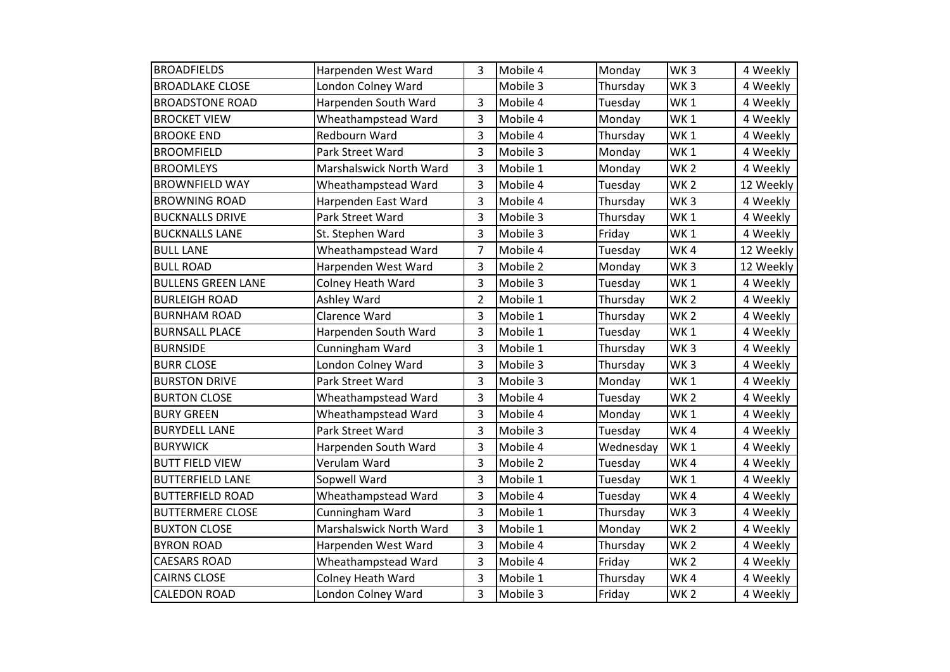| <b>BROADFIELDS</b>        | Harpenden West Ward     | 3              | Mobile 4 | Monday    | WK <sub>3</sub> | 4 Weekly  |
|---------------------------|-------------------------|----------------|----------|-----------|-----------------|-----------|
| <b>BROADLAKE CLOSE</b>    | London Colney Ward      |                | Mobile 3 | Thursday  | WK <sub>3</sub> | 4 Weekly  |
| <b>BROADSTONE ROAD</b>    | Harpenden South Ward    | 3              | Mobile 4 | Tuesday   | WK <sub>1</sub> | 4 Weekly  |
| <b>BROCKET VIEW</b>       | Wheathampstead Ward     | 3              | Mobile 4 | Monday    | WK <sub>1</sub> | 4 Weekly  |
| <b>BROOKE END</b>         | Redbourn Ward           | 3              | Mobile 4 | Thursday  | WK <sub>1</sub> | 4 Weekly  |
| <b>BROOMFIELD</b>         | Park Street Ward        | 3              | Mobile 3 | Monday    | WK <sub>1</sub> | 4 Weekly  |
| <b>BROOMLEYS</b>          | Marshalswick North Ward | 3              | Mobile 1 | Monday    | WK <sub>2</sub> | 4 Weekly  |
| <b>BROWNFIELD WAY</b>     | Wheathampstead Ward     | 3              | Mobile 4 | Tuesday   | WK <sub>2</sub> | 12 Weekly |
| <b>BROWNING ROAD</b>      | Harpenden East Ward     | 3              | Mobile 4 | Thursday  | WK <sub>3</sub> | 4 Weekly  |
| <b>BUCKNALLS DRIVE</b>    | Park Street Ward        | 3              | Mobile 3 | Thursday  | WK <sub>1</sub> | 4 Weekly  |
| <b>BUCKNALLS LANE</b>     | St. Stephen Ward        | 3              | Mobile 3 | Friday    | WK1             | 4 Weekly  |
| <b>BULL LANE</b>          | Wheathampstead Ward     | 7              | Mobile 4 | Tuesday   | WK4             | 12 Weekly |
| <b>BULL ROAD</b>          | Harpenden West Ward     | 3              | Mobile 2 | Monday    | WK <sub>3</sub> | 12 Weekly |
| <b>BULLENS GREEN LANE</b> | Colney Heath Ward       | 3              | Mobile 3 | Tuesday   | WK <sub>1</sub> | 4 Weekly  |
| <b>BURLEIGH ROAD</b>      | Ashley Ward             | $\overline{2}$ | Mobile 1 | Thursday  | WK <sub>2</sub> | 4 Weekly  |
| <b>BURNHAM ROAD</b>       | Clarence Ward           | 3              | Mobile 1 | Thursday  | WK <sub>2</sub> | 4 Weekly  |
| <b>BURNSALL PLACE</b>     | Harpenden South Ward    | 3              | Mobile 1 | Tuesday   | WK <sub>1</sub> | 4 Weekly  |
| <b>BURNSIDE</b>           | Cunningham Ward         | 3              | Mobile 1 | Thursday  | WK <sub>3</sub> | 4 Weekly  |
| <b>BURR CLOSE</b>         | London Colney Ward      | 3              | Mobile 3 | Thursday  | WK <sub>3</sub> | 4 Weekly  |
| <b>BURSTON DRIVE</b>      | Park Street Ward        | 3              | Mobile 3 | Monday    | WK <sub>1</sub> | 4 Weekly  |
| <b>BURTON CLOSE</b>       | Wheathampstead Ward     | 3              | Mobile 4 | Tuesday   | WK <sub>2</sub> | 4 Weekly  |
| <b>BURY GREEN</b>         | Wheathampstead Ward     | 3              | Mobile 4 | Monday    | WK <sub>1</sub> | 4 Weekly  |
| <b>BURYDELL LANE</b>      | Park Street Ward        | 3              | Mobile 3 | Tuesday   | WK4             | 4 Weekly  |
| <b>BURYWICK</b>           | Harpenden South Ward    | 3              | Mobile 4 | Wednesday | WK <sub>1</sub> | 4 Weekly  |
| <b>BUTT FIELD VIEW</b>    | Verulam Ward            | 3              | Mobile 2 | Tuesday   | WK4             | 4 Weekly  |
| <b>BUTTERFIELD LANE</b>   | Sopwell Ward            | 3              | Mobile 1 | Tuesday   | WK <sub>1</sub> | 4 Weekly  |
| <b>BUTTERFIELD ROAD</b>   | Wheathampstead Ward     | 3              | Mobile 4 | Tuesday   | WK4             | 4 Weekly  |
| <b>BUTTERMERE CLOSE</b>   | Cunningham Ward         | 3              | Mobile 1 | Thursday  | WK <sub>3</sub> | 4 Weekly  |
| <b>BUXTON CLOSE</b>       | Marshalswick North Ward | 3              | Mobile 1 | Monday    | WK <sub>2</sub> | 4 Weekly  |
| <b>BYRON ROAD</b>         | Harpenden West Ward     | 3              | Mobile 4 | Thursday  | WK <sub>2</sub> | 4 Weekly  |
| <b>CAESARS ROAD</b>       | Wheathampstead Ward     | 3              | Mobile 4 | Friday    | WK <sub>2</sub> | 4 Weekly  |
| <b>CAIRNS CLOSE</b>       | Colney Heath Ward       | 3              | Mobile 1 | Thursday  | WK4             | 4 Weekly  |
| <b>CALEDON ROAD</b>       | London Colney Ward      | 3              | Mobile 3 | Friday    | WK <sub>2</sub> | 4 Weekly  |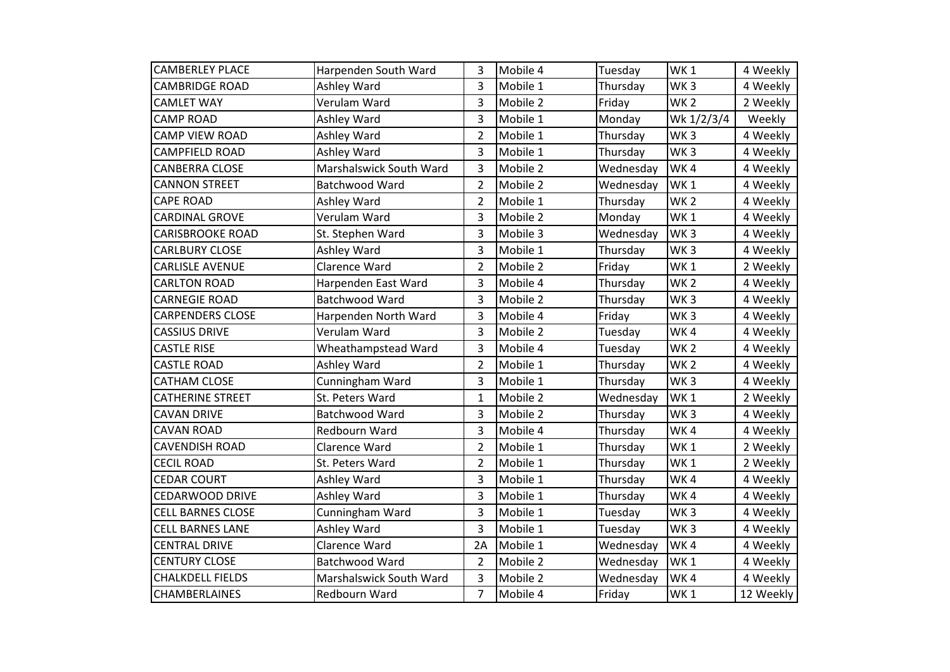| <b>CAMBERLEY PLACE</b>   | Harpenden South Ward    | 3              | Mobile 4 | Tuesday   | WK <sub>1</sub> | 4 Weekly  |
|--------------------------|-------------------------|----------------|----------|-----------|-----------------|-----------|
| <b>CAMBRIDGE ROAD</b>    | Ashley Ward             | 3              | Mobile 1 | Thursday  | WK <sub>3</sub> | 4 Weekly  |
| <b>CAMLET WAY</b>        | Verulam Ward            | 3              | Mobile 2 | Friday    | WK <sub>2</sub> | 2 Weekly  |
| <b>CAMP ROAD</b>         | Ashley Ward             | 3              | Mobile 1 | Monday    | Wk 1/2/3/4      | Weekly    |
| <b>CAMP VIEW ROAD</b>    | Ashley Ward             | $\overline{2}$ | Mobile 1 | Thursday  | WK <sub>3</sub> | 4 Weekly  |
| <b>CAMPFIELD ROAD</b>    | Ashley Ward             | 3              | Mobile 1 | Thursday  | WK <sub>3</sub> | 4 Weekly  |
| <b>CANBERRA CLOSE</b>    | Marshalswick South Ward | 3              | Mobile 2 | Wednesday | WK4             | 4 Weekly  |
| <b>CANNON STREET</b>     | Batchwood Ward          | $\overline{2}$ | Mobile 2 | Wednesday | WK <sub>1</sub> | 4 Weekly  |
| <b>CAPE ROAD</b>         | Ashley Ward             | $\overline{2}$ | Mobile 1 | Thursday  | WK <sub>2</sub> | 4 Weekly  |
| <b>CARDINAL GROVE</b>    | Verulam Ward            | 3              | Mobile 2 | Monday    | WK <sub>1</sub> | 4 Weekly  |
| <b>CARISBROOKE ROAD</b>  | St. Stephen Ward        | 3              | Mobile 3 | Wednesday | WK <sub>3</sub> | 4 Weekly  |
| <b>CARLBURY CLOSE</b>    | Ashley Ward             | 3              | Mobile 1 | Thursday  | WK <sub>3</sub> | 4 Weekly  |
| <b>CARLISLE AVENUE</b>   | Clarence Ward           | $\overline{2}$ | Mobile 2 | Friday    | WK <sub>1</sub> | 2 Weekly  |
| <b>CARLTON ROAD</b>      | Harpenden East Ward     | 3              | Mobile 4 | Thursday  | WK <sub>2</sub> | 4 Weekly  |
| <b>CARNEGIE ROAD</b>     | Batchwood Ward          | 3              | Mobile 2 | Thursday  | WK <sub>3</sub> | 4 Weekly  |
| <b>CARPENDERS CLOSE</b>  | Harpenden North Ward    | 3              | Mobile 4 | Friday    | WK <sub>3</sub> | 4 Weekly  |
| <b>CASSIUS DRIVE</b>     | Verulam Ward            | 3              | Mobile 2 | Tuesday   | WK4             | 4 Weekly  |
| <b>CASTLE RISE</b>       | Wheathampstead Ward     | 3              | Mobile 4 | Tuesday   | WK <sub>2</sub> | 4 Weekly  |
| <b>CASTLE ROAD</b>       | Ashley Ward             | $\overline{2}$ | Mobile 1 | Thursday  | WK <sub>2</sub> | 4 Weekly  |
| <b>CATHAM CLOSE</b>      | Cunningham Ward         | 3              | Mobile 1 | Thursday  | WK <sub>3</sub> | 4 Weekly  |
| <b>CATHERINE STREET</b>  | St. Peters Ward         | $\mathbf{1}$   | Mobile 2 | Wednesday | WK <sub>1</sub> | 2 Weekly  |
| <b>CAVAN DRIVE</b>       | Batchwood Ward          | 3              | Mobile 2 | Thursday  | WK <sub>3</sub> | 4 Weekly  |
| <b>CAVAN ROAD</b>        | Redbourn Ward           | 3              | Mobile 4 | Thursday  | WK4             | 4 Weekly  |
| <b>CAVENDISH ROAD</b>    | Clarence Ward           | $\overline{2}$ | Mobile 1 | Thursday  | WK <sub>1</sub> | 2 Weekly  |
| <b>CECIL ROAD</b>        | St. Peters Ward         | $\overline{2}$ | Mobile 1 | Thursday  | WK <sub>1</sub> | 2 Weekly  |
| <b>CEDAR COURT</b>       | Ashley Ward             | 3              | Mobile 1 | Thursday  | WK4             | 4 Weekly  |
| CEDARWOOD DRIVE          | Ashley Ward             | 3              | Mobile 1 | Thursday  | WK4             | 4 Weekly  |
| <b>CELL BARNES CLOSE</b> | Cunningham Ward         | 3              | Mobile 1 | Tuesday   | WK <sub>3</sub> | 4 Weekly  |
| <b>CELL BARNES LANE</b>  | Ashley Ward             | 3              | Mobile 1 | Tuesday   | WK <sub>3</sub> | 4 Weekly  |
| <b>CENTRAL DRIVE</b>     | Clarence Ward           | 2A             | Mobile 1 | Wednesday | WK4             | 4 Weekly  |
| <b>CENTURY CLOSE</b>     | Batchwood Ward          | $\overline{2}$ | Mobile 2 | Wednesday | WK <sub>1</sub> | 4 Weekly  |
| <b>CHALKDELL FIELDS</b>  | Marshalswick South Ward | 3              | Mobile 2 | Wednesday | WK4             | 4 Weekly  |
| <b>CHAMBERLAINES</b>     | Redbourn Ward           | $\overline{7}$ | Mobile 4 | Friday    | WK1             | 12 Weekly |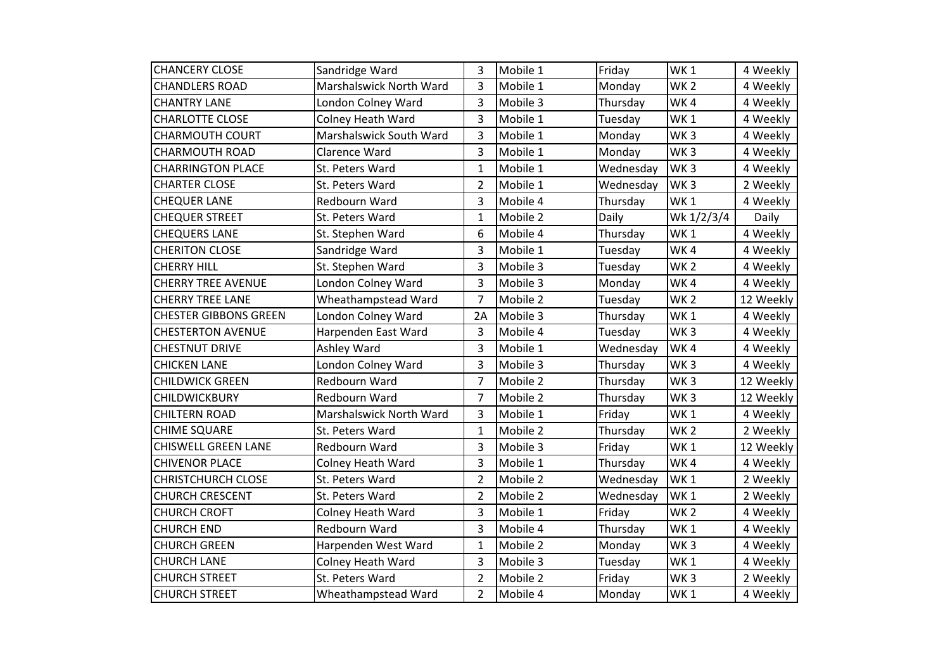| <b>CHANCERY CLOSE</b>        | Sandridge Ward           | 3              | Mobile 1 | Friday    | WK <sub>1</sub> | 4 Weekly  |
|------------------------------|--------------------------|----------------|----------|-----------|-----------------|-----------|
| <b>CHANDLERS ROAD</b>        | Marshalswick North Ward  | 3              | Mobile 1 | Monday    | WK <sub>2</sub> | 4 Weekly  |
| <b>CHANTRY LANE</b>          | London Colney Ward       | 3              | Mobile 3 | Thursday  | WK4             | 4 Weekly  |
| <b>CHARLOTTE CLOSE</b>       | <b>Colney Heath Ward</b> | 3              | Mobile 1 | Tuesday   | WK <sub>1</sub> | 4 Weekly  |
| <b>CHARMOUTH COURT</b>       | Marshalswick South Ward  | 3              | Mobile 1 | Monday    | WK <sub>3</sub> | 4 Weekly  |
| <b>CHARMOUTH ROAD</b>        | Clarence Ward            | 3              | Mobile 1 | Monday    | WK <sub>3</sub> | 4 Weekly  |
| <b>CHARRINGTON PLACE</b>     | St. Peters Ward          | $\mathbf{1}$   | Mobile 1 | Wednesday | WK <sub>3</sub> | 4 Weekly  |
| <b>CHARTER CLOSE</b>         | St. Peters Ward          | $\overline{2}$ | Mobile 1 | Wednesday | WK <sub>3</sub> | 2 Weekly  |
| <b>CHEQUER LANE</b>          | Redbourn Ward            | 3              | Mobile 4 | Thursday  | WK <sub>1</sub> | 4 Weekly  |
| <b>CHEQUER STREET</b>        | St. Peters Ward          | 1              | Mobile 2 | Daily     | Wk 1/2/3/4      | Daily     |
| <b>CHEQUERS LANE</b>         | St. Stephen Ward         | 6              | Mobile 4 | Thursday  | WK <sub>1</sub> | 4 Weekly  |
| <b>CHERITON CLOSE</b>        | Sandridge Ward           | 3              | Mobile 1 | Tuesday   | WK4             | 4 Weekly  |
| <b>CHERRY HILL</b>           | St. Stephen Ward         | 3              | Mobile 3 | Tuesday   | WK <sub>2</sub> | 4 Weekly  |
| <b>CHERRY TREE AVENUE</b>    | London Colney Ward       | 3              | Mobile 3 | Monday    | WK4             | 4 Weekly  |
| <b>CHERRY TREE LANE</b>      | Wheathampstead Ward      | $\overline{7}$ | Mobile 2 | Tuesday   | WK <sub>2</sub> | 12 Weekly |
| <b>CHESTER GIBBONS GREEN</b> | London Colney Ward       | 2A             | Mobile 3 | Thursday  | WK <sub>1</sub> | 4 Weekly  |
| <b>CHESTERTON AVENUE</b>     | Harpenden East Ward      | 3              | Mobile 4 | Tuesday   | WK <sub>3</sub> | 4 Weekly  |
| <b>CHESTNUT DRIVE</b>        | Ashley Ward              | 3              | Mobile 1 | Wednesday | WK4             | 4 Weekly  |
| <b>CHICKEN LANE</b>          | London Colney Ward       | 3              | Mobile 3 | Thursday  | WK <sub>3</sub> | 4 Weekly  |
| <b>CHILDWICK GREEN</b>       | Redbourn Ward            | $\overline{7}$ | Mobile 2 | Thursday  | WK <sub>3</sub> | 12 Weekly |
| <b>CHILDWICKBURY</b>         | Redbourn Ward            | $\overline{7}$ | Mobile 2 | Thursday  | WK <sub>3</sub> | 12 Weekly |
| <b>CHILTERN ROAD</b>         | Marshalswick North Ward  | 3              | Mobile 1 | Friday    | WK <sub>1</sub> | 4 Weekly  |
| <b>CHIME SQUARE</b>          | St. Peters Ward          | 1              | Mobile 2 | Thursday  | WK <sub>2</sub> | 2 Weekly  |
| <b>CHISWELL GREEN LANE</b>   | Redbourn Ward            | 3              | Mobile 3 | Friday    | WK <sub>1</sub> | 12 Weekly |
| <b>CHIVENOR PLACE</b>        | Colney Heath Ward        | 3              | Mobile 1 | Thursday  | WK4             | 4 Weekly  |
| <b>CHRISTCHURCH CLOSE</b>    | St. Peters Ward          | $\overline{2}$ | Mobile 2 | Wednesday | WK <sub>1</sub> | 2 Weekly  |
| <b>CHURCH CRESCENT</b>       | St. Peters Ward          | $\overline{2}$ | Mobile 2 | Wednesday | WK <sub>1</sub> | 2 Weekly  |
| <b>CHURCH CROFT</b>          | <b>Colney Heath Ward</b> | 3              | Mobile 1 | Friday    | WK <sub>2</sub> | 4 Weekly  |
| <b>CHURCH END</b>            | Redbourn Ward            | 3              | Mobile 4 | Thursday  | WK <sub>1</sub> | 4 Weekly  |
| <b>CHURCH GREEN</b>          | Harpenden West Ward      | $\mathbf{1}$   | Mobile 2 | Monday    | WK <sub>3</sub> | 4 Weekly  |
| <b>CHURCH LANE</b>           | <b>Colney Heath Ward</b> | 3              | Mobile 3 | Tuesday   | WK <sub>1</sub> | 4 Weekly  |
| <b>CHURCH STREET</b>         | St. Peters Ward          | $\overline{2}$ | Mobile 2 | Friday    | WK <sub>3</sub> | 2 Weekly  |
| <b>CHURCH STREET</b>         | Wheathampstead Ward      | $\overline{2}$ | Mobile 4 | Monday    | WK1             | 4 Weekly  |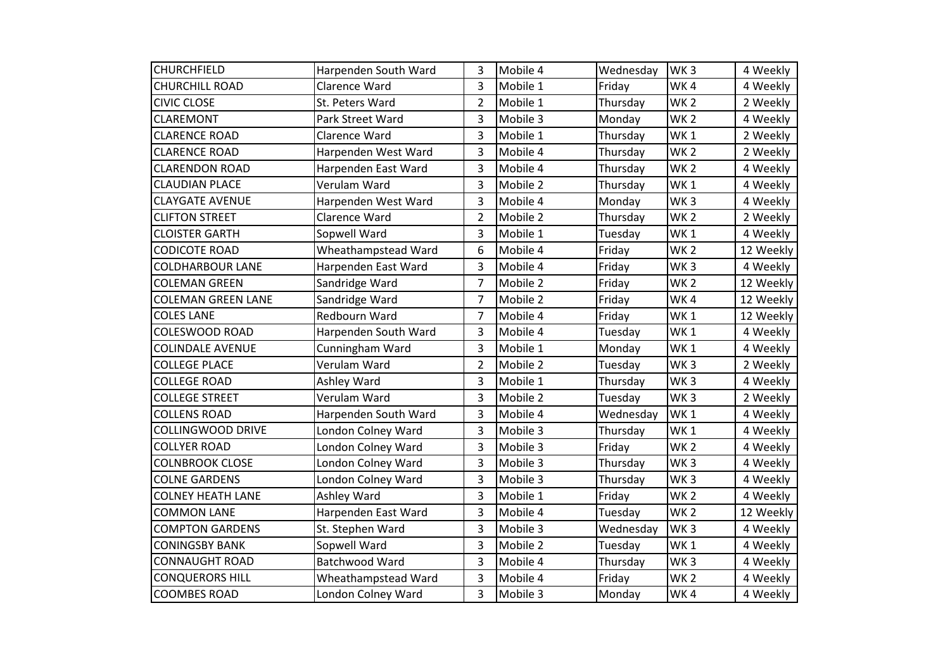| <b>CHURCHFIELD</b>        | Harpenden South Ward | 3              | Mobile 4 | Wednesday | WK <sub>3</sub> | 4 Weekly  |
|---------------------------|----------------------|----------------|----------|-----------|-----------------|-----------|
| <b>CHURCHILL ROAD</b>     | Clarence Ward        | 3              | Mobile 1 | Friday    | WK4             | 4 Weekly  |
| <b>CIVIC CLOSE</b>        | St. Peters Ward      | $\overline{2}$ | Mobile 1 | Thursday  | WK <sub>2</sub> | 2 Weekly  |
| <b>CLAREMONT</b>          | Park Street Ward     | 3              | Mobile 3 | Monday    | WK <sub>2</sub> | 4 Weekly  |
| <b>CLARENCE ROAD</b>      | Clarence Ward        | 3              | Mobile 1 | Thursday  | WK <sub>1</sub> | 2 Weekly  |
| <b>CLARENCE ROAD</b>      | Harpenden West Ward  | 3              | Mobile 4 | Thursday  | WK <sub>2</sub> | 2 Weekly  |
| <b>CLARENDON ROAD</b>     | Harpenden East Ward  | 3              | Mobile 4 | Thursday  | WK <sub>2</sub> | 4 Weekly  |
| <b>CLAUDIAN PLACE</b>     | Verulam Ward         | 3              | Mobile 2 | Thursday  | WK <sub>1</sub> | 4 Weekly  |
| <b>CLAYGATE AVENUE</b>    | Harpenden West Ward  | 3              | Mobile 4 | Monday    | WK <sub>3</sub> | 4 Weekly  |
| <b>CLIFTON STREET</b>     | Clarence Ward        | $\overline{2}$ | Mobile 2 | Thursday  | WK <sub>2</sub> | 2 Weekly  |
| <b>CLOISTER GARTH</b>     | Sopwell Ward         | 3              | Mobile 1 | Tuesday   | WK <sub>1</sub> | 4 Weekly  |
| <b>CODICOTE ROAD</b>      | Wheathampstead Ward  | 6              | Mobile 4 | Friday    | WK <sub>2</sub> | 12 Weekly |
| <b>COLDHARBOUR LANE</b>   | Harpenden East Ward  | 3              | Mobile 4 | Friday    | WK <sub>3</sub> | 4 Weekly  |
| <b>COLEMAN GREEN</b>      | Sandridge Ward       | $\overline{7}$ | Mobile 2 | Friday    | WK <sub>2</sub> | 12 Weekly |
| <b>COLEMAN GREEN LANE</b> | Sandridge Ward       | $\overline{7}$ | Mobile 2 | Friday    | WK4             | 12 Weekly |
| <b>COLES LANE</b>         | Redbourn Ward        | $\overline{7}$ | Mobile 4 | Friday    | WK <sub>1</sub> | 12 Weekly |
| <b>COLESWOOD ROAD</b>     | Harpenden South Ward | 3              | Mobile 4 | Tuesday   | WK <sub>1</sub> | 4 Weekly  |
| <b>COLINDALE AVENUE</b>   | Cunningham Ward      | 3              | Mobile 1 | Monday    | WK1             | 4 Weekly  |
| <b>COLLEGE PLACE</b>      | Verulam Ward         | $\overline{2}$ | Mobile 2 | Tuesday   | WK <sub>3</sub> | 2 Weekly  |
| <b>COLLEGE ROAD</b>       | Ashley Ward          | 3              | Mobile 1 | Thursday  | WK <sub>3</sub> | 4 Weekly  |
| <b>COLLEGE STREET</b>     | Verulam Ward         | 3              | Mobile 2 | Tuesday   | WK <sub>3</sub> | 2 Weekly  |
| <b>COLLENS ROAD</b>       | Harpenden South Ward | 3              | Mobile 4 | Wednesday | WK <sub>1</sub> | 4 Weekly  |
| <b>COLLINGWOOD DRIVE</b>  | London Colney Ward   | 3              | Mobile 3 | Thursday  | WK <sub>1</sub> | 4 Weekly  |
| <b>COLLYER ROAD</b>       | London Colney Ward   | 3              | Mobile 3 | Friday    | WK <sub>2</sub> | 4 Weekly  |
| <b>COLNBROOK CLOSE</b>    | London Colney Ward   | 3              | Mobile 3 | Thursday  | WK <sub>3</sub> | 4 Weekly  |
| <b>COLNE GARDENS</b>      | London Colney Ward   | 3              | Mobile 3 | Thursday  | WK <sub>3</sub> | 4 Weekly  |
| <b>COLNEY HEATH LANE</b>  | Ashley Ward          | 3              | Mobile 1 | Friday    | WK <sub>2</sub> | 4 Weekly  |
| <b>COMMON LANE</b>        | Harpenden East Ward  | 3              | Mobile 4 | Tuesday   | WK <sub>2</sub> | 12 Weekly |
| <b>COMPTON GARDENS</b>    | St. Stephen Ward     | 3              | Mobile 3 | Wednesday | WK <sub>3</sub> | 4 Weekly  |
| <b>CONINGSBY BANK</b>     | Sopwell Ward         | 3              | Mobile 2 | Tuesday   | WK <sub>1</sub> | 4 Weekly  |
| <b>CONNAUGHT ROAD</b>     | Batchwood Ward       | 3              | Mobile 4 | Thursday  | WK <sub>3</sub> | 4 Weekly  |
| <b>CONQUERORS HILL</b>    | Wheathampstead Ward  | 3              | Mobile 4 | Friday    | WK <sub>2</sub> | 4 Weekly  |
| <b>COOMBES ROAD</b>       | London Colney Ward   | 3              | Mobile 3 | Monday    | WK4             | 4 Weekly  |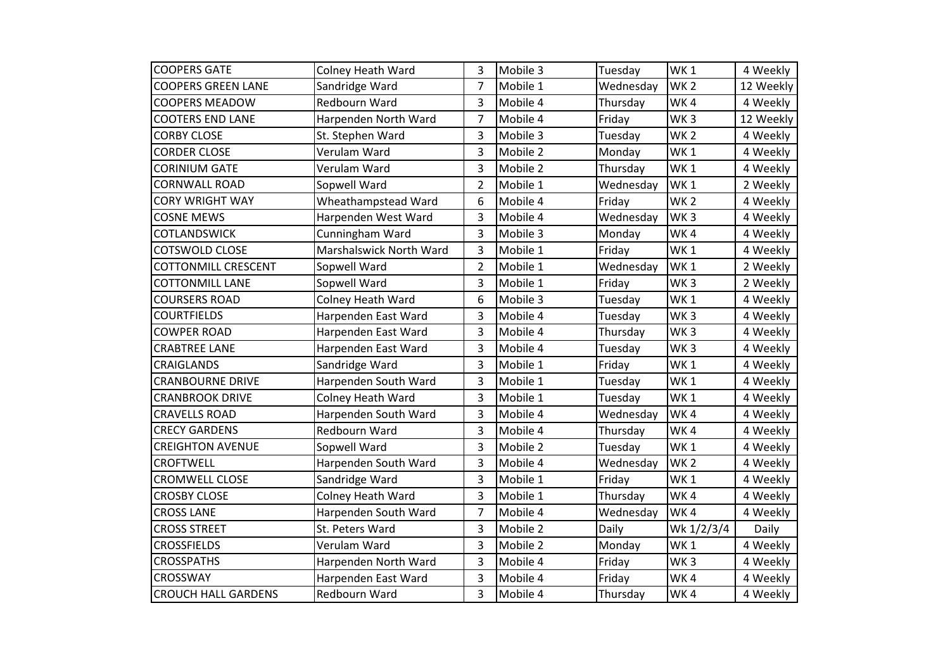| <b>COOPERS GATE</b>        | <b>Colney Heath Ward</b> | 3              | Mobile 3 | Tuesday   | WK <sub>1</sub> | 4 Weekly  |
|----------------------------|--------------------------|----------------|----------|-----------|-----------------|-----------|
| <b>COOPERS GREEN LANE</b>  | Sandridge Ward           | $\overline{7}$ | Mobile 1 | Wednesday | WK <sub>2</sub> | 12 Weekly |
| <b>COOPERS MEADOW</b>      | Redbourn Ward            | 3              | Mobile 4 | Thursday  | WK4             | 4 Weekly  |
| <b>COOTERS END LANE</b>    | Harpenden North Ward     | 7              | Mobile 4 | Friday    | WK <sub>3</sub> | 12 Weekly |
| <b>CORBY CLOSE</b>         | St. Stephen Ward         | 3              | Mobile 3 | Tuesday   | WK <sub>2</sub> | 4 Weekly  |
| <b>CORDER CLOSE</b>        | Verulam Ward             | 3              | Mobile 2 | Monday    | WK <sub>1</sub> | 4 Weekly  |
| <b>CORINIUM GATE</b>       | Verulam Ward             | 3              | Mobile 2 | Thursday  | WK <sub>1</sub> | 4 Weekly  |
| <b>CORNWALL ROAD</b>       | Sopwell Ward             | $\overline{2}$ | Mobile 1 | Wednesday | WK <sub>1</sub> | 2 Weekly  |
| <b>CORY WRIGHT WAY</b>     | Wheathampstead Ward      | 6              | Mobile 4 | Friday    | WK <sub>2</sub> | 4 Weekly  |
| <b>COSNE MEWS</b>          | Harpenden West Ward      | 3              | Mobile 4 | Wednesday | WK <sub>3</sub> | 4 Weekly  |
| COTLANDSWICK               | Cunningham Ward          | 3              | Mobile 3 | Monday    | WK4             | 4 Weekly  |
| <b>COTSWOLD CLOSE</b>      | Marshalswick North Ward  | 3              | Mobile 1 | Friday    | WK <sub>1</sub> | 4 Weekly  |
| <b>COTTONMILL CRESCENT</b> | Sopwell Ward             | $\overline{2}$ | Mobile 1 | Wednesday | WK <sub>1</sub> | 2 Weekly  |
| <b>COTTONMILL LANE</b>     | Sopwell Ward             | 3              | Mobile 1 | Friday    | WK <sub>3</sub> | 2 Weekly  |
| <b>COURSERS ROAD</b>       | Colney Heath Ward        | 6              | Mobile 3 | Tuesday   | WK <sub>1</sub> | 4 Weekly  |
| <b>COURTFIELDS</b>         | Harpenden East Ward      | 3              | Mobile 4 | Tuesday   | WK <sub>3</sub> | 4 Weekly  |
| <b>COWPER ROAD</b>         | Harpenden East Ward      | 3              | Mobile 4 | Thursday  | WK <sub>3</sub> | 4 Weekly  |
| <b>CRABTREE LANE</b>       | Harpenden East Ward      | 3              | Mobile 4 | Tuesday   | WK <sub>3</sub> | 4 Weekly  |
| CRAIGLANDS                 | Sandridge Ward           | 3              | Mobile 1 | Friday    | WK <sub>1</sub> | 4 Weekly  |
| <b>CRANBOURNE DRIVE</b>    | Harpenden South Ward     | 3              | Mobile 1 | Tuesday   | WK <sub>1</sub> | 4 Weekly  |
| <b>CRANBROOK DRIVE</b>     | <b>Colney Heath Ward</b> | 3              | Mobile 1 | Tuesday   | WK <sub>1</sub> | 4 Weekly  |
| <b>CRAVELLS ROAD</b>       | Harpenden South Ward     | 3              | Mobile 4 | Wednesday | WK4             | 4 Weekly  |
| <b>CRECY GARDENS</b>       | Redbourn Ward            | 3              | Mobile 4 | Thursday  | WK4             | 4 Weekly  |
| <b>CREIGHTON AVENUE</b>    | Sopwell Ward             | 3              | Mobile 2 | Tuesday   | WK <sub>1</sub> | 4 Weekly  |
| <b>CROFTWELL</b>           | Harpenden South Ward     | 3              | Mobile 4 | Wednesday | WK <sub>2</sub> | 4 Weekly  |
| <b>CROMWELL CLOSE</b>      | Sandridge Ward           | 3              | Mobile 1 | Friday    | WK <sub>1</sub> | 4 Weekly  |
| <b>CROSBY CLOSE</b>        | <b>Colney Heath Ward</b> | 3              | Mobile 1 | Thursday  | WK4             | 4 Weekly  |
| <b>CROSS LANE</b>          | Harpenden South Ward     | 7              | Mobile 4 | Wednesday | WK4             | 4 Weekly  |
| <b>CROSS STREET</b>        | St. Peters Ward          | 3              | Mobile 2 | Daily     | Wk 1/2/3/4      | Daily     |
| <b>CROSSFIELDS</b>         | Verulam Ward             | 3              | Mobile 2 | Monday    | WK <sub>1</sub> | 4 Weekly  |
| <b>CROSSPATHS</b>          | Harpenden North Ward     | 3              | Mobile 4 | Friday    | WK <sub>3</sub> | 4 Weekly  |
| <b>CROSSWAY</b>            | Harpenden East Ward      | 3              | Mobile 4 | Friday    | WK4             | 4 Weekly  |
| <b>CROUCH HALL GARDENS</b> | Redbourn Ward            | 3              | Mobile 4 | Thursday  | WK4             | 4 Weekly  |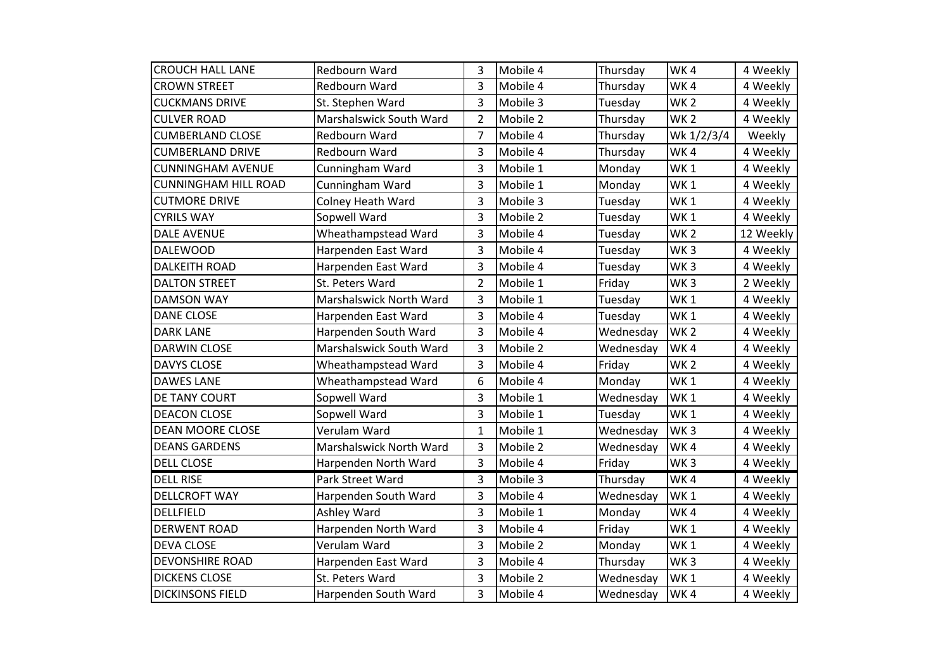| <b>CROUCH HALL LANE</b>     | Redbourn Ward           | 3              | Mobile 4 | Thursday  | WK4             | 4 Weekly  |
|-----------------------------|-------------------------|----------------|----------|-----------|-----------------|-----------|
| <b>CROWN STREET</b>         | Redbourn Ward           | 3              | Mobile 4 | Thursday  | WK4             | 4 Weekly  |
| <b>CUCKMANS DRIVE</b>       | St. Stephen Ward        | 3              | Mobile 3 | Tuesday   | <b>WK2</b>      | 4 Weekly  |
| <b>CULVER ROAD</b>          | Marshalswick South Ward | $\overline{2}$ | Mobile 2 | Thursday  | WK <sub>2</sub> | 4 Weekly  |
| <b>CUMBERLAND CLOSE</b>     | Redbourn Ward           | 7              | Mobile 4 | Thursday  | Wk 1/2/3/4      | Weekly    |
| <b>CUMBERLAND DRIVE</b>     | Redbourn Ward           | 3              | Mobile 4 | Thursday  | WK4             | 4 Weekly  |
| <b>CUNNINGHAM AVENUE</b>    | Cunningham Ward         | 3              | Mobile 1 | Monday    | <b>WK1</b>      | 4 Weekly  |
| <b>CUNNINGHAM HILL ROAD</b> | Cunningham Ward         | 3              | Mobile 1 | Monday    | WK <sub>1</sub> | 4 Weekly  |
| <b>CUTMORE DRIVE</b>        | Colney Heath Ward       | 3              | Mobile 3 | Tuesday   | WK <sub>1</sub> | 4 Weekly  |
| <b>CYRILS WAY</b>           | Sopwell Ward            | 3              | Mobile 2 | Tuesday   | WK <sub>1</sub> | 4 Weekly  |
| <b>DALE AVENUE</b>          | Wheathampstead Ward     | 3              | Mobile 4 | Tuesday   | WK <sub>2</sub> | 12 Weekly |
| <b>DALEWOOD</b>             | Harpenden East Ward     | 3              | Mobile 4 | Tuesday   | WK <sub>3</sub> | 4 Weekly  |
| <b>DALKEITH ROAD</b>        | Harpenden East Ward     | 3              | Mobile 4 | Tuesday   | WK <sub>3</sub> | 4 Weekly  |
| <b>DALTON STREET</b>        | St. Peters Ward         | $\overline{2}$ | Mobile 1 | Friday    | WK <sub>3</sub> | 2 Weekly  |
| <b>DAMSON WAY</b>           | Marshalswick North Ward | 3              | Mobile 1 | Tuesday   | WK <sub>1</sub> | 4 Weekly  |
| <b>DANE CLOSE</b>           | Harpenden East Ward     | 3              | Mobile 4 | Tuesday   | WK <sub>1</sub> | 4 Weekly  |
| <b>DARK LANE</b>            | Harpenden South Ward    | 3              | Mobile 4 | Wednesday | WK <sub>2</sub> | 4 Weekly  |
| <b>DARWIN CLOSE</b>         | Marshalswick South Ward | 3              | Mobile 2 | Wednesday | WK4             | 4 Weekly  |
| <b>DAVYS CLOSE</b>          | Wheathampstead Ward     | 3              | Mobile 4 | Friday    | WK <sub>2</sub> | 4 Weekly  |
| <b>DAWES LANE</b>           | Wheathampstead Ward     | 6              | Mobile 4 | Monday    | WK <sub>1</sub> | 4 Weekly  |
| DE TANY COURT               | Sopwell Ward            | 3              | Mobile 1 | Wednesday | WK <sub>1</sub> | 4 Weekly  |
| <b>DEACON CLOSE</b>         | Sopwell Ward            | 3              | Mobile 1 | Tuesday   | WK <sub>1</sub> | 4 Weekly  |
| <b>DEAN MOORE CLOSE</b>     | Verulam Ward            | 1              | Mobile 1 | Wednesday | WK <sub>3</sub> | 4 Weekly  |
| <b>DEANS GARDENS</b>        | Marshalswick North Ward | 3              | Mobile 2 | Wednesday | WK4             | 4 Weekly  |
| <b>DELL CLOSE</b>           | Harpenden North Ward    | 3              | Mobile 4 | Friday    | WK <sub>3</sub> | 4 Weekly  |
| <b>DELL RISE</b>            | Park Street Ward        | 3              | Mobile 3 | Thursday  | WK4             | 4 Weekly  |
| <b>DELLCROFT WAY</b>        | Harpenden South Ward    | 3              | Mobile 4 | Wednesday | WK <sub>1</sub> | 4 Weekly  |
| <b>DELLFIELD</b>            | Ashley Ward             | 3              | Mobile 1 | Monday    | WK4             | 4 Weekly  |
| <b>DERWENT ROAD</b>         | Harpenden North Ward    | 3              | Mobile 4 | Friday    | WK <sub>1</sub> | 4 Weekly  |
| <b>DEVA CLOSE</b>           | Verulam Ward            | 3              | Mobile 2 | Monday    | WK <sub>1</sub> | 4 Weekly  |
| <b>DEVONSHIRE ROAD</b>      | Harpenden East Ward     | 3              | Mobile 4 | Thursday  | WK <sub>3</sub> | 4 Weekly  |
| <b>DICKENS CLOSE</b>        | St. Peters Ward         | 3              | Mobile 2 | Wednesday | WK <sub>1</sub> | 4 Weekly  |
| <b>DICKINSONS FIELD</b>     | Harpenden South Ward    | 3              | Mobile 4 | Wednesday | WK4             | 4 Weekly  |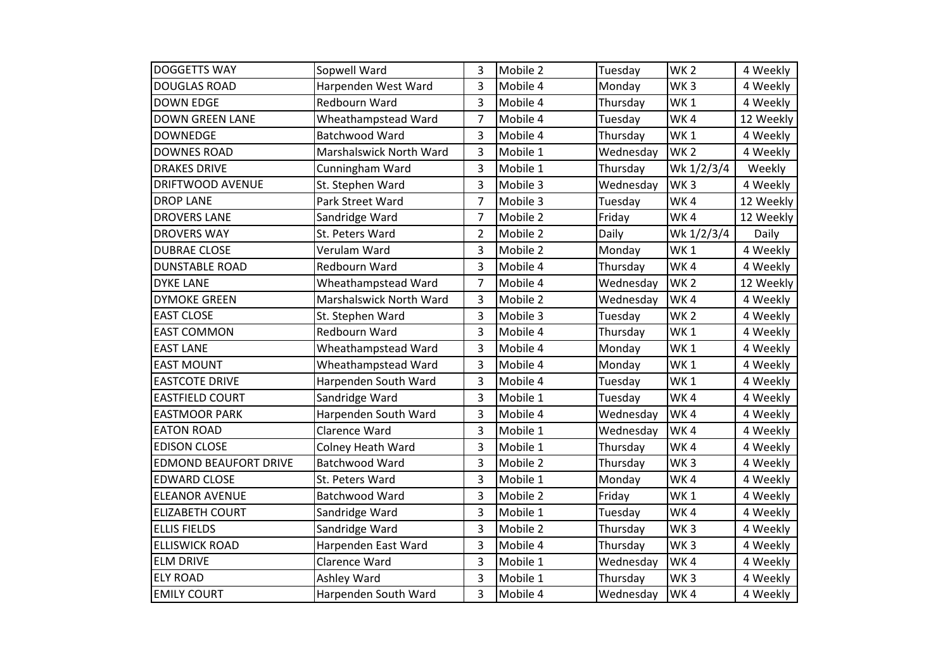| <b>DOGGETTS WAY</b>          | Sopwell Ward            | 3              | Mobile 2 | Tuesday   | WK <sub>2</sub> | 4 Weekly  |
|------------------------------|-------------------------|----------------|----------|-----------|-----------------|-----------|
| <b>DOUGLAS ROAD</b>          | Harpenden West Ward     | 3              | Mobile 4 | Monday    | WK <sub>3</sub> | 4 Weekly  |
| <b>DOWN EDGE</b>             | Redbourn Ward           | 3              | Mobile 4 | Thursday  | WK <sub>1</sub> | 4 Weekly  |
| <b>DOWN GREEN LANE</b>       | Wheathampstead Ward     | 7              | Mobile 4 | Tuesday   | WK4             | 12 Weekly |
| <b>DOWNEDGE</b>              | Batchwood Ward          | 3              | Mobile 4 | Thursday  | WK <sub>1</sub> | 4 Weekly  |
| <b>DOWNES ROAD</b>           | Marshalswick North Ward | 3              | Mobile 1 | Wednesday | WK <sub>2</sub> | 4 Weekly  |
| <b>DRAKES DRIVE</b>          | Cunningham Ward         | 3              | Mobile 1 | Thursday  | Wk 1/2/3/4      | Weekly    |
| <b>DRIFTWOOD AVENUE</b>      | St. Stephen Ward        | 3              | Mobile 3 | Wednesday | WK <sub>3</sub> | 4 Weekly  |
| <b>DROP LANE</b>             | Park Street Ward        | $\overline{7}$ | Mobile 3 | Tuesday   | WK4             | 12 Weekly |
| <b>DROVERS LANE</b>          | Sandridge Ward          | 7              | Mobile 2 | Friday    | WK4             | 12 Weekly |
| <b>DROVERS WAY</b>           | St. Peters Ward         | $\overline{2}$ | Mobile 2 | Daily     | Wk 1/2/3/4      | Daily     |
| <b>DUBRAE CLOSE</b>          | Verulam Ward            | 3              | Mobile 2 | Monday    | WK <sub>1</sub> | 4 Weekly  |
| <b>DUNSTABLE ROAD</b>        | Redbourn Ward           | 3              | Mobile 4 | Thursday  | WK4             | 4 Weekly  |
| <b>DYKE LANE</b>             | Wheathampstead Ward     | 7              | Mobile 4 | Wednesday | WK <sub>2</sub> | 12 Weekly |
| <b>DYMOKE GREEN</b>          | Marshalswick North Ward | 3              | Mobile 2 | Wednesday | WK4             | 4 Weekly  |
| <b>EAST CLOSE</b>            | St. Stephen Ward        | 3              | Mobile 3 | Tuesday   | WK <sub>2</sub> | 4 Weekly  |
| <b>EAST COMMON</b>           | Redbourn Ward           | 3              | Mobile 4 | Thursday  | WK <sub>1</sub> | 4 Weekly  |
| <b>EAST LANE</b>             | Wheathampstead Ward     | 3              | Mobile 4 | Monday    | WK1             | 4 Weekly  |
| <b>EAST MOUNT</b>            | Wheathampstead Ward     | 3              | Mobile 4 | Monday    | WK <sub>1</sub> | 4 Weekly  |
| <b>EASTCOTE DRIVE</b>        | Harpenden South Ward    | 3              | Mobile 4 | Tuesday   | WK <sub>1</sub> | 4 Weekly  |
| <b>EASTFIELD COURT</b>       | Sandridge Ward          | 3              | Mobile 1 | Tuesday   | WK4             | 4 Weekly  |
| <b>EASTMOOR PARK</b>         | Harpenden South Ward    | 3              | Mobile 4 | Wednesday | WK4             | 4 Weekly  |
| <b>EATON ROAD</b>            | Clarence Ward           | 3              | Mobile 1 | Wednesday | WK4             | 4 Weekly  |
| <b>EDISON CLOSE</b>          | Colney Heath Ward       | 3              | Mobile 1 | Thursday  | WK4             | 4 Weekly  |
| <b>EDMOND BEAUFORT DRIVE</b> | Batchwood Ward          | 3              | Mobile 2 | Thursday  | WK <sub>3</sub> | 4 Weekly  |
| <b>EDWARD CLOSE</b>          | St. Peters Ward         | 3              | Mobile 1 | Monday    | WK4             | 4 Weekly  |
| <b>ELEANOR AVENUE</b>        | Batchwood Ward          | 3              | Mobile 2 | Friday    | WK <sub>1</sub> | 4 Weekly  |
| <b>ELIZABETH COURT</b>       | Sandridge Ward          | 3              | Mobile 1 | Tuesday   | WK4             | 4 Weekly  |
| <b>ELLIS FIELDS</b>          | Sandridge Ward          | 3              | Mobile 2 | Thursday  | WK <sub>3</sub> | 4 Weekly  |
| <b>ELLISWICK ROAD</b>        | Harpenden East Ward     | 3              | Mobile 4 | Thursday  | WK <sub>3</sub> | 4 Weekly  |
| <b>ELM DRIVE</b>             | Clarence Ward           | 3              | Mobile 1 | Wednesday | WK4             | 4 Weekly  |
| <b>ELY ROAD</b>              | Ashley Ward             | 3              | Mobile 1 | Thursday  | WK <sub>3</sub> | 4 Weekly  |
| <b>EMILY COURT</b>           | Harpenden South Ward    | 3              | Mobile 4 | Wednesday | WK4             | 4 Weekly  |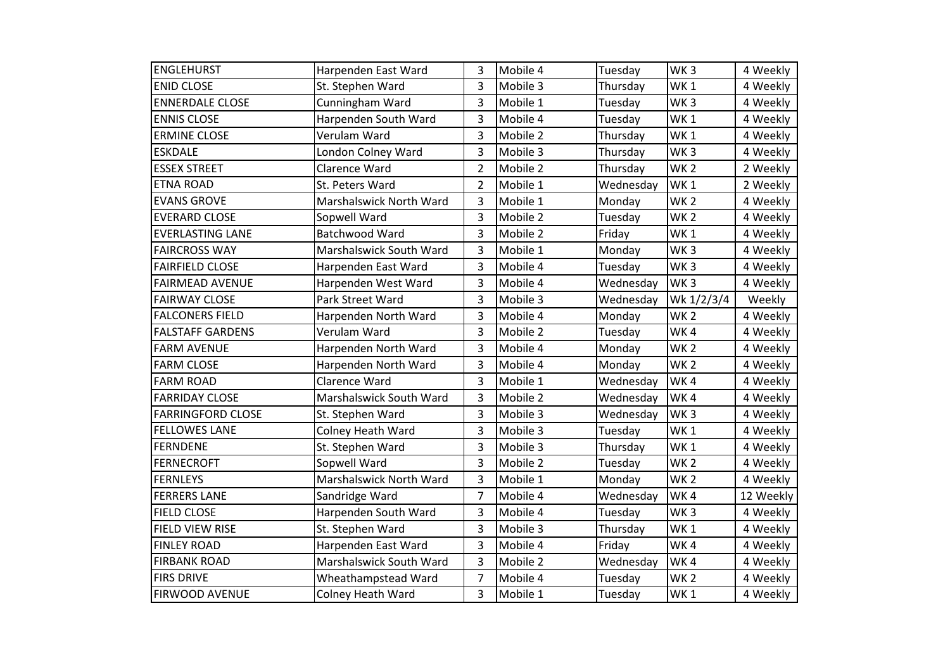| <b>ENGLEHURST</b>        | Harpenden East Ward      | 3              | Mobile 4 | Tuesday   | WK <sub>3</sub> | 4 Weekly  |
|--------------------------|--------------------------|----------------|----------|-----------|-----------------|-----------|
| <b>ENID CLOSE</b>        | St. Stephen Ward         | 3              | Mobile 3 | Thursday  | WK <sub>1</sub> | 4 Weekly  |
| <b>ENNERDALE CLOSE</b>   | Cunningham Ward          | 3              | Mobile 1 | Tuesday   | WK <sub>3</sub> | 4 Weekly  |
| <b>ENNIS CLOSE</b>       | Harpenden South Ward     | 3              | Mobile 4 | Tuesday   | WK <sub>1</sub> | 4 Weekly  |
| <b>ERMINE CLOSE</b>      | Verulam Ward             | 3              | Mobile 2 | Thursday  | WK <sub>1</sub> | 4 Weekly  |
| <b>ESKDALE</b>           | London Colney Ward       | 3              | Mobile 3 | Thursday  | WK <sub>3</sub> | 4 Weekly  |
| <b>ESSEX STREET</b>      | Clarence Ward            | $\overline{2}$ | Mobile 2 | Thursday  | WK <sub>2</sub> | 2 Weekly  |
| <b>ETNA ROAD</b>         | St. Peters Ward          | $\overline{2}$ | Mobile 1 | Wednesday | WK <sub>1</sub> | 2 Weekly  |
| <b>EVANS GROVE</b>       | Marshalswick North Ward  | 3              | Mobile 1 | Monday    | WK <sub>2</sub> | 4 Weekly  |
| <b>EVERARD CLOSE</b>     | Sopwell Ward             | 3              | Mobile 2 | Tuesday   | WK <sub>2</sub> | 4 Weekly  |
| <b>EVERLASTING LANE</b>  | Batchwood Ward           | 3              | Mobile 2 | Friday    | WK1             | 4 Weekly  |
| <b>FAIRCROSS WAY</b>     | Marshalswick South Ward  | 3              | Mobile 1 | Monday    | WK <sub>3</sub> | 4 Weekly  |
| <b>FAIRFIELD CLOSE</b>   | Harpenden East Ward      | 3              | Mobile 4 | Tuesday   | WK <sub>3</sub> | 4 Weekly  |
| <b>FAIRMEAD AVENUE</b>   | Harpenden West Ward      | 3              | Mobile 4 | Wednesday | WK <sub>3</sub> | 4 Weekly  |
| <b>FAIRWAY CLOSE</b>     | Park Street Ward         | 3              | Mobile 3 | Wednesday | Wk 1/2/3/4      | Weekly    |
| <b>FALCONERS FIELD</b>   | Harpenden North Ward     | 3              | Mobile 4 | Monday    | WK <sub>2</sub> | 4 Weekly  |
| <b>FALSTAFF GARDENS</b>  | Verulam Ward             | 3              | Mobile 2 | Tuesday   | WK4             | 4 Weekly  |
| <b>FARM AVENUE</b>       | Harpenden North Ward     | 3              | Mobile 4 | Monday    | WK <sub>2</sub> | 4 Weekly  |
| <b>FARM CLOSE</b>        | Harpenden North Ward     | 3              | Mobile 4 | Monday    | WK <sub>2</sub> | 4 Weekly  |
| <b>FARM ROAD</b>         | Clarence Ward            | 3              | Mobile 1 | Wednesday | WK4             | 4 Weekly  |
| <b>FARRIDAY CLOSE</b>    | Marshalswick South Ward  | 3              | Mobile 2 | Wednesday | WK4             | 4 Weekly  |
| <b>FARRINGFORD CLOSE</b> | St. Stephen Ward         | 3              | Mobile 3 | Wednesday | WK <sub>3</sub> | 4 Weekly  |
| <b>FELLOWES LANE</b>     | Colney Heath Ward        | 3              | Mobile 3 | Tuesday   | WK <sub>1</sub> | 4 Weekly  |
| <b>FERNDENE</b>          | St. Stephen Ward         | 3              | Mobile 3 | Thursday  | WK <sub>1</sub> | 4 Weekly  |
| <b>FERNECROFT</b>        | Sopwell Ward             | 3              | Mobile 2 | Tuesday   | WK <sub>2</sub> | 4 Weekly  |
| <b>FERNLEYS</b>          | Marshalswick North Ward  | 3              | Mobile 1 | Monday    | WK <sub>2</sub> | 4 Weekly  |
| <b>FERRERS LANE</b>      | Sandridge Ward           | 7              | Mobile 4 | Wednesday | WK4             | 12 Weekly |
| <b>FIELD CLOSE</b>       | Harpenden South Ward     | 3              | Mobile 4 | Tuesday   | WK <sub>3</sub> | 4 Weekly  |
| <b>FIELD VIEW RISE</b>   | St. Stephen Ward         | 3              | Mobile 3 | Thursday  | WK <sub>1</sub> | 4 Weekly  |
| <b>FINLEY ROAD</b>       | Harpenden East Ward      | 3              | Mobile 4 | Friday    | WK4             | 4 Weekly  |
| <b>FIRBANK ROAD</b>      | Marshalswick South Ward  | 3              | Mobile 2 | Wednesday | WK4             | 4 Weekly  |
| <b>FIRS DRIVE</b>        | Wheathampstead Ward      | 7              | Mobile 4 | Tuesday   | WK <sub>2</sub> | 4 Weekly  |
| <b>FIRWOOD AVENUE</b>    | <b>Colney Heath Ward</b> | 3              | Mobile 1 | Tuesday   | WK1             | 4 Weekly  |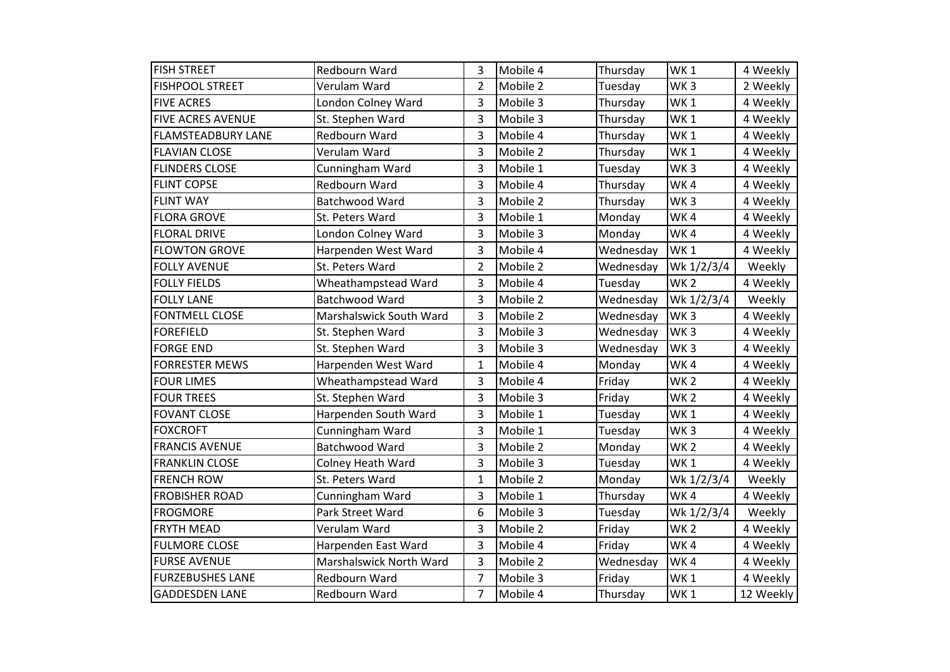| <b>FISH STREET</b>        | Redbourn Ward            | 3              | Mobile 4 | Thursday  | WK <sub>1</sub> | 4 Weekly  |
|---------------------------|--------------------------|----------------|----------|-----------|-----------------|-----------|
| <b>FISHPOOL STREET</b>    | Verulam Ward             | $\overline{2}$ | Mobile 2 | Tuesday   | WK <sub>3</sub> | 2 Weekly  |
| <b>FIVE ACRES</b>         | London Colney Ward       | 3              | Mobile 3 | Thursday  | WK <sub>1</sub> | 4 Weekly  |
| <b>FIVE ACRES AVENUE</b>  | St. Stephen Ward         | 3              | Mobile 3 | Thursday  | WK <sub>1</sub> | 4 Weekly  |
| <b>FLAMSTEADBURY LANE</b> | Redbourn Ward            | 3              | Mobile 4 | Thursday  | WK <sub>1</sub> | 4 Weekly  |
| <b>FLAVIAN CLOSE</b>      | Verulam Ward             | 3              | Mobile 2 | Thursday  | WK <sub>1</sub> | 4 Weekly  |
| <b>FLINDERS CLOSE</b>     | Cunningham Ward          | 3              | Mobile 1 | Tuesday   | WK <sub>3</sub> | 4 Weekly  |
| <b>FLINT COPSE</b>        | Redbourn Ward            | 3              | Mobile 4 | Thursday  | WK4             | 4 Weekly  |
| <b>FLINT WAY</b>          | Batchwood Ward           | 3              | Mobile 2 | Thursday  | WK <sub>3</sub> | 4 Weekly  |
| <b>FLORA GROVE</b>        | St. Peters Ward          | 3              | Mobile 1 | Monday    | WK4             | 4 Weekly  |
| <b>FLORAL DRIVE</b>       | London Colney Ward       | 3              | Mobile 3 | Monday    | WK4             | 4 Weekly  |
| <b>FLOWTON GROVE</b>      | Harpenden West Ward      | 3              | Mobile 4 | Wednesday | WK <sub>1</sub> | 4 Weekly  |
| <b>FOLLY AVENUE</b>       | St. Peters Ward          | $\overline{2}$ | Mobile 2 | Wednesday | Wk 1/2/3/4      | Weekly    |
| <b>FOLLY FIELDS</b>       | Wheathampstead Ward      | 3              | Mobile 4 | Tuesday   | <b>WK2</b>      | 4 Weekly  |
| <b>FOLLY LANE</b>         | Batchwood Ward           | 3              | Mobile 2 | Wednesday | Wk 1/2/3/4      | Weekly    |
| <b>FONTMELL CLOSE</b>     | Marshalswick South Ward  | 3              | Mobile 2 | Wednesday | WK <sub>3</sub> | 4 Weekly  |
| <b>FOREFIELD</b>          | St. Stephen Ward         | 3              | Mobile 3 | Wednesday | WK <sub>3</sub> | 4 Weekly  |
| <b>FORGE END</b>          | St. Stephen Ward         | 3              | Mobile 3 | Wednesday | WK <sub>3</sub> | 4 Weekly  |
| <b>FORRESTER MEWS</b>     | Harpenden West Ward      | $\mathbf{1}$   | Mobile 4 | Monday    | WK4             | 4 Weekly  |
| <b>FOUR LIMES</b>         | Wheathampstead Ward      | 3              | Mobile 4 | Friday    | WK <sub>2</sub> | 4 Weekly  |
| <b>FOUR TREES</b>         | St. Stephen Ward         | 3              | Mobile 3 | Friday    | WK <sub>2</sub> | 4 Weekly  |
| <b>FOVANT CLOSE</b>       | Harpenden South Ward     | 3              | Mobile 1 | Tuesday   | WK <sub>1</sub> | 4 Weekly  |
| <b>FOXCROFT</b>           | Cunningham Ward          | 3              | Mobile 1 | Tuesday   | WK <sub>3</sub> | 4 Weekly  |
| <b>FRANCIS AVENUE</b>     | Batchwood Ward           | 3              | Mobile 2 | Monday    | WK <sub>2</sub> | 4 Weekly  |
| <b>FRANKLIN CLOSE</b>     | <b>Colney Heath Ward</b> | 3              | Mobile 3 | Tuesday   | WK <sub>1</sub> | 4 Weekly  |
| <b>FRENCH ROW</b>         | St. Peters Ward          | $\mathbf{1}$   | Mobile 2 | Monday    | Wk 1/2/3/4      | Weekly    |
| <b>FROBISHER ROAD</b>     | Cunningham Ward          | 3              | Mobile 1 | Thursday  | WK4             | 4 Weekly  |
| <b>FROGMORE</b>           | Park Street Ward         | 6              | Mobile 3 | Tuesday   | Wk 1/2/3/4      | Weekly    |
| <b>FRYTH MEAD</b>         | Verulam Ward             | 3              | Mobile 2 | Friday    | WK <sub>2</sub> | 4 Weekly  |
| <b>FULMORE CLOSE</b>      | Harpenden East Ward      | 3              | Mobile 4 | Friday    | WK4             | 4 Weekly  |
| <b>FURSE AVENUE</b>       | Marshalswick North Ward  | 3              | Mobile 2 | Wednesday | WK4             | 4 Weekly  |
| <b>FURZEBUSHES LANE</b>   | Redbourn Ward            | $\overline{7}$ | Mobile 3 | Friday    | WK <sub>1</sub> | 4 Weekly  |
| <b>GADDESDEN LANE</b>     | Redbourn Ward            | $\overline{7}$ | Mobile 4 | Thursday  | WK <sub>1</sub> | 12 Weekly |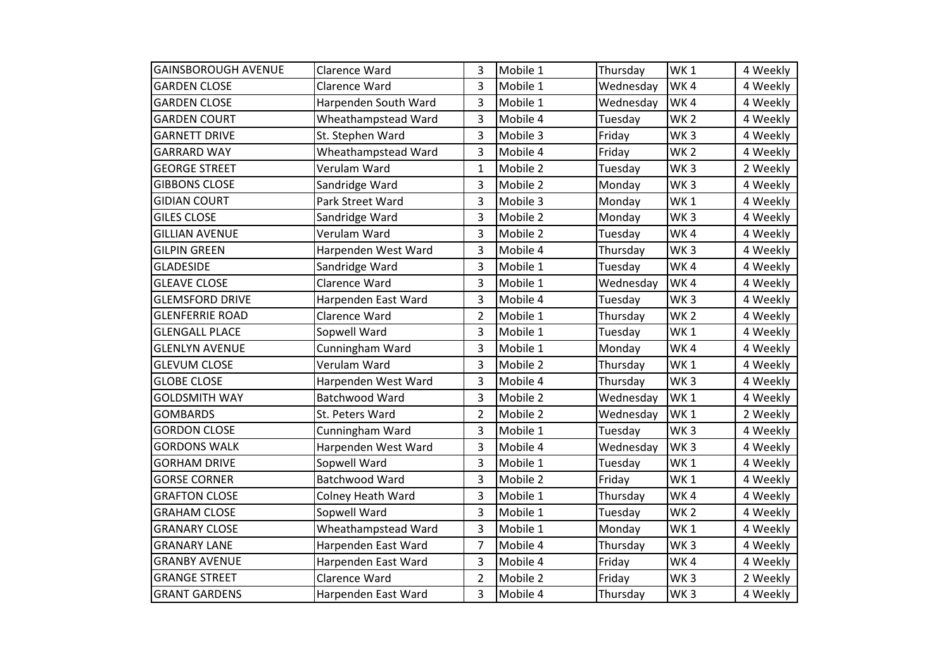| <b>GAINSBOROUGH AVENUE</b> | Clarence Ward        | 3              | Mobile 1 | Thursday  | WK <sub>1</sub> | 4 Weekly |
|----------------------------|----------------------|----------------|----------|-----------|-----------------|----------|
| <b>GARDEN CLOSE</b>        | Clarence Ward        | 3              | Mobile 1 | Wednesday | WK4             | 4 Weekly |
| <b>GARDEN CLOSE</b>        | Harpenden South Ward | 3              | Mobile 1 | Wednesday | WK4             | 4 Weekly |
| <b>GARDEN COURT</b>        | Wheathampstead Ward  | 3              | Mobile 4 | Tuesday   | WK <sub>2</sub> | 4 Weekly |
| <b>GARNETT DRIVE</b>       | St. Stephen Ward     | 3              | Mobile 3 | Friday    | WK <sub>3</sub> | 4 Weekly |
| <b>GARRARD WAY</b>         | Wheathampstead Ward  | 3              | Mobile 4 | Friday    | WK <sub>2</sub> | 4 Weekly |
| <b>GEORGE STREET</b>       | Verulam Ward         | 1              | Mobile 2 | Tuesday   | WK <sub>3</sub> | 2 Weekly |
| <b>GIBBONS CLOSE</b>       | Sandridge Ward       | 3              | Mobile 2 | Monday    | WK <sub>3</sub> | 4 Weekly |
| <b>GIDIAN COURT</b>        | Park Street Ward     | 3              | Mobile 3 | Monday    | WK <sub>1</sub> | 4 Weekly |
| <b>GILES CLOSE</b>         | Sandridge Ward       | 3              | Mobile 2 | Monday    | WK <sub>3</sub> | 4 Weekly |
| <b>GILLIAN AVENUE</b>      | Verulam Ward         | 3              | Mobile 2 | Tuesday   | WK4             | 4 Weekly |
| <b>GILPIN GREEN</b>        | Harpenden West Ward  | 3              | Mobile 4 | Thursday  | WK <sub>3</sub> | 4 Weekly |
| <b>GLADESIDE</b>           | Sandridge Ward       | 3              | Mobile 1 | Tuesday   | WK4             | 4 Weekly |
| <b>GLEAVE CLOSE</b>        | Clarence Ward        | 3              | Mobile 1 | Wednesday | WK4             | 4 Weekly |
| <b>GLEMSFORD DRIVE</b>     | Harpenden East Ward  | 3              | Mobile 4 | Tuesday   | WK <sub>3</sub> | 4 Weekly |
| <b>GLENFERRIE ROAD</b>     | Clarence Ward        | $\overline{2}$ | Mobile 1 | Thursday  | WK <sub>2</sub> | 4 Weekly |
| <b>GLENGALL PLACE</b>      | Sopwell Ward         | 3              | Mobile 1 | Tuesday   | WK <sub>1</sub> | 4 Weekly |
| <b>GLENLYN AVENUE</b>      | Cunningham Ward      | 3              | Mobile 1 | Monday    | WK4             | 4 Weekly |
| <b>GLEVUM CLOSE</b>        | Verulam Ward         | 3              | Mobile 2 | Thursday  | WK <sub>1</sub> | 4 Weekly |
| <b>GLOBE CLOSE</b>         | Harpenden West Ward  | 3              | Mobile 4 | Thursday  | WK <sub>3</sub> | 4 Weekly |
| <b>GOLDSMITH WAY</b>       | Batchwood Ward       | 3              | Mobile 2 | Wednesday | WK <sub>1</sub> | 4 Weekly |
| <b>GOMBARDS</b>            | St. Peters Ward      | $\overline{2}$ | Mobile 2 | Wednesday | WK <sub>1</sub> | 2 Weekly |
| <b>GORDON CLOSE</b>        | Cunningham Ward      | 3              | Mobile 1 | Tuesday   | WK <sub>3</sub> | 4 Weekly |
| <b>GORDONS WALK</b>        | Harpenden West Ward  | 3              | Mobile 4 | Wednesday | WK <sub>3</sub> | 4 Weekly |
| <b>GORHAM DRIVE</b>        | Sopwell Ward         | 3              | Mobile 1 | Tuesday   | WK1             | 4 Weekly |
| <b>GORSE CORNER</b>        | Batchwood Ward       | 3              | Mobile 2 | Friday    | WK <sub>1</sub> | 4 Weekly |
| <b>GRAFTON CLOSE</b>       | Colney Heath Ward    | 3              | Mobile 1 | Thursday  | WK4             | 4 Weekly |
| <b>GRAHAM CLOSE</b>        | Sopwell Ward         | 3              | Mobile 1 | Tuesday   | WK <sub>2</sub> | 4 Weekly |
| <b>GRANARY CLOSE</b>       | Wheathampstead Ward  | 3              | Mobile 1 | Monday    | WK <sub>1</sub> | 4 Weekly |
| <b>GRANARY LANE</b>        | Harpenden East Ward  | $\overline{7}$ | Mobile 4 | Thursday  | WK <sub>3</sub> | 4 Weekly |
| <b>GRANBY AVENUE</b>       | Harpenden East Ward  | 3              | Mobile 4 | Friday    | WK4             | 4 Weekly |
| <b>GRANGE STREET</b>       | Clarence Ward        | $\overline{2}$ | Mobile 2 | Friday    | WK <sub>3</sub> | 2 Weekly |
| <b>GRANT GARDENS</b>       | Harpenden East Ward  | 3              | Mobile 4 | Thursday  | WK <sub>3</sub> | 4 Weekly |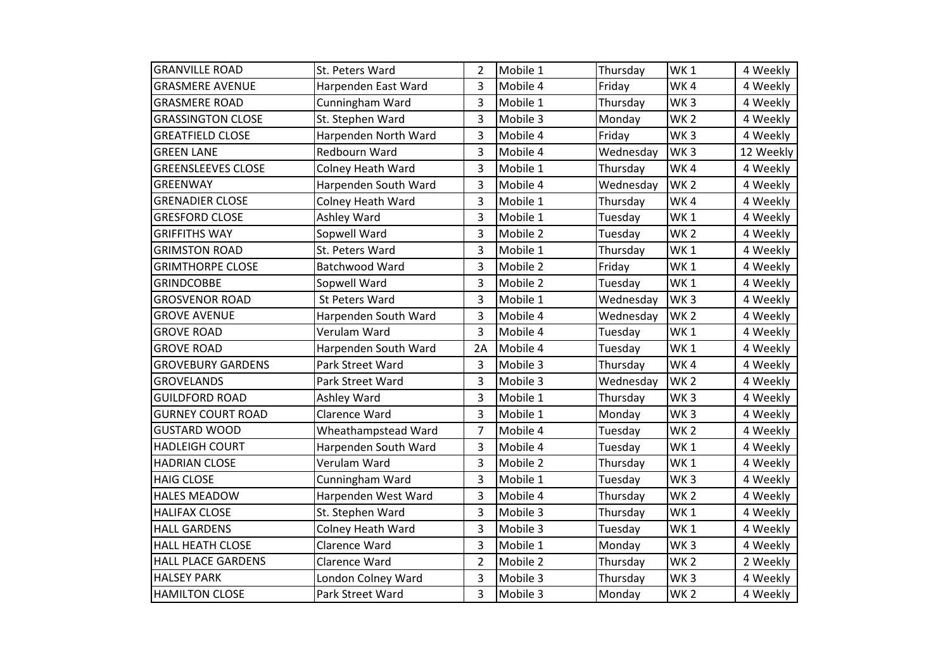| <b>GRANVILLE ROAD</b>     | St. Peters Ward      | 2              | Mobile 1 | Thursday  | WK <sub>1</sub> | 4 Weekly  |
|---------------------------|----------------------|----------------|----------|-----------|-----------------|-----------|
| <b>GRASMERE AVENUE</b>    | Harpenden East Ward  | 3              | Mobile 4 | Friday    | WK4             | 4 Weekly  |
| <b>GRASMERE ROAD</b>      | Cunningham Ward      | 3              | Mobile 1 | Thursday  | WK <sub>3</sub> | 4 Weekly  |
| <b>GRASSINGTON CLOSE</b>  | St. Stephen Ward     | 3              | Mobile 3 | Monday    | WK <sub>2</sub> | 4 Weekly  |
| <b>GREATFIELD CLOSE</b>   | Harpenden North Ward | 3              | Mobile 4 | Friday    | WK <sub>3</sub> | 4 Weekly  |
| <b>GREEN LANE</b>         | Redbourn Ward        | 3              | Mobile 4 | Wednesday | WK <sub>3</sub> | 12 Weekly |
| <b>GREENSLEEVES CLOSE</b> | Colney Heath Ward    | 3              | Mobile 1 | Thursday  | WK4             | 4 Weekly  |
| GREENWAY                  | Harpenden South Ward | 3              | Mobile 4 | Wednesday | WK <sub>2</sub> | 4 Weekly  |
| <b>GRENADIER CLOSE</b>    | Colney Heath Ward    | 3              | Mobile 1 | Thursday  | WK4             | 4 Weekly  |
| <b>GRESFORD CLOSE</b>     | Ashley Ward          | 3              | Mobile 1 | Tuesday   | WK <sub>1</sub> | 4 Weekly  |
| <b>GRIFFITHS WAY</b>      | Sopwell Ward         | 3              | Mobile 2 | Tuesday   | WK <sub>2</sub> | 4 Weekly  |
| <b>GRIMSTON ROAD</b>      | St. Peters Ward      | 3              | Mobile 1 | Thursday  | WK <sub>1</sub> | 4 Weekly  |
| <b>GRIMTHORPE CLOSE</b>   | Batchwood Ward       | 3              | Mobile 2 | Friday    | WK <sub>1</sub> | 4 Weekly  |
| <b>GRINDCOBBE</b>         | Sopwell Ward         | 3              | Mobile 2 | Tuesday   | WK <sub>1</sub> | 4 Weekly  |
| <b>GROSVENOR ROAD</b>     | St Peters Ward       | 3              | Mobile 1 | Wednesday | WK <sub>3</sub> | 4 Weekly  |
| <b>GROVE AVENUE</b>       | Harpenden South Ward | 3              | Mobile 4 | Wednesday | WK <sub>2</sub> | 4 Weekly  |
| <b>GROVE ROAD</b>         | Verulam Ward         | 3              | Mobile 4 | Tuesday   | WK <sub>1</sub> | 4 Weekly  |
| <b>GROVE ROAD</b>         | Harpenden South Ward | 2A             | Mobile 4 | Tuesday   | WK1             | 4 Weekly  |
| <b>GROVEBURY GARDENS</b>  | Park Street Ward     | 3              | Mobile 3 | Thursday  | WK4             | 4 Weekly  |
| <b>GROVELANDS</b>         | Park Street Ward     | 3              | Mobile 3 | Wednesday | WK <sub>2</sub> | 4 Weekly  |
| <b>GUILDFORD ROAD</b>     | Ashley Ward          | 3              | Mobile 1 | Thursday  | WK <sub>3</sub> | 4 Weekly  |
| <b>GURNEY COURT ROAD</b>  | Clarence Ward        | 3              | Mobile 1 | Monday    | WK <sub>3</sub> | 4 Weekly  |
| <b>GUSTARD WOOD</b>       | Wheathampstead Ward  | 7              | Mobile 4 | Tuesday   | WK <sub>2</sub> | 4 Weekly  |
| <b>HADLEIGH COURT</b>     | Harpenden South Ward | 3              | Mobile 4 | Tuesday   | WK <sub>1</sub> | 4 Weekly  |
| <b>HADRIAN CLOSE</b>      | Verulam Ward         | 3              | Mobile 2 | Thursday  | WK <sub>1</sub> | 4 Weekly  |
| <b>HAIG CLOSE</b>         | Cunningham Ward      | 3              | Mobile 1 | Tuesday   | WK <sub>3</sub> | 4 Weekly  |
| <b>HALES MEADOW</b>       | Harpenden West Ward  | 3              | Mobile 4 | Thursday  | WK <sub>2</sub> | 4 Weekly  |
| <b>HALIFAX CLOSE</b>      | St. Stephen Ward     | 3              | Mobile 3 | Thursday  | WK <sub>1</sub> | 4 Weekly  |
| <b>HALL GARDENS</b>       | Colney Heath Ward    | 3              | Mobile 3 | Tuesday   | WK <sub>1</sub> | 4 Weekly  |
| <b>HALL HEATH CLOSE</b>   | Clarence Ward        | 3              | Mobile 1 | Monday    | WK <sub>3</sub> | 4 Weekly  |
| <b>HALL PLACE GARDENS</b> | Clarence Ward        | $\overline{2}$ | Mobile 2 | Thursday  | WK <sub>2</sub> | 2 Weekly  |
| <b>HALSEY PARK</b>        | London Colney Ward   | 3              | Mobile 3 | Thursday  | WK <sub>3</sub> | 4 Weekly  |
| <b>HAMILTON CLOSE</b>     | Park Street Ward     | 3              | Mobile 3 | Monday    | WK <sub>2</sub> | 4 Weekly  |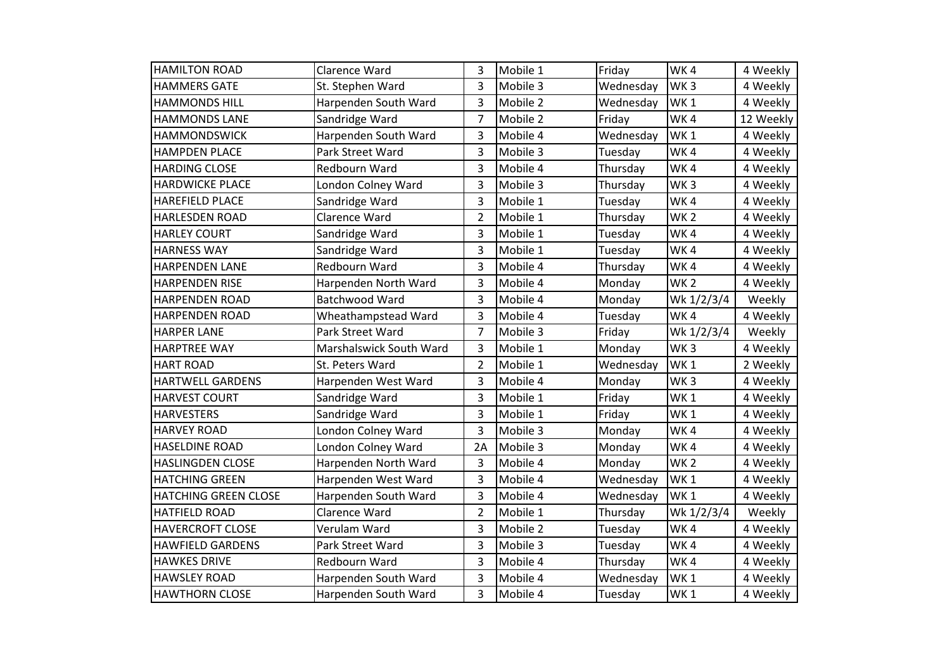| <b>HAMILTON ROAD</b>    | Clarence Ward           | 3              | Mobile 1 | Friday    | WK4             | 4 Weekly  |
|-------------------------|-------------------------|----------------|----------|-----------|-----------------|-----------|
| <b>HAMMERS GATE</b>     | St. Stephen Ward        | 3              | Mobile 3 | Wednesday | WK <sub>3</sub> | 4 Weekly  |
| <b>HAMMONDS HILL</b>    | Harpenden South Ward    | 3              | Mobile 2 | Wednesday | WK <sub>1</sub> | 4 Weekly  |
| <b>HAMMONDS LANE</b>    | Sandridge Ward          | $\overline{7}$ | Mobile 2 | Friday    | WK4             | 12 Weekly |
| <b>HAMMONDSWICK</b>     | Harpenden South Ward    | 3              | Mobile 4 | Wednesday | WK <sub>1</sub> | 4 Weekly  |
| <b>HAMPDEN PLACE</b>    | Park Street Ward        | 3              | Mobile 3 | Tuesday   | WK4             | 4 Weekly  |
| <b>HARDING CLOSE</b>    | Redbourn Ward           | 3              | Mobile 4 | Thursday  | WK4             | 4 Weekly  |
| <b>HARDWICKE PLACE</b>  | London Colney Ward      | 3              | Mobile 3 | Thursday  | WK <sub>3</sub> | 4 Weekly  |
| <b>HAREFIELD PLACE</b>  | Sandridge Ward          | 3              | Mobile 1 | Tuesday   | WK4             | 4 Weekly  |
| <b>HARLESDEN ROAD</b>   | Clarence Ward           | $\overline{2}$ | Mobile 1 | Thursday  | WK <sub>2</sub> | 4 Weekly  |
| <b>HARLEY COURT</b>     | Sandridge Ward          | 3              | Mobile 1 | Tuesday   | WK4             | 4 Weekly  |
| <b>HARNESS WAY</b>      | Sandridge Ward          | 3              | Mobile 1 | Tuesday   | WK4             | 4 Weekly  |
| <b>HARPENDEN LANE</b>   | Redbourn Ward           | 3              | Mobile 4 | Thursday  | WK4             | 4 Weekly  |
| <b>HARPENDEN RISE</b>   | Harpenden North Ward    | 3              | Mobile 4 | Monday    | WK <sub>2</sub> | 4 Weekly  |
| <b>HARPENDEN ROAD</b>   | Batchwood Ward          | 3              | Mobile 4 | Monday    | Wk 1/2/3/4      | Weekly    |
| <b>HARPENDEN ROAD</b>   | Wheathampstead Ward     | 3              | Mobile 4 | Tuesday   | WK4             | 4 Weekly  |
| <b>HARPER LANE</b>      | Park Street Ward        | $\overline{7}$ | Mobile 3 | Friday    | Wk 1/2/3/4      | Weekly    |
| <b>HARPTREE WAY</b>     | Marshalswick South Ward | 3              | Mobile 1 | Monday    | WK <sub>3</sub> | 4 Weekly  |
| <b>HART ROAD</b>        | St. Peters Ward         | $\overline{2}$ | Mobile 1 | Wednesday | WK <sub>1</sub> | 2 Weekly  |
| <b>HARTWELL GARDENS</b> | Harpenden West Ward     | 3              | Mobile 4 | Monday    | WK <sub>3</sub> | 4 Weekly  |
| <b>HARVEST COURT</b>    | Sandridge Ward          | 3              | Mobile 1 | Friday    | WK <sub>1</sub> | 4 Weekly  |
| <b>HARVESTERS</b>       | Sandridge Ward          | 3              | Mobile 1 | Friday    | WK <sub>1</sub> | 4 Weekly  |
| <b>HARVEY ROAD</b>      | London Colney Ward      | 3              | Mobile 3 | Monday    | WK4             | 4 Weekly  |
| <b>HASELDINE ROAD</b>   | London Colney Ward      | 2A             | Mobile 3 | Monday    | WK4             | 4 Weekly  |
| <b>HASLINGDEN CLOSE</b> | Harpenden North Ward    | 3              | Mobile 4 | Monday    | WK <sub>2</sub> | 4 Weekly  |
| <b>HATCHING GREEN</b>   | Harpenden West Ward     | 3              | Mobile 4 | Wednesday | WK <sub>1</sub> | 4 Weekly  |
| HATCHING GREEN CLOSE    | Harpenden South Ward    | 3              | Mobile 4 | Wednesday | WK <sub>1</sub> | 4 Weekly  |
| <b>HATFIELD ROAD</b>    | Clarence Ward           | $\overline{2}$ | Mobile 1 | Thursday  | Wk 1/2/3/4      | Weekly    |
| <b>HAVERCROFT CLOSE</b> | Verulam Ward            | 3              | Mobile 2 | Tuesday   | WK4             | 4 Weekly  |
| <b>HAWFIELD GARDENS</b> | Park Street Ward        | 3              | Mobile 3 | Tuesday   | WK4             | 4 Weekly  |
| <b>HAWKES DRIVE</b>     | Redbourn Ward           | 3              | Mobile 4 | Thursday  | WK4             | 4 Weekly  |
| <b>HAWSLEY ROAD</b>     | Harpenden South Ward    | 3              | Mobile 4 | Wednesday | WK <sub>1</sub> | 4 Weekly  |
| <b>HAWTHORN CLOSE</b>   | Harpenden South Ward    | 3              | Mobile 4 | Tuesday   | WK1             | 4 Weekly  |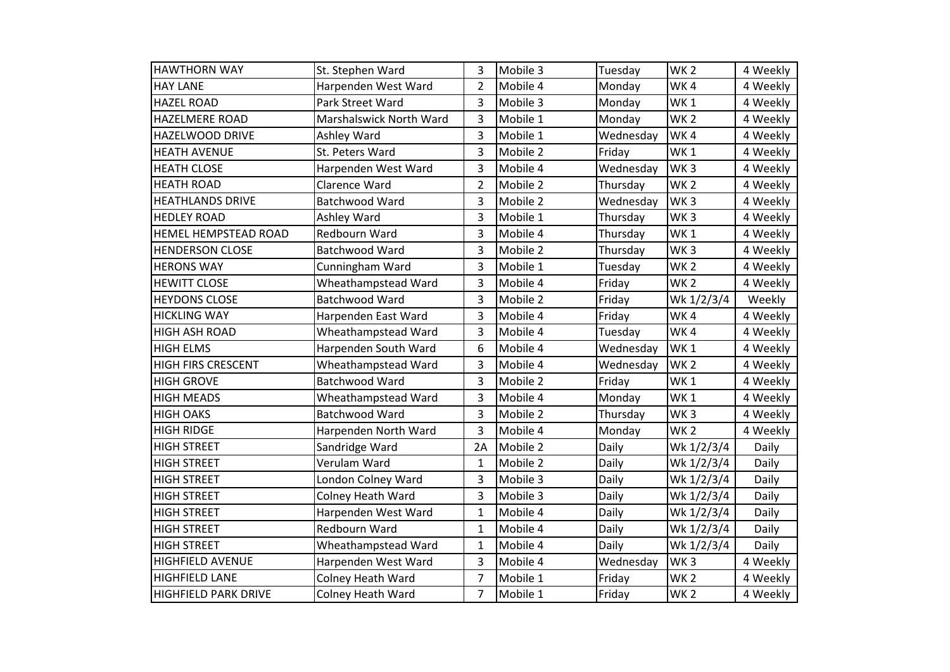| <b>HAWTHORN WAY</b>         | St. Stephen Ward         | 3              | Mobile 3 | Tuesday   | WK <sub>2</sub> | 4 Weekly |
|-----------------------------|--------------------------|----------------|----------|-----------|-----------------|----------|
| <b>HAY LANE</b>             | Harpenden West Ward      | $\overline{2}$ | Mobile 4 | Monday    | WK4             | 4 Weekly |
| <b>HAZEL ROAD</b>           | Park Street Ward         | 3              | Mobile 3 | Monday    | WK <sub>1</sub> | 4 Weekly |
| <b>HAZELMERE ROAD</b>       | Marshalswick North Ward  | 3              | Mobile 1 | Monday    | WK <sub>2</sub> | 4 Weekly |
| <b>HAZELWOOD DRIVE</b>      | Ashley Ward              | 3              | Mobile 1 | Wednesday | WK4             | 4 Weekly |
| <b>HEATH AVENUE</b>         | St. Peters Ward          | 3              | Mobile 2 | Friday    | WK <sub>1</sub> | 4 Weekly |
| <b>HEATH CLOSE</b>          | Harpenden West Ward      | 3              | Mobile 4 | Wednesday | WK <sub>3</sub> | 4 Weekly |
| <b>HEATH ROAD</b>           | Clarence Ward            | $\overline{2}$ | Mobile 2 | Thursday  | WK <sub>2</sub> | 4 Weekly |
| <b>HEATHLANDS DRIVE</b>     | Batchwood Ward           | 3              | Mobile 2 | Wednesday | WK <sub>3</sub> | 4 Weekly |
| <b>HEDLEY ROAD</b>          | Ashley Ward              | 3              | Mobile 1 | Thursday  | WK <sub>3</sub> | 4 Weekly |
| <b>HEMEL HEMPSTEAD ROAD</b> | Redbourn Ward            | 3              | Mobile 4 | Thursday  | WK1             | 4 Weekly |
| <b>HENDERSON CLOSE</b>      | Batchwood Ward           | 3              | Mobile 2 | Thursday  | WK <sub>3</sub> | 4 Weekly |
| <b>HERONS WAY</b>           | Cunningham Ward          | 3              | Mobile 1 | Tuesday   | WK <sub>2</sub> | 4 Weekly |
| <b>HEWITT CLOSE</b>         | Wheathampstead Ward      | 3              | Mobile 4 | Friday    | WK <sub>2</sub> | 4 Weekly |
| <b>HEYDONS CLOSE</b>        | Batchwood Ward           | 3              | Mobile 2 | Friday    | Wk 1/2/3/4      | Weekly   |
| <b>HICKLING WAY</b>         | Harpenden East Ward      | 3              | Mobile 4 | Friday    | WK4             | 4 Weekly |
| <b>HIGH ASH ROAD</b>        | Wheathampstead Ward      | 3              | Mobile 4 | Tuesday   | WK4             | 4 Weekly |
| <b>HIGH ELMS</b>            | Harpenden South Ward     | 6              | Mobile 4 | Wednesday | WK <sub>1</sub> | 4 Weekly |
| <b>HIGH FIRS CRESCENT</b>   | Wheathampstead Ward      | 3              | Mobile 4 | Wednesday | WK <sub>2</sub> | 4 Weekly |
| <b>HIGH GROVE</b>           | Batchwood Ward           | 3              | Mobile 2 | Friday    | WK <sub>1</sub> | 4 Weekly |
| <b>HIGH MEADS</b>           | Wheathampstead Ward      | 3              | Mobile 4 | Monday    | WK <sub>1</sub> | 4 Weekly |
| <b>HIGH OAKS</b>            | Batchwood Ward           | 3              | Mobile 2 | Thursday  | WK <sub>3</sub> | 4 Weekly |
| <b>HIGH RIDGE</b>           | Harpenden North Ward     | 3              | Mobile 4 | Monday    | WK <sub>2</sub> | 4 Weekly |
| <b>HIGH STREET</b>          | Sandridge Ward           | 2A             | Mobile 2 | Daily     | Wk 1/2/3/4      | Daily    |
| <b>HIGH STREET</b>          | Verulam Ward             | 1              | Mobile 2 | Daily     | Wk 1/2/3/4      | Daily    |
| <b>HIGH STREET</b>          | London Colney Ward       | 3              | Mobile 3 | Daily     | Wk 1/2/3/4      | Daily    |
| <b>HIGH STREET</b>          | <b>Colney Heath Ward</b> | 3              | Mobile 3 | Daily     | Wk 1/2/3/4      | Daily    |
| <b>HIGH STREET</b>          | Harpenden West Ward      | $\mathbf{1}$   | Mobile 4 | Daily     | Wk 1/2/3/4      | Daily    |
| <b>HIGH STREET</b>          | Redbourn Ward            | $\mathbf{1}$   | Mobile 4 | Daily     | Wk 1/2/3/4      | Daily    |
| <b>HIGH STREET</b>          | Wheathampstead Ward      | 1              | Mobile 4 | Daily     | Wk 1/2/3/4      | Daily    |
| <b>HIGHFIELD AVENUE</b>     | Harpenden West Ward      | 3              | Mobile 4 | Wednesday | WK <sub>3</sub> | 4 Weekly |
| <b>HIGHFIELD LANE</b>       | Colney Heath Ward        | $\overline{7}$ | Mobile 1 | Friday    | WK <sub>2</sub> | 4 Weekly |
| <b>HIGHFIELD PARK DRIVE</b> | <b>Colney Heath Ward</b> | $\overline{7}$ | Mobile 1 | Friday    | WK <sub>2</sub> | 4 Weekly |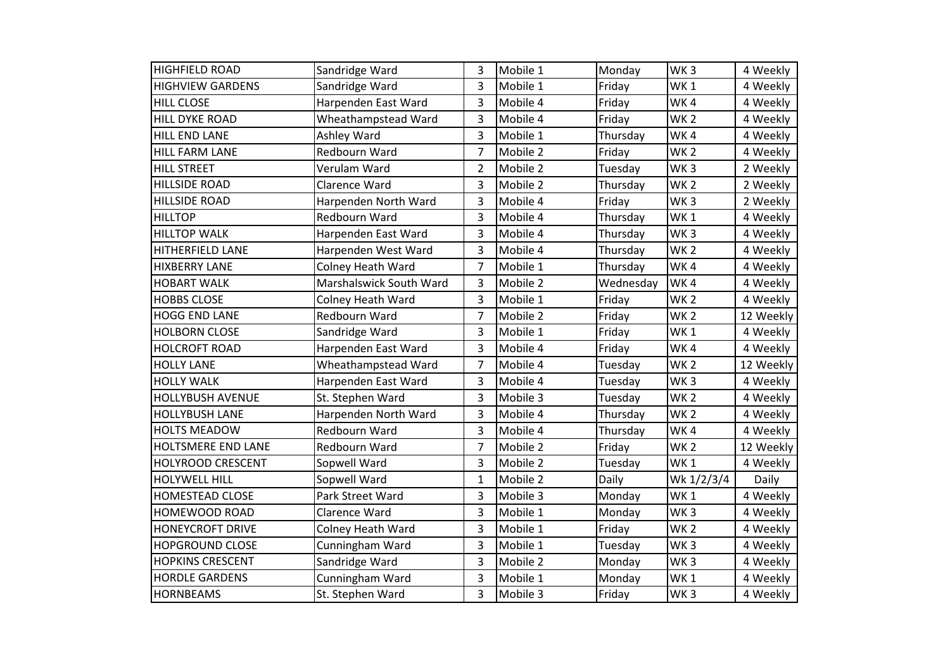| <b>HIGHFIELD ROAD</b>     | Sandridge Ward           | 3              | Mobile 1 | Monday    | WK <sub>3</sub> | 4 Weekly  |
|---------------------------|--------------------------|----------------|----------|-----------|-----------------|-----------|
| <b>HIGHVIEW GARDENS</b>   | Sandridge Ward           | 3              | Mobile 1 | Friday    | WK <sub>1</sub> | 4 Weekly  |
| <b>HILL CLOSE</b>         | Harpenden East Ward      | 3              | Mobile 4 | Friday    | WK4             | 4 Weekly  |
| <b>HILL DYKE ROAD</b>     | Wheathampstead Ward      | 3              | Mobile 4 | Friday    | WK <sub>2</sub> | 4 Weekly  |
| <b>HILL END LANE</b>      | Ashley Ward              | 3              | Mobile 1 | Thursday  | WK4             | 4 Weekly  |
| HILL FARM LANE            | Redbourn Ward            | $\overline{7}$ | Mobile 2 | Friday    | WK <sub>2</sub> | 4 Weekly  |
| <b>HILL STREET</b>        | Verulam Ward             | $\overline{2}$ | Mobile 2 | Tuesday   | WK <sub>3</sub> | 2 Weekly  |
| <b>HILLSIDE ROAD</b>      | Clarence Ward            | 3              | Mobile 2 | Thursday  | WK <sub>2</sub> | 2 Weekly  |
| <b>HILLSIDE ROAD</b>      | Harpenden North Ward     | 3              | Mobile 4 | Friday    | WK <sub>3</sub> | 2 Weekly  |
| <b>HILLTOP</b>            | Redbourn Ward            | 3              | Mobile 4 | Thursday  | WK <sub>1</sub> | 4 Weekly  |
| <b>HILLTOP WALK</b>       | Harpenden East Ward      | 3              | Mobile 4 | Thursday  | WK <sub>3</sub> | 4 Weekly  |
| <b>HITHERFIELD LANE</b>   | Harpenden West Ward      | 3              | Mobile 4 | Thursday  | WK <sub>2</sub> | 4 Weekly  |
| <b>HIXBERRY LANE</b>      | Colney Heath Ward        | $\overline{7}$ | Mobile 1 | Thursday  | WK4             | 4 Weekly  |
| <b>HOBART WALK</b>        | Marshalswick South Ward  | 3              | Mobile 2 | Wednesday | WK4             | 4 Weekly  |
| <b>HOBBS CLOSE</b>        | <b>Colney Heath Ward</b> | 3              | Mobile 1 | Friday    | WK <sub>2</sub> | 4 Weekly  |
| <b>HOGG END LANE</b>      | Redbourn Ward            | $\overline{7}$ | Mobile 2 | Friday    | WK <sub>2</sub> | 12 Weekly |
| <b>HOLBORN CLOSE</b>      | Sandridge Ward           | 3              | Mobile 1 | Friday    | WK <sub>1</sub> | 4 Weekly  |
| <b>HOLCROFT ROAD</b>      | Harpenden East Ward      | 3              | Mobile 4 | Friday    | WK4             | 4 Weekly  |
| <b>HOLLY LANE</b>         | Wheathampstead Ward      | 7              | Mobile 4 | Tuesday   | WK <sub>2</sub> | 12 Weekly |
| <b>HOLLY WALK</b>         | Harpenden East Ward      | 3              | Mobile 4 | Tuesday   | WK <sub>3</sub> | 4 Weekly  |
| <b>HOLLYBUSH AVENUE</b>   | St. Stephen Ward         | 3              | Mobile 3 | Tuesday   | WK <sub>2</sub> | 4 Weekly  |
| <b>HOLLYBUSH LANE</b>     | Harpenden North Ward     | 3              | Mobile 4 | Thursday  | WK <sub>2</sub> | 4 Weekly  |
| <b>HOLTS MEADOW</b>       | Redbourn Ward            | 3              | Mobile 4 | Thursday  | WK4             | 4 Weekly  |
| <b>HOLTSMERE END LANE</b> | Redbourn Ward            | 7              | Mobile 2 | Friday    | WK <sub>2</sub> | 12 Weekly |
| <b>HOLYROOD CRESCENT</b>  | Sopwell Ward             | 3              | Mobile 2 | Tuesday   | WK <sub>1</sub> | 4 Weekly  |
| <b>HOLYWELL HILL</b>      | Sopwell Ward             | $\mathbf{1}$   | Mobile 2 | Daily     | Wk 1/2/3/4      | Daily     |
| <b>HOMESTEAD CLOSE</b>    | Park Street Ward         | 3              | Mobile 3 | Monday    | WK <sub>1</sub> | 4 Weekly  |
| <b>HOMEWOOD ROAD</b>      | Clarence Ward            | 3              | Mobile 1 | Monday    | WK <sub>3</sub> | 4 Weekly  |
| <b>HONEYCROFT DRIVE</b>   | <b>Colney Heath Ward</b> | 3              | Mobile 1 | Friday    | WK <sub>2</sub> | 4 Weekly  |
| <b>HOPGROUND CLOSE</b>    | Cunningham Ward          | 3              | Mobile 1 | Tuesday   | WK <sub>3</sub> | 4 Weekly  |
| <b>HOPKINS CRESCENT</b>   | Sandridge Ward           | 3              | Mobile 2 | Monday    | WK <sub>3</sub> | 4 Weekly  |
| <b>HORDLE GARDENS</b>     | Cunningham Ward          | 3              | Mobile 1 | Monday    | WK <sub>1</sub> | 4 Weekly  |
| <b>HORNBEAMS</b>          | St. Stephen Ward         | 3              | Mobile 3 | Friday    | WK <sub>3</sub> | 4 Weekly  |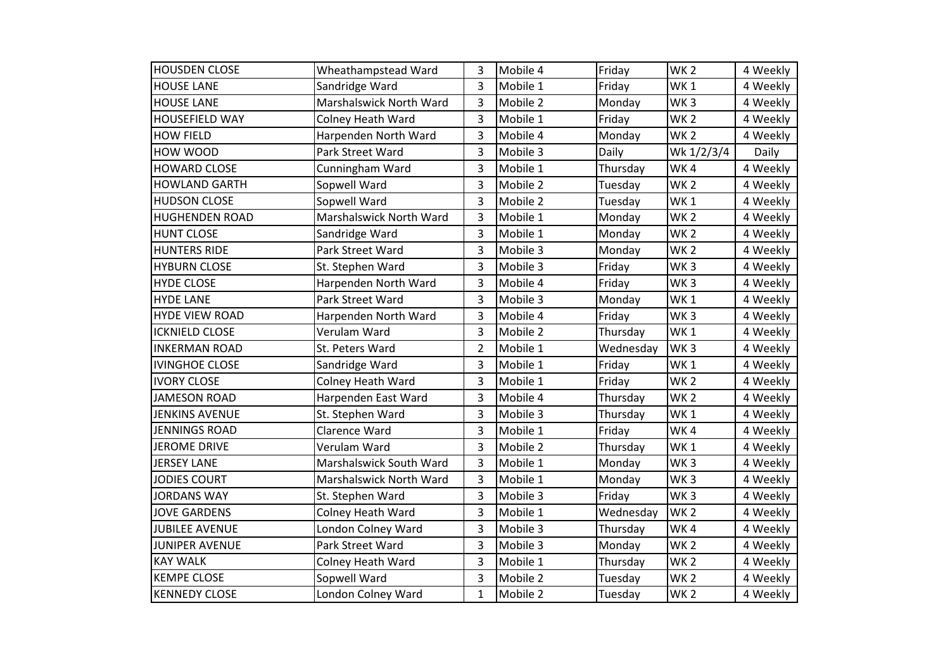| <b>HOUSDEN CLOSE</b>  | Wheathampstead Ward      | 3              | Mobile 4 | Friday    | WK <sub>2</sub> | 4 Weekly |
|-----------------------|--------------------------|----------------|----------|-----------|-----------------|----------|
| <b>HOUSE LANE</b>     | Sandridge Ward           | 3              | Mobile 1 | Friday    | WK <sub>1</sub> | 4 Weekly |
| <b>HOUSE LANE</b>     | Marshalswick North Ward  | 3              | Mobile 2 | Monday    | WK <sub>3</sub> | 4 Weekly |
| <b>HOUSEFIELD WAY</b> | Colney Heath Ward        | 3              | Mobile 1 | Friday    | <b>WK2</b>      | 4 Weekly |
| <b>HOW FIELD</b>      | Harpenden North Ward     | 3              | Mobile 4 | Monday    | WK <sub>2</sub> | 4 Weekly |
| <b>HOW WOOD</b>       | Park Street Ward         | 3              | Mobile 3 | Daily     | Wk 1/2/3/4      | Daily    |
| <b>HOWARD CLOSE</b>   | Cunningham Ward          | 3              | Mobile 1 | Thursday  | WK4             | 4 Weekly |
| <b>HOWLAND GARTH</b>  | Sopwell Ward             | 3              | Mobile 2 | Tuesday   | <b>WK2</b>      | 4 Weekly |
| <b>HUDSON CLOSE</b>   | Sopwell Ward             | 3              | Mobile 2 | Tuesday   | WK <sub>1</sub> | 4 Weekly |
| <b>HUGHENDEN ROAD</b> | Marshalswick North Ward  | 3              | Mobile 1 | Monday    | <b>WK2</b>      | 4 Weekly |
| <b>HUNT CLOSE</b>     | Sandridge Ward           | 3              | Mobile 1 | Monday    | WK <sub>2</sub> | 4 Weekly |
| <b>HUNTERS RIDE</b>   | Park Street Ward         | 3              | Mobile 3 | Monday    | WK <sub>2</sub> | 4 Weekly |
| <b>HYBURN CLOSE</b>   | St. Stephen Ward         | 3              | Mobile 3 | Friday    | WK <sub>3</sub> | 4 Weekly |
| <b>HYDE CLOSE</b>     | Harpenden North Ward     | 3              | Mobile 4 | Friday    | WK <sub>3</sub> | 4 Weekly |
| <b>HYDE LANE</b>      | Park Street Ward         | 3              | Mobile 3 | Monday    | WK <sub>1</sub> | 4 Weekly |
| <b>HYDE VIEW ROAD</b> | Harpenden North Ward     | 3              | Mobile 4 | Friday    | WK <sub>3</sub> | 4 Weekly |
| <b>ICKNIELD CLOSE</b> | Verulam Ward             | 3              | Mobile 2 | Thursday  | WK <sub>1</sub> | 4 Weekly |
| <b>INKERMAN ROAD</b>  | St. Peters Ward          | $\overline{2}$ | Mobile 1 | Wednesday | WK <sub>3</sub> | 4 Weekly |
| <b>IVINGHOE CLOSE</b> | Sandridge Ward           | 3              | Mobile 1 | Friday    | WK <sub>1</sub> | 4 Weekly |
| <b>IVORY CLOSE</b>    | Colney Heath Ward        | 3              | Mobile 1 | Friday    | WK <sub>2</sub> | 4 Weekly |
| <b>JAMESON ROAD</b>   | Harpenden East Ward      | 3              | Mobile 4 | Thursday  | WK <sub>2</sub> | 4 Weekly |
| <b>JENKINS AVENUE</b> | St. Stephen Ward         | 3              | Mobile 3 | Thursday  | WK <sub>1</sub> | 4 Weekly |
| <b>JENNINGS ROAD</b>  | Clarence Ward            | 3              | Mobile 1 | Friday    | WK4             | 4 Weekly |
| <b>JEROME DRIVE</b>   | Verulam Ward             | 3              | Mobile 2 | Thursday  | WK <sub>1</sub> | 4 Weekly |
| <b>JERSEY LANE</b>    | Marshalswick South Ward  | 3              | Mobile 1 | Monday    | WK <sub>3</sub> | 4 Weekly |
| <b>JODIES COURT</b>   | Marshalswick North Ward  | 3              | Mobile 1 | Monday    | WK <sub>3</sub> | 4 Weekly |
| <b>JORDANS WAY</b>    | St. Stephen Ward         | 3              | Mobile 3 | Friday    | WK <sub>3</sub> | 4 Weekly |
| <b>JOVE GARDENS</b>   | <b>Colney Heath Ward</b> | 3              | Mobile 1 | Wednesday | WK <sub>2</sub> | 4 Weekly |
| <b>JUBILEE AVENUE</b> | London Colney Ward       | 3              | Mobile 3 | Thursday  | WK4             | 4 Weekly |
| <b>JUNIPER AVENUE</b> | Park Street Ward         | 3              | Mobile 3 | Monday    | WK <sub>2</sub> | 4 Weekly |
| <b>KAY WALK</b>       | <b>Colney Heath Ward</b> | 3              | Mobile 1 | Thursday  | <b>WK2</b>      | 4 Weekly |
| <b>KEMPE CLOSE</b>    | Sopwell Ward             | 3              | Mobile 2 | Tuesday   | WK <sub>2</sub> | 4 Weekly |
| <b>KENNEDY CLOSE</b>  | London Colney Ward       | $\mathbf{1}$   | Mobile 2 | Tuesday   | WK <sub>2</sub> | 4 Weekly |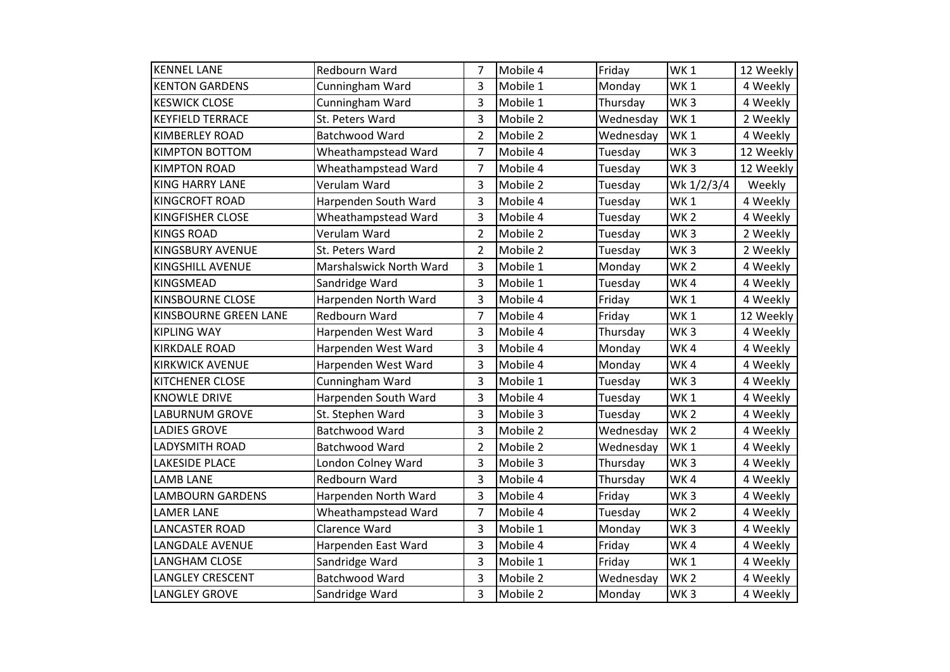| <b>KENNEL LANE</b>      | Redbourn Ward           | 7              | Mobile 4 | Friday    | WK <sub>1</sub> | 12 Weekly |
|-------------------------|-------------------------|----------------|----------|-----------|-----------------|-----------|
| <b>KENTON GARDENS</b>   | Cunningham Ward         | 3              | Mobile 1 | Monday    | WK <sub>1</sub> | 4 Weekly  |
| <b>KESWICK CLOSE</b>    | Cunningham Ward         | 3              | Mobile 1 | Thursday  | WK <sub>3</sub> | 4 Weekly  |
| <b>KEYFIELD TERRACE</b> | St. Peters Ward         | 3              | Mobile 2 | Wednesday | WK <sub>1</sub> | 2 Weekly  |
| <b>KIMBERLEY ROAD</b>   | Batchwood Ward          | $\overline{2}$ | Mobile 2 | Wednesday | WK <sub>1</sub> | 4 Weekly  |
| <b>KIMPTON BOTTOM</b>   | Wheathampstead Ward     | $\overline{7}$ | Mobile 4 | Tuesday   | WK <sub>3</sub> | 12 Weekly |
| <b>KIMPTON ROAD</b>     | Wheathampstead Ward     | $\overline{7}$ | Mobile 4 | Tuesday   | WK <sub>3</sub> | 12 Weekly |
| <b>KING HARRY LANE</b>  | Verulam Ward            | 3              | Mobile 2 | Tuesday   | Wk 1/2/3/4      | Weekly    |
| <b>KINGCROFT ROAD</b>   | Harpenden South Ward    | 3              | Mobile 4 | Tuesday   | WK <sub>1</sub> | 4 Weekly  |
| <b>KINGFISHER CLOSE</b> | Wheathampstead Ward     | 3              | Mobile 4 | Tuesday   | WK <sub>2</sub> | 4 Weekly  |
| <b>KINGS ROAD</b>       | Verulam Ward            | $\overline{2}$ | Mobile 2 | Tuesday   | WK <sub>3</sub> | 2 Weekly  |
| <b>KINGSBURY AVENUE</b> | St. Peters Ward         | $\overline{2}$ | Mobile 2 | Tuesday   | WK <sub>3</sub> | 2 Weekly  |
| <b>KINGSHILL AVENUE</b> | Marshalswick North Ward | 3              | Mobile 1 | Monday    | WK <sub>2</sub> | 4 Weekly  |
| <b>KINGSMEAD</b>        | Sandridge Ward          | 3              | Mobile 1 | Tuesday   | WK4             | 4 Weekly  |
| <b>KINSBOURNE CLOSE</b> | Harpenden North Ward    | 3              | Mobile 4 | Friday    | WK <sub>1</sub> | 4 Weekly  |
| KINSBOURNE GREEN LANE   | Redbourn Ward           | $\overline{7}$ | Mobile 4 | Friday    | WK <sub>1</sub> | 12 Weekly |
| <b>KIPLING WAY</b>      | Harpenden West Ward     | 3              | Mobile 4 | Thursday  | WK <sub>3</sub> | 4 Weekly  |
| <b>KIRKDALE ROAD</b>    | Harpenden West Ward     | 3              | Mobile 4 | Monday    | WK4             | 4 Weekly  |
| <b>KIRKWICK AVENUE</b>  | Harpenden West Ward     | 3              | Mobile 4 | Monday    | WK4             | 4 Weekly  |
| <b>KITCHENER CLOSE</b>  | Cunningham Ward         | 3              | Mobile 1 | Tuesday   | WK <sub>3</sub> | 4 Weekly  |
| <b>KNOWLE DRIVE</b>     | Harpenden South Ward    | 3              | Mobile 4 | Tuesday   | WK <sub>1</sub> | 4 Weekly  |
| <b>LABURNUM GROVE</b>   | St. Stephen Ward        | 3              | Mobile 3 | Tuesday   | WK <sub>2</sub> | 4 Weekly  |
| <b>LADIES GROVE</b>     | Batchwood Ward          | 3              | Mobile 2 | Wednesday | WK <sub>2</sub> | 4 Weekly  |
| <b>LADYSMITH ROAD</b>   | Batchwood Ward          | $\overline{2}$ | Mobile 2 | Wednesday | WK <sub>1</sub> | 4 Weekly  |
| <b>LAKESIDE PLACE</b>   | London Colney Ward      | 3              | Mobile 3 | Thursday  | WK <sub>3</sub> | 4 Weekly  |
| <b>LAMB LANE</b>        | Redbourn Ward           | 3              | Mobile 4 | Thursday  | WK4             | 4 Weekly  |
| <b>LAMBOURN GARDENS</b> | Harpenden North Ward    | 3              | Mobile 4 | Friday    | WK <sub>3</sub> | 4 Weekly  |
| <b>LAMER LANE</b>       | Wheathampstead Ward     | 7              | Mobile 4 | Tuesday   | WK <sub>2</sub> | 4 Weekly  |
| <b>LANCASTER ROAD</b>   | Clarence Ward           | 3              | Mobile 1 | Monday    | WK <sub>3</sub> | 4 Weekly  |
| <b>LANGDALE AVENUE</b>  | Harpenden East Ward     | 3              | Mobile 4 | Friday    | WK4             | 4 Weekly  |
| LANGHAM CLOSE           | Sandridge Ward          | 3              | Mobile 1 | Friday    | WK <sub>1</sub> | 4 Weekly  |
| <b>LANGLEY CRESCENT</b> | Batchwood Ward          | 3              | Mobile 2 | Wednesday | WK <sub>2</sub> | 4 Weekly  |
| <b>LANGLEY GROVE</b>    | Sandridge Ward          | 3              | Mobile 2 | Monday    | WK <sub>3</sub> | 4 Weekly  |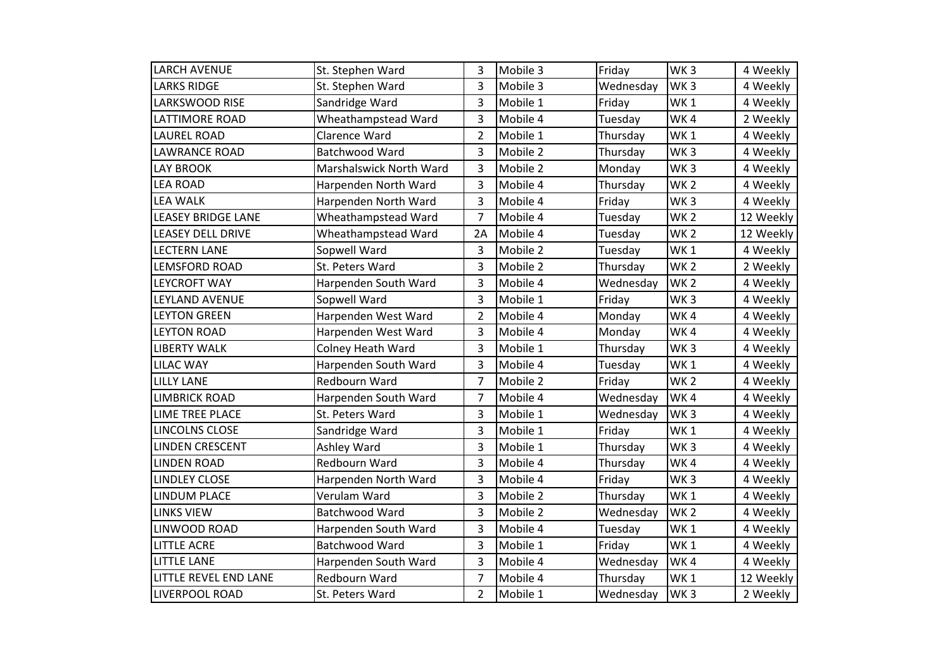| <b>LARCH AVENUE</b>       | St. Stephen Ward         | 3              | Mobile 3 | Friday    | WK <sub>3</sub> | 4 Weekly  |
|---------------------------|--------------------------|----------------|----------|-----------|-----------------|-----------|
| <b>LARKS RIDGE</b>        | St. Stephen Ward         | 3              | Mobile 3 | Wednesday | WK <sub>3</sub> | 4 Weekly  |
| LARKSWOOD RISE            | Sandridge Ward           | 3              | Mobile 1 | Friday    | WK <sub>1</sub> | 4 Weekly  |
| <b>LATTIMORE ROAD</b>     | Wheathampstead Ward      | 3              | Mobile 4 | Tuesday   | WK4             | 2 Weekly  |
| <b>LAUREL ROAD</b>        | Clarence Ward            | $\overline{2}$ | Mobile 1 | Thursday  | WK <sub>1</sub> | 4 Weekly  |
| <b>LAWRANCE ROAD</b>      | Batchwood Ward           | 3              | Mobile 2 | Thursday  | WK <sub>3</sub> | 4 Weekly  |
| <b>LAY BROOK</b>          | Marshalswick North Ward  | 3              | Mobile 2 | Monday    | WK <sub>3</sub> | 4 Weekly  |
| <b>LEA ROAD</b>           | Harpenden North Ward     | 3              | Mobile 4 | Thursday  | WK <sub>2</sub> | 4 Weekly  |
| <b>LEA WALK</b>           | Harpenden North Ward     | 3              | Mobile 4 | Friday    | WK <sub>3</sub> | 4 Weekly  |
| <b>LEASEY BRIDGE LANE</b> | Wheathampstead Ward      | $\overline{7}$ | Mobile 4 | Tuesday   | WK <sub>2</sub> | 12 Weekly |
| <b>LEASEY DELL DRIVE</b>  | Wheathampstead Ward      | 2A             | Mobile 4 | Tuesday   | WK <sub>2</sub> | 12 Weekly |
| <b>LECTERN LANE</b>       | Sopwell Ward             | 3              | Mobile 2 | Tuesday   | WK <sub>1</sub> | 4 Weekly  |
| <b>LEMSFORD ROAD</b>      | St. Peters Ward          | 3              | Mobile 2 | Thursday  | WK <sub>2</sub> | 2 Weekly  |
| <b>LEYCROFT WAY</b>       | Harpenden South Ward     | 3              | Mobile 4 | Wednesday | WK <sub>2</sub> | 4 Weekly  |
| LEYLAND AVENUE            | Sopwell Ward             | 3              | Mobile 1 | Friday    | WK <sub>3</sub> | 4 Weekly  |
| <b>LEYTON GREEN</b>       | Harpenden West Ward      | $\overline{2}$ | Mobile 4 | Monday    | WK4             | 4 Weekly  |
| <b>LEYTON ROAD</b>        | Harpenden West Ward      | 3              | Mobile 4 | Monday    | WK4             | 4 Weekly  |
| <b>LIBERTY WALK</b>       | <b>Colney Heath Ward</b> | 3              | Mobile 1 | Thursday  | WK <sub>3</sub> | 4 Weekly  |
| <b>LILAC WAY</b>          | Harpenden South Ward     | 3              | Mobile 4 | Tuesday   | WK1             | 4 Weekly  |
| <b>LILLY LANE</b>         | Redbourn Ward            | 7              | Mobile 2 | Friday    | WK <sub>2</sub> | 4 Weekly  |
| <b>LIMBRICK ROAD</b>      | Harpenden South Ward     | $\overline{7}$ | Mobile 4 | Wednesday | WK4             | 4 Weekly  |
| LIME TREE PLACE           | St. Peters Ward          | 3              | Mobile 1 | Wednesday | WK <sub>3</sub> | 4 Weekly  |
| LINCOLNS CLOSE            | Sandridge Ward           | 3              | Mobile 1 | Friday    | WK <sub>1</sub> | 4 Weekly  |
| <b>LINDEN CRESCENT</b>    | Ashley Ward              | 3              | Mobile 1 | Thursday  | WK <sub>3</sub> | 4 Weekly  |
| <b>LINDEN ROAD</b>        | Redbourn Ward            | 3              | Mobile 4 | Thursday  | WK4             | 4 Weekly  |
| <b>LINDLEY CLOSE</b>      | Harpenden North Ward     | 3              | Mobile 4 | Friday    | WK <sub>3</sub> | 4 Weekly  |
| <b>LINDUM PLACE</b>       | Verulam Ward             | 3              | Mobile 2 | Thursday  | WK <sub>1</sub> | 4 Weekly  |
| <b>LINKS VIEW</b>         | Batchwood Ward           | 3              | Mobile 2 | Wednesday | WK <sub>2</sub> | 4 Weekly  |
| LINWOOD ROAD              | Harpenden South Ward     | 3              | Mobile 4 | Tuesday   | WK <sub>1</sub> | 4 Weekly  |
| <b>LITTLE ACRE</b>        | Batchwood Ward           | 3              | Mobile 1 | Friday    | WK <sub>1</sub> | 4 Weekly  |
| <b>LITTLE LANE</b>        | Harpenden South Ward     | 3              | Mobile 4 | Wednesday | WK4             | 4 Weekly  |
| LITTLE REVEL END LANE     | Redbourn Ward            | $\overline{7}$ | Mobile 4 | Thursday  | WK <sub>1</sub> | 12 Weekly |
| <b>LIVERPOOL ROAD</b>     | St. Peters Ward          | $\overline{2}$ | Mobile 1 | Wednesday | WK <sub>3</sub> | 2 Weekly  |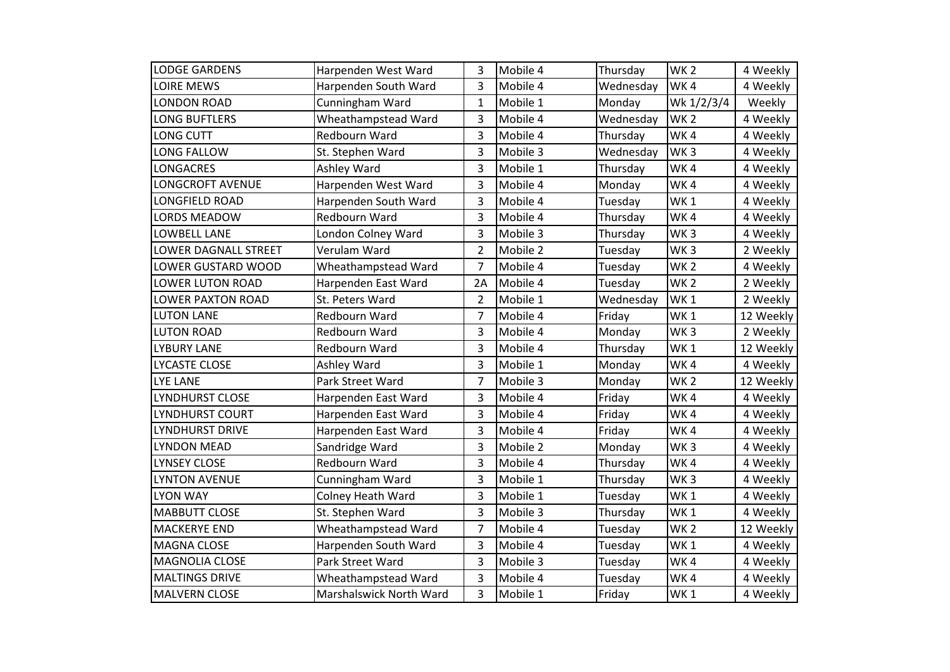| <b>LODGE GARDENS</b>     | Harpenden West Ward      | 3              | Mobile 4 | Thursday  | WK <sub>2</sub> | 4 Weekly  |
|--------------------------|--------------------------|----------------|----------|-----------|-----------------|-----------|
| <b>LOIRE MEWS</b>        | Harpenden South Ward     | 3              | Mobile 4 | Wednesday | WK4             | 4 Weekly  |
| <b>LONDON ROAD</b>       | Cunningham Ward          | 1              | Mobile 1 | Monday    | Wk 1/2/3/4      | Weekly    |
| <b>LONG BUFTLERS</b>     | Wheathampstead Ward      | 3              | Mobile 4 | Wednesday | WK <sub>2</sub> | 4 Weekly  |
| <b>LONG CUTT</b>         | Redbourn Ward            | 3              | Mobile 4 | Thursday  | WK4             | 4 Weekly  |
| <b>LONG FALLOW</b>       | St. Stephen Ward         | 3              | Mobile 3 | Wednesday | WK <sub>3</sub> | 4 Weekly  |
| <b>LONGACRES</b>         | Ashley Ward              | 3              | Mobile 1 | Thursday  | WK4             | 4 Weekly  |
| <b>LONGCROFT AVENUE</b>  | Harpenden West Ward      | 3              | Mobile 4 | Monday    | WK4             | 4 Weekly  |
| <b>LONGFIELD ROAD</b>    | Harpenden South Ward     | 3              | Mobile 4 | Tuesday   | WK <sub>1</sub> | 4 Weekly  |
| <b>LORDS MEADOW</b>      | Redbourn Ward            | 3              | Mobile 4 | Thursday  | WK4             | 4 Weekly  |
| <b>LOWBELL LANE</b>      | London Colney Ward       | 3              | Mobile 3 | Thursday  | WK <sub>3</sub> | 4 Weekly  |
| LOWER DAGNALL STREET     | Verulam Ward             | $\overline{2}$ | Mobile 2 | Tuesday   | WK <sub>3</sub> | 2 Weekly  |
| LOWER GUSTARD WOOD       | Wheathampstead Ward      | 7              | Mobile 4 | Tuesday   | WK <sub>2</sub> | 4 Weekly  |
| <b>LOWER LUTON ROAD</b>  | Harpenden East Ward      | 2A             | Mobile 4 | Tuesday   | WK <sub>2</sub> | 2 Weekly  |
| <b>LOWER PAXTON ROAD</b> | St. Peters Ward          | $\overline{2}$ | Mobile 1 | Wednesday | WK <sub>1</sub> | 2 Weekly  |
| <b>LUTON LANE</b>        | Redbourn Ward            | $\overline{7}$ | Mobile 4 | Friday    | WK <sub>1</sub> | 12 Weekly |
| <b>LUTON ROAD</b>        | Redbourn Ward            | 3              | Mobile 4 | Monday    | WK <sub>3</sub> | 2 Weekly  |
| <b>LYBURY LANE</b>       | Redbourn Ward            | 3              | Mobile 4 | Thursday  | WK <sub>1</sub> | 12 Weekly |
| LYCASTE CLOSE            | Ashley Ward              | 3              | Mobile 1 | Monday    | WK4             | 4 Weekly  |
| <b>LYE LANE</b>          | Park Street Ward         | 7              | Mobile 3 | Monday    | WK <sub>2</sub> | 12 Weekly |
| LYNDHURST CLOSE          | Harpenden East Ward      | 3              | Mobile 4 | Friday    | WK4             | 4 Weekly  |
| LYNDHURST COURT          | Harpenden East Ward      | 3              | Mobile 4 | Friday    | WK4             | 4 Weekly  |
| <b>LYNDHURST DRIVE</b>   | Harpenden East Ward      | 3              | Mobile 4 | Friday    | WK4             | 4 Weekly  |
| <b>LYNDON MEAD</b>       | Sandridge Ward           | 3              | Mobile 2 | Monday    | WK <sub>3</sub> | 4 Weekly  |
| <b>LYNSEY CLOSE</b>      | Redbourn Ward            | 3              | Mobile 4 | Thursday  | WK4             | 4 Weekly  |
| <b>LYNTON AVENUE</b>     | Cunningham Ward          | 3              | Mobile 1 | Thursday  | WK <sub>3</sub> | 4 Weekly  |
| <b>LYON WAY</b>          | <b>Colney Heath Ward</b> | 3              | Mobile 1 | Tuesday   | WK <sub>1</sub> | 4 Weekly  |
| <b>MABBUTT CLOSE</b>     | St. Stephen Ward         | 3              | Mobile 3 | Thursday  | WK <sub>1</sub> | 4 Weekly  |
| <b>MACKERYE END</b>      | Wheathampstead Ward      | $\overline{7}$ | Mobile 4 | Tuesday   | WK <sub>2</sub> | 12 Weekly |
| <b>MAGNA CLOSE</b>       | Harpenden South Ward     | 3              | Mobile 4 | Tuesday   | WK <sub>1</sub> | 4 Weekly  |
| <b>MAGNOLIA CLOSE</b>    | Park Street Ward         | 3              | Mobile 3 | Tuesday   | WK4             | 4 Weekly  |
| <b>MALTINGS DRIVE</b>    | Wheathampstead Ward      | 3              | Mobile 4 | Tuesday   | WK4             | 4 Weekly  |
| <b>MALVERN CLOSE</b>     | Marshalswick North Ward  | 3              | Mobile 1 | Friday    | WK <sub>1</sub> | 4 Weekly  |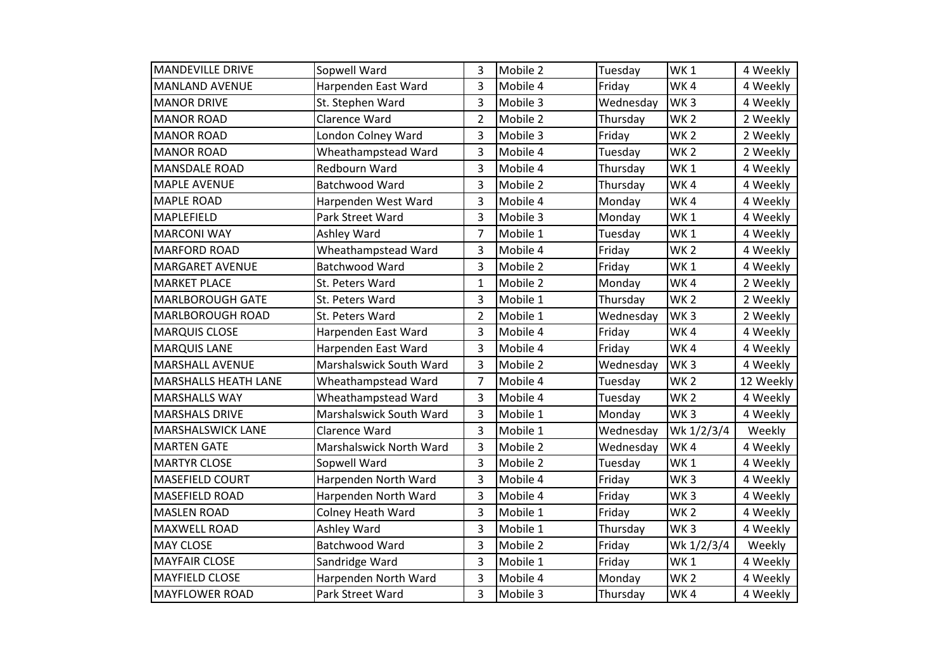| <b>MANDEVILLE DRIVE</b>     | Sopwell Ward             | 3              | Mobile 2 | Tuesday   | WK <sub>1</sub> | 4 Weekly  |
|-----------------------------|--------------------------|----------------|----------|-----------|-----------------|-----------|
| <b>MANLAND AVENUE</b>       | Harpenden East Ward      | 3              | Mobile 4 | Friday    | WK4             | 4 Weekly  |
| <b>MANOR DRIVE</b>          | St. Stephen Ward         | 3              | Mobile 3 | Wednesday | WK <sub>3</sub> | 4 Weekly  |
| <b>MANOR ROAD</b>           | Clarence Ward            | $\overline{2}$ | Mobile 2 | Thursday  | WK <sub>2</sub> | 2 Weekly  |
| <b>MANOR ROAD</b>           | London Colney Ward       | 3              | Mobile 3 | Friday    | WK <sub>2</sub> | 2 Weekly  |
| <b>MANOR ROAD</b>           | Wheathampstead Ward      | 3              | Mobile 4 | Tuesday   | WK <sub>2</sub> | 2 Weekly  |
| <b>MANSDALE ROAD</b>        | <b>Redbourn Ward</b>     | 3              | Mobile 4 | Thursday  | WK <sub>1</sub> | 4 Weekly  |
| <b>MAPLE AVENUE</b>         | Batchwood Ward           | 3              | Mobile 2 | Thursday  | WK4             | 4 Weekly  |
| <b>MAPLE ROAD</b>           | Harpenden West Ward      | 3              | Mobile 4 | Monday    | WK4             | 4 Weekly  |
| <b>MAPLEFIELD</b>           | Park Street Ward         | 3              | Mobile 3 | Monday    | WK <sub>1</sub> | 4 Weekly  |
| <b>MARCONI WAY</b>          | Ashley Ward              | 7              | Mobile 1 | Tuesday   | WK <sub>1</sub> | 4 Weekly  |
| <b>MARFORD ROAD</b>         | Wheathampstead Ward      | 3              | Mobile 4 | Friday    | WK <sub>2</sub> | 4 Weekly  |
| <b>MARGARET AVENUE</b>      | Batchwood Ward           | 3              | Mobile 2 | Friday    | WK <sub>1</sub> | 4 Weekly  |
| <b>MARKET PLACE</b>         | St. Peters Ward          | 1              | Mobile 2 | Monday    | WK4             | 2 Weekly  |
| <b>MARLBOROUGH GATE</b>     | St. Peters Ward          | 3              | Mobile 1 | Thursday  | WK <sub>2</sub> | 2 Weekly  |
| <b>MARLBOROUGH ROAD</b>     | St. Peters Ward          | $\overline{2}$ | Mobile 1 | Wednesday | WK <sub>3</sub> | 2 Weekly  |
| <b>MARQUIS CLOSE</b>        | Harpenden East Ward      | 3              | Mobile 4 | Friday    | WK4             | 4 Weekly  |
| <b>MARQUIS LANE</b>         | Harpenden East Ward      | 3              | Mobile 4 | Friday    | WK4             | 4 Weekly  |
| <b>MARSHALL AVENUE</b>      | Marshalswick South Ward  | 3              | Mobile 2 | Wednesday | WK <sub>3</sub> | 4 Weekly  |
| <b>MARSHALLS HEATH LANE</b> | Wheathampstead Ward      | 7              | Mobile 4 | Tuesday   | WK <sub>2</sub> | 12 Weekly |
| <b>MARSHALLS WAY</b>        | Wheathampstead Ward      | 3              | Mobile 4 | Tuesday   | WK <sub>2</sub> | 4 Weekly  |
| <b>MARSHALS DRIVE</b>       | Marshalswick South Ward  | 3              | Mobile 1 | Monday    | WK <sub>3</sub> | 4 Weekly  |
| <b>MARSHALSWICK LANE</b>    | Clarence Ward            | 3              | Mobile 1 | Wednesday | Wk 1/2/3/4      | Weekly    |
| <b>MARTEN GATE</b>          | Marshalswick North Ward  | 3              | Mobile 2 | Wednesday | WK4             | 4 Weekly  |
| <b>MARTYR CLOSE</b>         | Sopwell Ward             | 3              | Mobile 2 | Tuesday   | WK <sub>1</sub> | 4 Weekly  |
| <b>MASEFIELD COURT</b>      | Harpenden North Ward     | 3              | Mobile 4 | Friday    | WK <sub>3</sub> | 4 Weekly  |
| <b>MASEFIELD ROAD</b>       | Harpenden North Ward     | 3              | Mobile 4 | Friday    | WK <sub>3</sub> | 4 Weekly  |
| <b>MASLEN ROAD</b>          | <b>Colney Heath Ward</b> | 3              | Mobile 1 | Friday    | WK <sub>2</sub> | 4 Weekly  |
| <b>MAXWELL ROAD</b>         | Ashley Ward              | 3              | Mobile 1 | Thursday  | WK <sub>3</sub> | 4 Weekly  |
| <b>MAY CLOSE</b>            | Batchwood Ward           | 3              | Mobile 2 | Friday    | Wk 1/2/3/4      | Weekly    |
| <b>MAYFAIR CLOSE</b>        | Sandridge Ward           | 3              | Mobile 1 | Friday    | WK <sub>1</sub> | 4 Weekly  |
| <b>MAYFIELD CLOSE</b>       | Harpenden North Ward     | 3              | Mobile 4 | Monday    | WK <sub>2</sub> | 4 Weekly  |
| <b>MAYFLOWER ROAD</b>       | Park Street Ward         | 3              | Mobile 3 | Thursday  | WK4             | 4 Weekly  |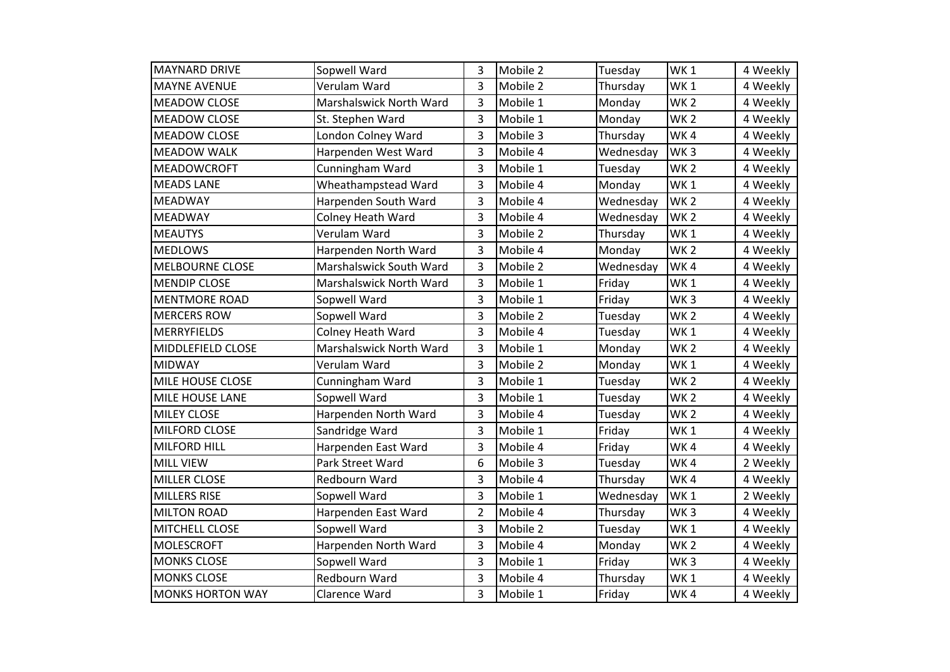| <b>MAYNARD DRIVE</b>     | Sopwell Ward            | 3              | Mobile 2 | Tuesday   | WK <sub>1</sub> | 4 Weekly |
|--------------------------|-------------------------|----------------|----------|-----------|-----------------|----------|
| <b>MAYNE AVENUE</b>      | Verulam Ward            | 3              | Mobile 2 | Thursday  | WK <sub>1</sub> | 4 Weekly |
| <b>MEADOW CLOSE</b>      | Marshalswick North Ward | 3              | Mobile 1 | Monday    | WK <sub>2</sub> | 4 Weekly |
| <b>MEADOW CLOSE</b>      | St. Stephen Ward        | 3              | Mobile 1 | Monday    | <b>WK2</b>      | 4 Weekly |
| <b>MEADOW CLOSE</b>      | London Colney Ward      | 3              | Mobile 3 | Thursday  | WK4             | 4 Weekly |
| <b>MEADOW WALK</b>       | Harpenden West Ward     | 3              | Mobile 4 | Wednesday | WK <sub>3</sub> | 4 Weekly |
| <b>MEADOWCROFT</b>       | Cunningham Ward         | 3              | Mobile 1 | Tuesday   | WK <sub>2</sub> | 4 Weekly |
| <b>MEADS LANE</b>        | Wheathampstead Ward     | 3              | Mobile 4 | Monday    | WK <sub>1</sub> | 4 Weekly |
| <b>MEADWAY</b>           | Harpenden South Ward    | 3              | Mobile 4 | Wednesday | WK <sub>2</sub> | 4 Weekly |
| <b>MEADWAY</b>           | Colney Heath Ward       | 3              | Mobile 4 | Wednesday | WK <sub>2</sub> | 4 Weekly |
| <b>MEAUTYS</b>           | Verulam Ward            | 3              | Mobile 2 | Thursday  | WK <sub>1</sub> | 4 Weekly |
| <b>MEDLOWS</b>           | Harpenden North Ward    | 3              | Mobile 4 | Monday    | WK <sub>2</sub> | 4 Weekly |
| <b>MELBOURNE CLOSE</b>   | Marshalswick South Ward | 3              | Mobile 2 | Wednesday | WK4             | 4 Weekly |
| <b>MENDIP CLOSE</b>      | Marshalswick North Ward | 3              | Mobile 1 | Friday    | WK <sub>1</sub> | 4 Weekly |
| <b>MENTMORE ROAD</b>     | Sopwell Ward            | 3              | Mobile 1 | Friday    | WK <sub>3</sub> | 4 Weekly |
| <b>MERCERS ROW</b>       | Sopwell Ward            | 3              | Mobile 2 | Tuesday   | WK <sub>2</sub> | 4 Weekly |
| <b>MERRYFIELDS</b>       | Colney Heath Ward       | 3              | Mobile 4 | Tuesday   | WK <sub>1</sub> | 4 Weekly |
| <b>MIDDLEFIELD CLOSE</b> | Marshalswick North Ward | 3              | Mobile 1 | Monday    | WK <sub>2</sub> | 4 Weekly |
| <b>MIDWAY</b>            | Verulam Ward            | 3              | Mobile 2 | Monday    | WK1             | 4 Weekly |
| <b>MILE HOUSE CLOSE</b>  | Cunningham Ward         | 3              | Mobile 1 | Tuesday   | WK <sub>2</sub> | 4 Weekly |
| MILE HOUSE LANE          | Sopwell Ward            | 3              | Mobile 1 | Tuesday   | WK <sub>2</sub> | 4 Weekly |
| <b>MILEY CLOSE</b>       | Harpenden North Ward    | 3              | Mobile 4 | Tuesday   | WK <sub>2</sub> | 4 Weekly |
| <b>MILFORD CLOSE</b>     | Sandridge Ward          | 3              | Mobile 1 | Friday    | <b>WK1</b>      | 4 Weekly |
| <b>MILFORD HILL</b>      | Harpenden East Ward     | 3              | Mobile 4 | Friday    | WK4             | 4 Weekly |
| <b>MILL VIEW</b>         | Park Street Ward        | 6              | Mobile 3 | Tuesday   | WK4             | 2 Weekly |
| <b>MILLER CLOSE</b>      | Redbourn Ward           | 3              | Mobile 4 | Thursday  | WK4             | 4 Weekly |
| <b>MILLERS RISE</b>      | Sopwell Ward            | 3              | Mobile 1 | Wednesday | WK1             | 2 Weekly |
| <b>MILTON ROAD</b>       | Harpenden East Ward     | $\overline{2}$ | Mobile 4 | Thursday  | WK <sub>3</sub> | 4 Weekly |
| MITCHELL CLOSE           | Sopwell Ward            | 3              | Mobile 2 | Tuesday   | WK <sub>1</sub> | 4 Weekly |
| <b>MOLESCROFT</b>        | Harpenden North Ward    | 3              | Mobile 4 | Monday    | WK <sub>2</sub> | 4 Weekly |
| <b>MONKS CLOSE</b>       | Sopwell Ward            | 3              | Mobile 1 | Friday    | WK <sub>3</sub> | 4 Weekly |
| <b>MONKS CLOSE</b>       | Redbourn Ward           | 3              | Mobile 4 | Thursday  | WK <sub>1</sub> | 4 Weekly |
| <b>MONKS HORTON WAY</b>  | Clarence Ward           | 3              | Mobile 1 | Friday    | WK4             | 4 Weekly |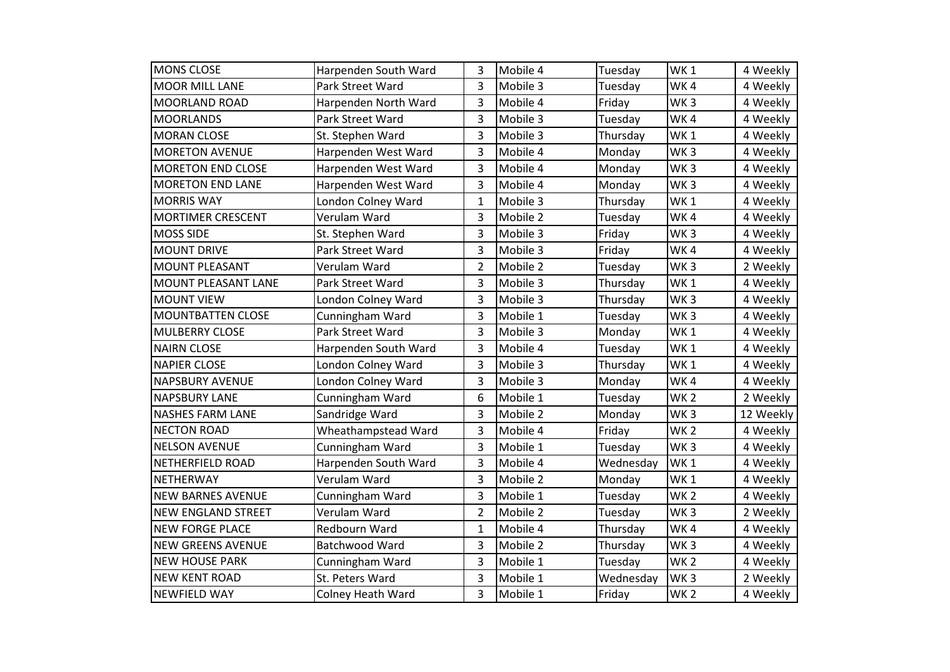| <b>MONS CLOSE</b>          | Harpenden South Ward     | 3              | Mobile 4 | Tuesday   | WK <sub>1</sub> | 4 Weekly  |
|----------------------------|--------------------------|----------------|----------|-----------|-----------------|-----------|
| <b>MOOR MILL LANE</b>      | Park Street Ward         | 3              | Mobile 3 | Tuesday   | WK4             | 4 Weekly  |
| <b>MOORLAND ROAD</b>       | Harpenden North Ward     | 3              | Mobile 4 | Friday    | WK <sub>3</sub> | 4 Weekly  |
| <b>MOORLANDS</b>           | Park Street Ward         | 3              | Mobile 3 | Tuesday   | WK4             | 4 Weekly  |
| <b>MORAN CLOSE</b>         | St. Stephen Ward         | 3              | Mobile 3 | Thursday  | WK <sub>1</sub> | 4 Weekly  |
| <b>MORETON AVENUE</b>      | Harpenden West Ward      | 3              | Mobile 4 | Monday    | WK <sub>3</sub> | 4 Weekly  |
| <b>MORETON END CLOSE</b>   | Harpenden West Ward      | 3              | Mobile 4 | Monday    | WK <sub>3</sub> | 4 Weekly  |
| <b>MORETON END LANE</b>    | Harpenden West Ward      | 3              | Mobile 4 | Monday    | WK <sub>3</sub> | 4 Weekly  |
| <b>MORRIS WAY</b>          | London Colney Ward       | $\mathbf 1$    | Mobile 3 | Thursday  | WK <sub>1</sub> | 4 Weekly  |
| <b>MORTIMER CRESCENT</b>   | Verulam Ward             | 3              | Mobile 2 | Tuesday   | WK4             | 4 Weekly  |
| <b>MOSS SIDE</b>           | St. Stephen Ward         | 3              | Mobile 3 | Friday    | WK <sub>3</sub> | 4 Weekly  |
| <b>MOUNT DRIVE</b>         | Park Street Ward         | 3              | Mobile 3 | Friday    | WK4             | 4 Weekly  |
| <b>MOUNT PLEASANT</b>      | Verulam Ward             | $\overline{2}$ | Mobile 2 | Tuesday   | WK <sub>3</sub> | 2 Weekly  |
| <b>MOUNT PLEASANT LANE</b> | Park Street Ward         | 3              | Mobile 3 | Thursday  | WK <sub>1</sub> | 4 Weekly  |
| <b>MOUNT VIEW</b>          | London Colney Ward       | 3              | Mobile 3 | Thursday  | WK <sub>3</sub> | 4 Weekly  |
| MOUNTBATTEN CLOSE          | Cunningham Ward          | 3              | Mobile 1 | Tuesday   | WK <sub>3</sub> | 4 Weekly  |
| <b>MULBERRY CLOSE</b>      | Park Street Ward         | 3              | Mobile 3 | Monday    | WK <sub>1</sub> | 4 Weekly  |
| <b>NAIRN CLOSE</b>         | Harpenden South Ward     | 3              | Mobile 4 | Tuesday   | WK <sub>1</sub> | 4 Weekly  |
| <b>NAPIER CLOSE</b>        | London Colney Ward       | 3              | Mobile 3 | Thursday  | WK <sub>1</sub> | 4 Weekly  |
| <b>NAPSBURY AVENUE</b>     | London Colney Ward       | 3              | Mobile 3 | Monday    | WK4             | 4 Weekly  |
| <b>NAPSBURY LANE</b>       | Cunningham Ward          | 6              | Mobile 1 | Tuesday   | WK <sub>2</sub> | 2 Weekly  |
| <b>NASHES FARM LANE</b>    | Sandridge Ward           | 3              | Mobile 2 | Monday    | WK <sub>3</sub> | 12 Weekly |
| <b>NECTON ROAD</b>         | Wheathampstead Ward      | 3              | Mobile 4 | Friday    | <b>WK2</b>      | 4 Weekly  |
| <b>NELSON AVENUE</b>       | Cunningham Ward          | 3              | Mobile 1 | Tuesday   | WK <sub>3</sub> | 4 Weekly  |
| <b>NETHERFIELD ROAD</b>    | Harpenden South Ward     | 3              | Mobile 4 | Wednesday | WK <sub>1</sub> | 4 Weekly  |
| <b>NETHERWAY</b>           | Verulam Ward             | 3              | Mobile 2 | Monday    | WK <sub>1</sub> | 4 Weekly  |
| <b>NEW BARNES AVENUE</b>   | Cunningham Ward          | 3              | Mobile 1 | Tuesday   | <b>WK2</b>      | 4 Weekly  |
| <b>NEW ENGLAND STREET</b>  | Verulam Ward             | $\overline{2}$ | Mobile 2 | Tuesday   | WK <sub>3</sub> | 2 Weekly  |
| <b>NEW FORGE PLACE</b>     | Redbourn Ward            | $\mathbf 1$    | Mobile 4 | Thursday  | WK4             | 4 Weekly  |
| <b>NEW GREENS AVENUE</b>   | Batchwood Ward           | 3              | Mobile 2 | Thursday  | WK <sub>3</sub> | 4 Weekly  |
| <b>NEW HOUSE PARK</b>      | Cunningham Ward          | 3              | Mobile 1 | Tuesday   | WK <sub>2</sub> | 4 Weekly  |
| <b>NEW KENT ROAD</b>       | St. Peters Ward          | 3              | Mobile 1 | Wednesday | WK <sub>3</sub> | 2 Weekly  |
| <b>NEWFIELD WAY</b>        | <b>Colney Heath Ward</b> | 3              | Mobile 1 | Friday    | WK <sub>2</sub> | 4 Weekly  |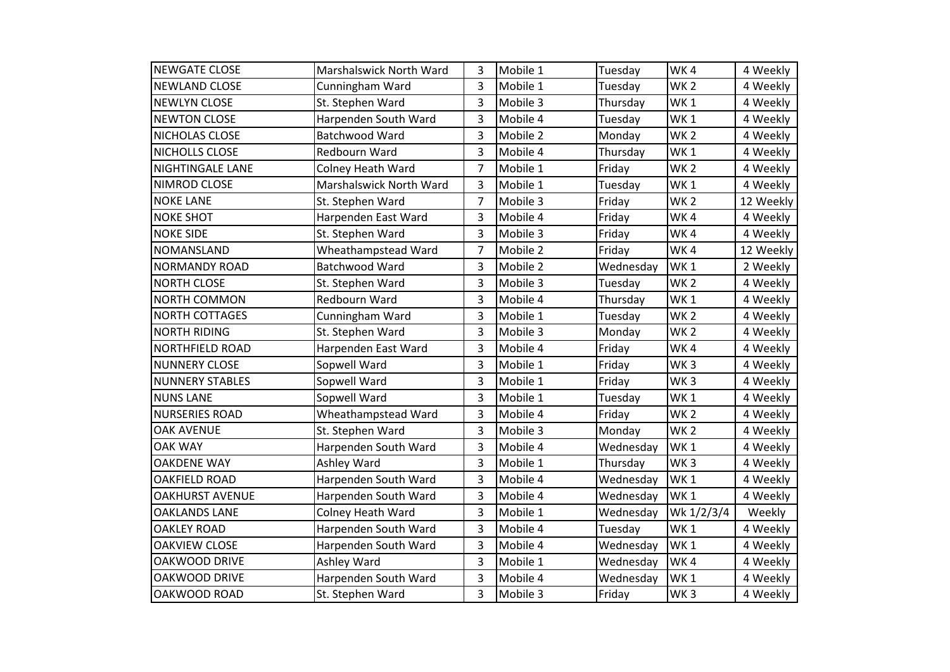| <b>NEWGATE CLOSE</b>    | Marshalswick North Ward  | 3              | Mobile 1 | Tuesday   | WK4             | 4 Weekly  |
|-------------------------|--------------------------|----------------|----------|-----------|-----------------|-----------|
| <b>NEWLAND CLOSE</b>    | Cunningham Ward          | 3              | Mobile 1 | Tuesday   | WK <sub>2</sub> | 4 Weekly  |
| <b>NEWLYN CLOSE</b>     | St. Stephen Ward         | 3              | Mobile 3 | Thursday  | WK1             | 4 Weekly  |
| <b>NEWTON CLOSE</b>     | Harpenden South Ward     | 3              | Mobile 4 | Tuesday   | WK <sub>1</sub> | 4 Weekly  |
| NICHOLAS CLOSE          | Batchwood Ward           | 3              | Mobile 2 | Monday    | WK <sub>2</sub> | 4 Weekly  |
| NICHOLLS CLOSE          | Redbourn Ward            | 3              | Mobile 4 | Thursday  | WK <sub>1</sub> | 4 Weekly  |
| <b>NIGHTINGALE LANE</b> | <b>Colney Heath Ward</b> | 7              | Mobile 1 | Friday    | WK <sub>2</sub> | 4 Weekly  |
| <b>NIMROD CLOSE</b>     | Marshalswick North Ward  | 3              | Mobile 1 | Tuesday   | WK <sub>1</sub> | 4 Weekly  |
| <b>NOKE LANE</b>        | St. Stephen Ward         | $\overline{7}$ | Mobile 3 | Friday    | WK <sub>2</sub> | 12 Weekly |
| <b>NOKE SHOT</b>        | Harpenden East Ward      | 3              | Mobile 4 | Friday    | WK4             | 4 Weekly  |
| <b>NOKE SIDE</b>        | St. Stephen Ward         | 3              | Mobile 3 | Friday    | WK4             | 4 Weekly  |
| <b>NOMANSLAND</b>       | Wheathampstead Ward      | 7              | Mobile 2 | Friday    | WK4             | 12 Weekly |
| <b>NORMANDY ROAD</b>    | Batchwood Ward           | 3              | Mobile 2 | Wednesday | WK <sub>1</sub> | 2 Weekly  |
| <b>NORTH CLOSE</b>      | St. Stephen Ward         | 3              | Mobile 3 | Tuesday   | WK <sub>2</sub> | 4 Weekly  |
| <b>NORTH COMMON</b>     | Redbourn Ward            | 3              | Mobile 4 | Thursday  | WK <sub>1</sub> | 4 Weekly  |
| <b>NORTH COTTAGES</b>   | Cunningham Ward          | 3              | Mobile 1 | Tuesday   | WK <sub>2</sub> | 4 Weekly  |
| <b>NORTH RIDING</b>     | St. Stephen Ward         | 3              | Mobile 3 | Monday    | WK <sub>2</sub> | 4 Weekly  |
| <b>NORTHFIELD ROAD</b>  | Harpenden East Ward      | 3              | Mobile 4 | Friday    | WK4             | 4 Weekly  |
| <b>NUNNERY CLOSE</b>    | Sopwell Ward             | 3              | Mobile 1 | Friday    | WK <sub>3</sub> | 4 Weekly  |
| <b>NUNNERY STABLES</b>  | Sopwell Ward             | 3              | Mobile 1 | Friday    | WK <sub>3</sub> | 4 Weekly  |
| <b>NUNS LANE</b>        | Sopwell Ward             | 3              | Mobile 1 | Tuesday   | WK <sub>1</sub> | 4 Weekly  |
| <b>NURSERIES ROAD</b>   | Wheathampstead Ward      | 3              | Mobile 4 | Friday    | WK <sub>2</sub> | 4 Weekly  |
| <b>OAK AVENUE</b>       | St. Stephen Ward         | 3              | Mobile 3 | Monday    | WK <sub>2</sub> | 4 Weekly  |
| <b>OAK WAY</b>          | Harpenden South Ward     | 3              | Mobile 4 | Wednesday | WK <sub>1</sub> | 4 Weekly  |
| <b>OAKDENE WAY</b>      | Ashley Ward              | 3              | Mobile 1 | Thursday  | WK <sub>3</sub> | 4 Weekly  |
| <b>OAKFIELD ROAD</b>    | Harpenden South Ward     | 3              | Mobile 4 | Wednesday | WK <sub>1</sub> | 4 Weekly  |
| <b>OAKHURST AVENUE</b>  | Harpenden South Ward     | 3              | Mobile 4 | Wednesday | WK <sub>1</sub> | 4 Weekly  |
| <b>OAKLANDS LANE</b>    | <b>Colney Heath Ward</b> | 3              | Mobile 1 | Wednesday | Wk 1/2/3/4      | Weekly    |
| <b>OAKLEY ROAD</b>      | Harpenden South Ward     | 3              | Mobile 4 | Tuesday   | WK <sub>1</sub> | 4 Weekly  |
| <b>OAKVIEW CLOSE</b>    | Harpenden South Ward     | 3              | Mobile 4 | Wednesday | WK <sub>1</sub> | 4 Weekly  |
| OAKWOOD DRIVE           | Ashley Ward              | 3              | Mobile 1 | Wednesday | WK4             | 4 Weekly  |
| OAKWOOD DRIVE           | Harpenden South Ward     | 3              | Mobile 4 | Wednesday | WK <sub>1</sub> | 4 Weekly  |
| OAKWOOD ROAD            | St. Stephen Ward         | 3              | Mobile 3 | Friday    | WK <sub>3</sub> | 4 Weekly  |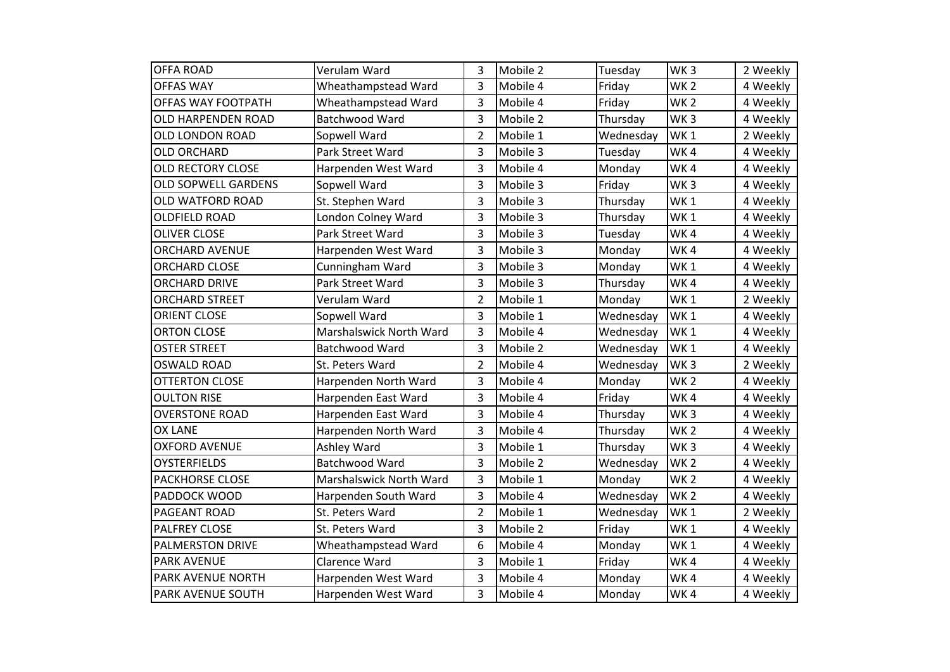| <b>OFFA ROAD</b>           | Verulam Ward            | 3              | Mobile 2 | Tuesday   | WK <sub>3</sub> | 2 Weekly |
|----------------------------|-------------------------|----------------|----------|-----------|-----------------|----------|
| <b>OFFAS WAY</b>           | Wheathampstead Ward     | 3              | Mobile 4 | Friday    | WK <sub>2</sub> | 4 Weekly |
| OFFAS WAY FOOTPATH         | Wheathampstead Ward     | 3              | Mobile 4 | Friday    | WK <sub>2</sub> | 4 Weekly |
| OLD HARPENDEN ROAD         | Batchwood Ward          | 3              | Mobile 2 | Thursday  | WK <sub>3</sub> | 4 Weekly |
| OLD LONDON ROAD            | Sopwell Ward            | $\overline{2}$ | Mobile 1 | Wednesday | WK <sub>1</sub> | 2 Weekly |
| <b>OLD ORCHARD</b>         | Park Street Ward        | 3              | Mobile 3 | Tuesday   | WK4             | 4 Weekly |
| <b>OLD RECTORY CLOSE</b>   | Harpenden West Ward     | 3              | Mobile 4 | Monday    | WK4             | 4 Weekly |
| <b>OLD SOPWELL GARDENS</b> | Sopwell Ward            | 3              | Mobile 3 | Friday    | WK <sub>3</sub> | 4 Weekly |
| OLD WATFORD ROAD           | St. Stephen Ward        | 3              | Mobile 3 | Thursday  | WK <sub>1</sub> | 4 Weekly |
| <b>OLDFIELD ROAD</b>       | London Colney Ward      | 3              | Mobile 3 | Thursday  | WK <sub>1</sub> | 4 Weekly |
| <b>OLIVER CLOSE</b>        | Park Street Ward        | 3              | Mobile 3 | Tuesday   | WK4             | 4 Weekly |
| <b>ORCHARD AVENUE</b>      | Harpenden West Ward     | 3              | Mobile 3 | Monday    | WK4             | 4 Weekly |
| <b>ORCHARD CLOSE</b>       | Cunningham Ward         | 3              | Mobile 3 | Monday    | WK <sub>1</sub> | 4 Weekly |
| <b>ORCHARD DRIVE</b>       | Park Street Ward        | 3              | Mobile 3 | Thursday  | WK4             | 4 Weekly |
| <b>ORCHARD STREET</b>      | Verulam Ward            | $\overline{2}$ | Mobile 1 | Monday    | WK <sub>1</sub> | 2 Weekly |
| <b>ORIENT CLOSE</b>        | Sopwell Ward            | 3              | Mobile 1 | Wednesday | WK <sub>1</sub> | 4 Weekly |
| <b>ORTON CLOSE</b>         | Marshalswick North Ward | 3              | Mobile 4 | Wednesday | WK1             | 4 Weekly |
| <b>OSTER STREET</b>        | Batchwood Ward          | 3              | Mobile 2 | Wednesday | WK <sub>1</sub> | 4 Weekly |
| <b>OSWALD ROAD</b>         | St. Peters Ward         | $\overline{2}$ | Mobile 4 | Wednesday | WK <sub>3</sub> | 2 Weekly |
| <b>OTTERTON CLOSE</b>      | Harpenden North Ward    | 3              | Mobile 4 | Monday    | WK <sub>2</sub> | 4 Weekly |
| <b>OULTON RISE</b>         | Harpenden East Ward     | 3              | Mobile 4 | Friday    | WK4             | 4 Weekly |
| <b>OVERSTONE ROAD</b>      | Harpenden East Ward     | 3              | Mobile 4 | Thursday  | WK <sub>3</sub> | 4 Weekly |
| <b>OX LANE</b>             | Harpenden North Ward    | 3              | Mobile 4 | Thursday  | WK <sub>2</sub> | 4 Weekly |
| <b>OXFORD AVENUE</b>       | Ashley Ward             | 3              | Mobile 1 | Thursday  | WK <sub>3</sub> | 4 Weekly |
| <b>OYSTERFIELDS</b>        | Batchwood Ward          | 3              | Mobile 2 | Wednesday | WK <sub>2</sub> | 4 Weekly |
| <b>PACKHORSE CLOSE</b>     | Marshalswick North Ward | 3              | Mobile 1 | Monday    | WK <sub>2</sub> | 4 Weekly |
| PADDOCK WOOD               | Harpenden South Ward    | 3              | Mobile 4 | Wednesday | WK <sub>2</sub> | 4 Weekly |
| <b>PAGEANT ROAD</b>        | St. Peters Ward         | $\overline{2}$ | Mobile 1 | Wednesday | WK <sub>1</sub> | 2 Weekly |
| <b>PALFREY CLOSE</b>       | St. Peters Ward         | 3              | Mobile 2 | Friday    | WK <sub>1</sub> | 4 Weekly |
| <b>PALMERSTON DRIVE</b>    | Wheathampstead Ward     | 6              | Mobile 4 | Monday    | WK <sub>1</sub> | 4 Weekly |
| <b>PARK AVENUE</b>         | Clarence Ward           | 3              | Mobile 1 | Friday    | WK4             | 4 Weekly |
| <b>PARK AVENUE NORTH</b>   | Harpenden West Ward     | 3              | Mobile 4 | Monday    | WK4             | 4 Weekly |
| <b>PARK AVENUE SOUTH</b>   | Harpenden West Ward     | 3              | Mobile 4 | Monday    | WK4             | 4 Weekly |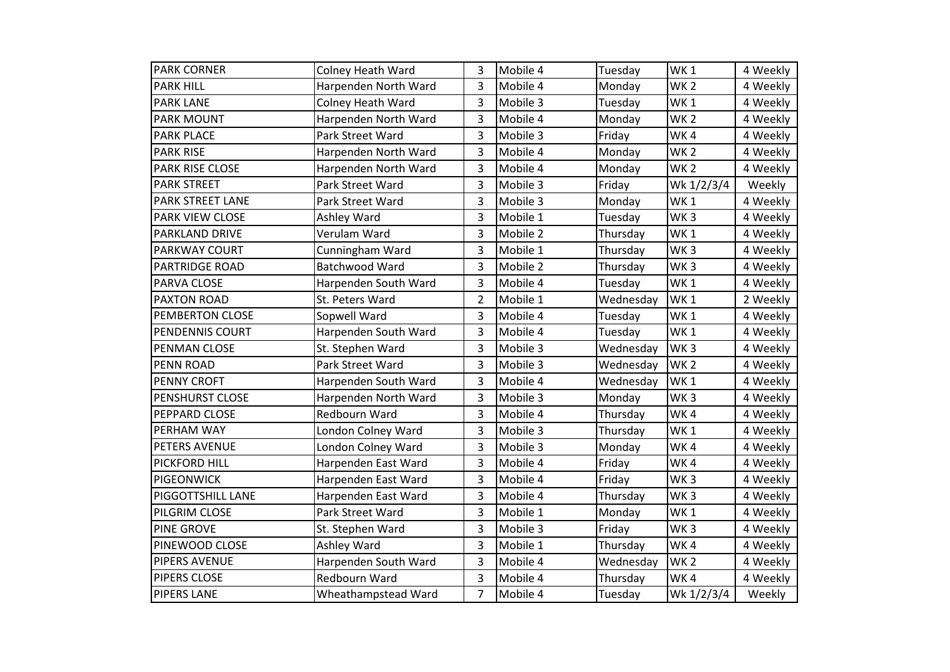| <b>PARK CORNER</b>      | <b>Colney Heath Ward</b> | 3              | Mobile 4 | Tuesday   | WK <sub>1</sub> | 4 Weekly |
|-------------------------|--------------------------|----------------|----------|-----------|-----------------|----------|
| <b>PARK HILL</b>        | Harpenden North Ward     | 3              | Mobile 4 | Monday    | WK <sub>2</sub> | 4 Weekly |
| <b>PARK LANE</b>        | <b>Colney Heath Ward</b> | 3              | Mobile 3 | Tuesday   | WK <sub>1</sub> | 4 Weekly |
| <b>PARK MOUNT</b>       | Harpenden North Ward     | 3              | Mobile 4 | Monday    | WK <sub>2</sub> | 4 Weekly |
| <b>PARK PLACE</b>       | Park Street Ward         | 3              | Mobile 3 | Friday    | WK4             | 4 Weekly |
| <b>PARK RISE</b>        | Harpenden North Ward     | 3              | Mobile 4 | Monday    | WK <sub>2</sub> | 4 Weekly |
| <b>PARK RISE CLOSE</b>  | Harpenden North Ward     | 3              | Mobile 4 | Monday    | <b>WK2</b>      | 4 Weekly |
| <b>PARK STREET</b>      | Park Street Ward         | 3              | Mobile 3 | Friday    | Wk 1/2/3/4      | Weekly   |
| <b>PARK STREET LANE</b> | Park Street Ward         | 3              | Mobile 3 | Monday    | <b>WK1</b>      | 4 Weekly |
| <b>PARK VIEW CLOSE</b>  | Ashley Ward              | 3              | Mobile 1 | Tuesday   | WK <sub>3</sub> | 4 Weekly |
| <b>PARKLAND DRIVE</b>   | Verulam Ward             | 3              | Mobile 2 | Thursday  | WK <sub>1</sub> | 4 Weekly |
| PARKWAY COURT           | Cunningham Ward          | 3              | Mobile 1 | Thursday  | WK <sub>3</sub> | 4 Weekly |
| <b>PARTRIDGE ROAD</b>   | Batchwood Ward           | 3              | Mobile 2 | Thursday  | WK <sub>3</sub> | 4 Weekly |
| PARVA CLOSE             | Harpenden South Ward     | 3              | Mobile 4 | Tuesday   | WK <sub>1</sub> | 4 Weekly |
| <b>PAXTON ROAD</b>      | St. Peters Ward          | $\overline{2}$ | Mobile 1 | Wednesday | WK <sub>1</sub> | 2 Weekly |
| PEMBERTON CLOSE         | Sopwell Ward             | 3              | Mobile 4 | Tuesday   | WK <sub>1</sub> | 4 Weekly |
| PENDENNIS COURT         | Harpenden South Ward     | 3              | Mobile 4 | Tuesday   | WK <sub>1</sub> | 4 Weekly |
| <b>PENMAN CLOSE</b>     | St. Stephen Ward         | 3              | Mobile 3 | Wednesday | WK <sub>3</sub> | 4 Weekly |
| <b>PENN ROAD</b>        | Park Street Ward         | 3              | Mobile 3 | Wednesday | WK <sub>2</sub> | 4 Weekly |
| <b>PENNY CROFT</b>      | Harpenden South Ward     | 3              | Mobile 4 | Wednesday | WK <sub>1</sub> | 4 Weekly |
| PENSHURST CLOSE         | Harpenden North Ward     | 3              | Mobile 3 | Monday    | WK <sub>3</sub> | 4 Weekly |
| PEPPARD CLOSE           | Redbourn Ward            | 3              | Mobile 4 | Thursday  | WK4             | 4 Weekly |
| <b>PERHAM WAY</b>       | London Colney Ward       | 3              | Mobile 3 | Thursday  | WK <sub>1</sub> | 4 Weekly |
| PETERS AVENUE           | London Colney Ward       | 3              | Mobile 3 | Monday    | WK4             | 4 Weekly |
| <b>PICKFORD HILL</b>    | Harpenden East Ward      | 3              | Mobile 4 | Friday    | WK4             | 4 Weekly |
| <b>PIGEONWICK</b>       | Harpenden East Ward      | 3              | Mobile 4 | Friday    | WK <sub>3</sub> | 4 Weekly |
| PIGGOTTSHILL LANE       | Harpenden East Ward      | 3              | Mobile 4 | Thursday  | WK <sub>3</sub> | 4 Weekly |
| PILGRIM CLOSE           | Park Street Ward         | 3              | Mobile 1 | Monday    | WK <sub>1</sub> | 4 Weekly |
| <b>PINE GROVE</b>       | St. Stephen Ward         | 3              | Mobile 3 | Friday    | WK <sub>3</sub> | 4 Weekly |
| PINEWOOD CLOSE          | Ashley Ward              | 3              | Mobile 1 | Thursday  | WK4             | 4 Weekly |
| <b>PIPERS AVENUE</b>    | Harpenden South Ward     | 3              | Mobile 4 | Wednesday | WK <sub>2</sub> | 4 Weekly |
| PIPERS CLOSE            | Redbourn Ward            | 3              | Mobile 4 | Thursday  | WK4             | 4 Weekly |
| <b>PIPERS LANE</b>      | Wheathampstead Ward      | $\overline{7}$ | Mobile 4 | Tuesday   | Wk 1/2/3/4      | Weekly   |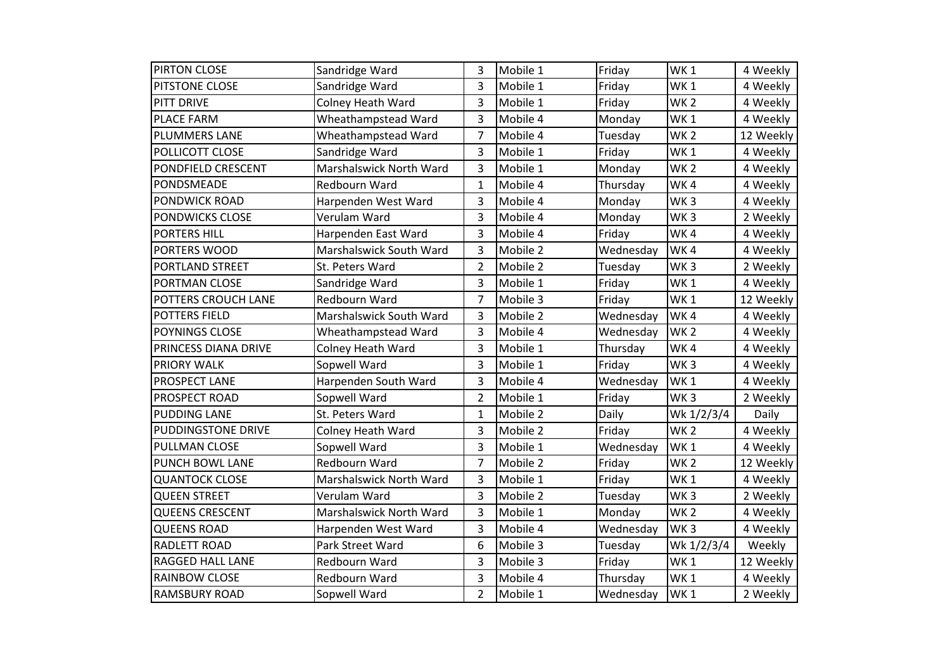| <b>PIRTON CLOSE</b>       | Sandridge Ward          | 3              | Mobile 1 | Friday    | WK <sub>1</sub> | 4 Weekly  |
|---------------------------|-------------------------|----------------|----------|-----------|-----------------|-----------|
| PITSTONE CLOSE            | Sandridge Ward          | 3              | Mobile 1 | Friday    | WK <sub>1</sub> | 4 Weekly  |
| PITT DRIVE                | Colney Heath Ward       | 3              | Mobile 1 | Friday    | WK <sub>2</sub> | 4 Weekly  |
| <b>PLACE FARM</b>         | Wheathampstead Ward     | 3              | Mobile 4 | Monday    | WK <sub>1</sub> | 4 Weekly  |
| <b>PLUMMERS LANE</b>      | Wheathampstead Ward     | 7              | Mobile 4 | Tuesday   | WK <sub>2</sub> | 12 Weekly |
| POLLICOTT CLOSE           | Sandridge Ward          | 3              | Mobile 1 | Friday    | WK <sub>1</sub> | 4 Weekly  |
| PONDFIELD CRESCENT        | Marshalswick North Ward | 3              | Mobile 1 | Monday    | WK <sub>2</sub> | 4 Weekly  |
| PONDSMEADE                | Redbourn Ward           | 1              | Mobile 4 | Thursday  | WK4             | 4 Weekly  |
| <b>PONDWICK ROAD</b>      | Harpenden West Ward     | 3              | Mobile 4 | Monday    | WK <sub>3</sub> | 4 Weekly  |
| <b>PONDWICKS CLOSE</b>    | Verulam Ward            | 3              | Mobile 4 | Monday    | WK <sub>3</sub> | 2 Weekly  |
| <b>PORTERS HILL</b>       | Harpenden East Ward     | 3              | Mobile 4 | Friday    | WK4             | 4 Weekly  |
| PORTERS WOOD              | Marshalswick South Ward | 3              | Mobile 2 | Wednesday | WK4             | 4 Weekly  |
| <b>PORTLAND STREET</b>    | St. Peters Ward         | $\overline{2}$ | Mobile 2 | Tuesday   | WK <sub>3</sub> | 2 Weekly  |
| PORTMAN CLOSE             | Sandridge Ward          | 3              | Mobile 1 | Friday    | WK <sub>1</sub> | 4 Weekly  |
| POTTERS CROUCH LANE       | Redbourn Ward           | $\overline{7}$ | Mobile 3 | Friday    | WK <sub>1</sub> | 12 Weekly |
| <b>POTTERS FIELD</b>      | Marshalswick South Ward | 3              | Mobile 2 | Wednesday | WK4             | 4 Weekly  |
| POYNINGS CLOSE            | Wheathampstead Ward     | 3              | Mobile 4 | Wednesday | WK <sub>2</sub> | 4 Weekly  |
| PRINCESS DIANA DRIVE      | Colney Heath Ward       | 3              | Mobile 1 | Thursday  | WK4             | 4 Weekly  |
| <b>PRIORY WALK</b>        | Sopwell Ward            | 3              | Mobile 1 | Friday    | WK <sub>3</sub> | 4 Weekly  |
| <b>PROSPECT LANE</b>      | Harpenden South Ward    | 3              | Mobile 4 | Wednesday | WK1             | 4 Weekly  |
| <b>PROSPECT ROAD</b>      | Sopwell Ward            | $\overline{2}$ | Mobile 1 | Friday    | WK <sub>3</sub> | 2 Weekly  |
| <b>PUDDING LANE</b>       | St. Peters Ward         | $\mathbf{1}$   | Mobile 2 | Daily     | Wk 1/2/3/4      | Daily     |
| <b>PUDDINGSTONE DRIVE</b> | Colney Heath Ward       | 3              | Mobile 2 | Friday    | WK <sub>2</sub> | 4 Weekly  |
| <b>PULLMAN CLOSE</b>      | Sopwell Ward            | 3              | Mobile 1 | Wednesday | WK <sub>1</sub> | 4 Weekly  |
| <b>PUNCH BOWL LANE</b>    | <b>Redbourn Ward</b>    | $\overline{7}$ | Mobile 2 | Friday    | WK <sub>2</sub> | 12 Weekly |
| <b>QUANTOCK CLOSE</b>     | Marshalswick North Ward | 3              | Mobile 1 | Friday    | WK <sub>1</sub> | 4 Weekly  |
| <b>QUEEN STREET</b>       | Verulam Ward            | 3              | Mobile 2 | Tuesday   | WK <sub>3</sub> | 2 Weekly  |
| <b>QUEENS CRESCENT</b>    | Marshalswick North Ward | 3              | Mobile 1 | Monday    | WK <sub>2</sub> | 4 Weekly  |
| <b>QUEENS ROAD</b>        | Harpenden West Ward     | 3              | Mobile 4 | Wednesday | WK <sub>3</sub> | 4 Weekly  |
| <b>RADLETT ROAD</b>       | Park Street Ward        | 6              | Mobile 3 | Tuesday   | Wk 1/2/3/4      | Weekly    |
| <b>RAGGED HALL LANE</b>   | Redbourn Ward           | 3              | Mobile 3 | Friday    | WK <sub>1</sub> | 12 Weekly |
| <b>RAINBOW CLOSE</b>      | Redbourn Ward           | 3              | Mobile 4 | Thursday  | WK <sub>1</sub> | 4 Weekly  |
| <b>RAMSBURY ROAD</b>      | Sopwell Ward            | $\overline{2}$ | Mobile 1 | Wednesday | WK <sub>1</sub> | 2 Weekly  |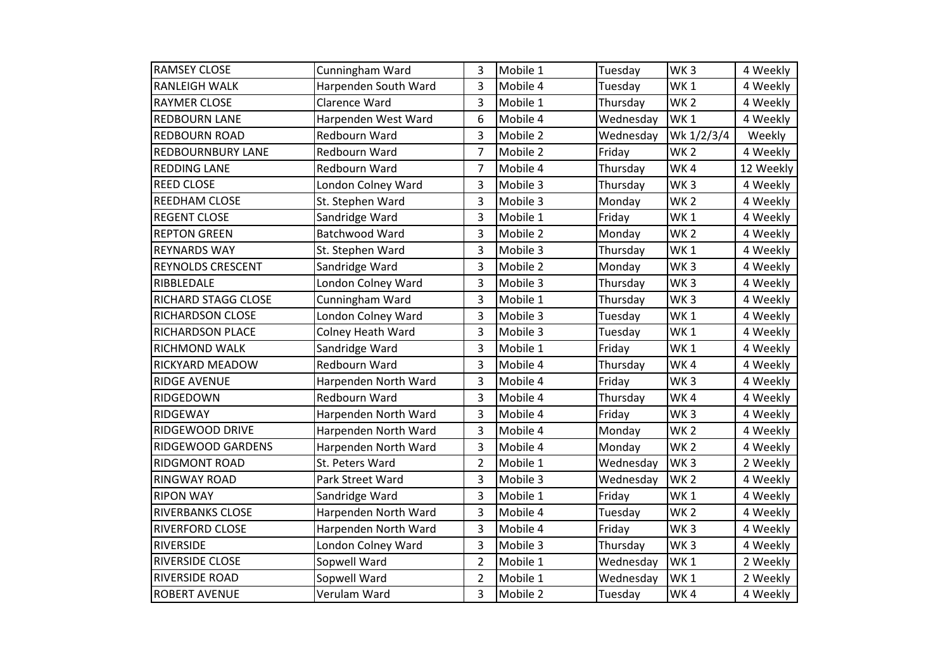| <b>RAMSEY CLOSE</b>      | Cunningham Ward      | 3              | Mobile 1 | Tuesday   | WK <sub>3</sub> | 4 Weekly  |
|--------------------------|----------------------|----------------|----------|-----------|-----------------|-----------|
| <b>RANLEIGH WALK</b>     | Harpenden South Ward | 3              | Mobile 4 | Tuesday   | WK <sub>1</sub> | 4 Weekly  |
| <b>RAYMER CLOSE</b>      | Clarence Ward        | 3              | Mobile 1 | Thursday  | WK <sub>2</sub> | 4 Weekly  |
| <b>REDBOURN LANE</b>     | Harpenden West Ward  | 6              | Mobile 4 | Wednesday | WK <sub>1</sub> | 4 Weekly  |
| <b>REDBOURN ROAD</b>     | Redbourn Ward        | 3              | Mobile 2 | Wednesday | Wk 1/2/3/4      | Weekly    |
| <b>REDBOURNBURY LANE</b> | Redbourn Ward        | $\overline{7}$ | Mobile 2 | Friday    | WK <sub>2</sub> | 4 Weekly  |
| <b>REDDING LANE</b>      | Redbourn Ward        | $\overline{7}$ | Mobile 4 | Thursday  | WK4             | 12 Weekly |
| <b>REED CLOSE</b>        | London Colney Ward   | 3              | Mobile 3 | Thursday  | WK <sub>3</sub> | 4 Weekly  |
| REEDHAM CLOSE            | St. Stephen Ward     | 3              | Mobile 3 | Monday    | WK <sub>2</sub> | 4 Weekly  |
| <b>REGENT CLOSE</b>      | Sandridge Ward       | 3              | Mobile 1 | Friday    | WK <sub>1</sub> | 4 Weekly  |
| <b>REPTON GREEN</b>      | Batchwood Ward       | 3              | Mobile 2 | Monday    | WK <sub>2</sub> | 4 Weekly  |
| <b>REYNARDS WAY</b>      | St. Stephen Ward     | 3              | Mobile 3 | Thursday  | WK <sub>1</sub> | 4 Weekly  |
| <b>REYNOLDS CRESCENT</b> | Sandridge Ward       | 3              | Mobile 2 | Monday    | WK <sub>3</sub> | 4 Weekly  |
| RIBBLEDALE               | London Colney Ward   | 3              | Mobile 3 | Thursday  | WK <sub>3</sub> | 4 Weekly  |
| RICHARD STAGG CLOSE      | Cunningham Ward      | 3              | Mobile 1 | Thursday  | WK <sub>3</sub> | 4 Weekly  |
| RICHARDSON CLOSE         | London Colney Ward   | 3              | Mobile 3 | Tuesday   | WK <sub>1</sub> | 4 Weekly  |
| <b>RICHARDSON PLACE</b>  | Colney Heath Ward    | 3              | Mobile 3 | Tuesday   | WK <sub>1</sub> | 4 Weekly  |
| RICHMOND WALK            | Sandridge Ward       | 3              | Mobile 1 | Friday    | WK1             | 4 Weekly  |
| RICKYARD MEADOW          | Redbourn Ward        | 3              | Mobile 4 | Thursday  | WK4             | 4 Weekly  |
| <b>RIDGE AVENUE</b>      | Harpenden North Ward | 3              | Mobile 4 | Friday    | WK <sub>3</sub> | 4 Weekly  |
| RIDGEDOWN                | Redbourn Ward        | 3              | Mobile 4 | Thursday  | WK4             | 4 Weekly  |
| <b>RIDGEWAY</b>          | Harpenden North Ward | 3              | Mobile 4 | Friday    | WK <sub>3</sub> | 4 Weekly  |
| RIDGEWOOD DRIVE          | Harpenden North Ward | 3              | Mobile 4 | Monday    | <b>WK2</b>      | 4 Weekly  |
| RIDGEWOOD GARDENS        | Harpenden North Ward | 3              | Mobile 4 | Monday    | WK <sub>2</sub> | 4 Weekly  |
| <b>RIDGMONT ROAD</b>     | St. Peters Ward      | $\overline{2}$ | Mobile 1 | Wednesday | WK <sub>3</sub> | 2 Weekly  |
| <b>RINGWAY ROAD</b>      | Park Street Ward     | 3              | Mobile 3 | Wednesday | WK <sub>2</sub> | 4 Weekly  |
| <b>RIPON WAY</b>         | Sandridge Ward       | 3              | Mobile 1 | Friday    | WK <sub>1</sub> | 4 Weekly  |
| <b>RIVERBANKS CLOSE</b>  | Harpenden North Ward | 3              | Mobile 4 | Tuesday   | WK <sub>2</sub> | 4 Weekly  |
| <b>RIVERFORD CLOSE</b>   | Harpenden North Ward | 3              | Mobile 4 | Friday    | WK <sub>3</sub> | 4 Weekly  |
| <b>RIVERSIDE</b>         | London Colney Ward   | 3              | Mobile 3 | Thursday  | WK <sub>3</sub> | 4 Weekly  |
| <b>RIVERSIDE CLOSE</b>   | Sopwell Ward         | $\overline{2}$ | Mobile 1 | Wednesday | WK <sub>1</sub> | 2 Weekly  |
| <b>RIVERSIDE ROAD</b>    | Sopwell Ward         | $\overline{2}$ | Mobile 1 | Wednesday | WK <sub>1</sub> | 2 Weekly  |
| <b>ROBERT AVENUE</b>     | Verulam Ward         | 3              | Mobile 2 | Tuesday   | WK4             | 4 Weekly  |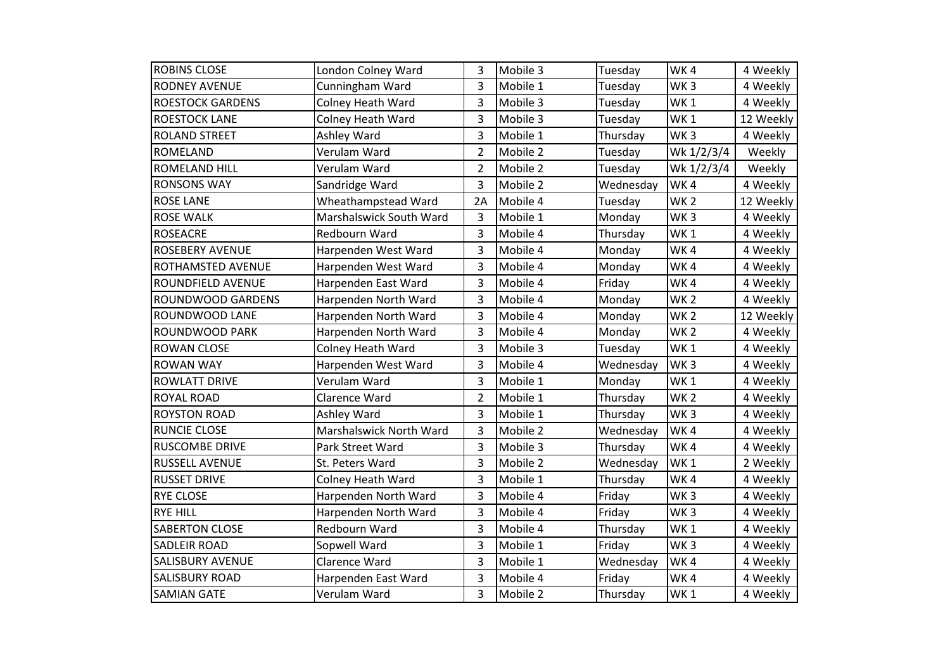| <b>ROBINS CLOSE</b>      | London Colney Ward       | 3              | Mobile 3 | Tuesday   | WK4             | 4 Weekly  |
|--------------------------|--------------------------|----------------|----------|-----------|-----------------|-----------|
| <b>RODNEY AVENUE</b>     | Cunningham Ward          | 3              | Mobile 1 | Tuesday   | WK <sub>3</sub> | 4 Weekly  |
| <b>ROESTOCK GARDENS</b>  | Colney Heath Ward        | 3              | Mobile 3 | Tuesday   | WK <sub>1</sub> | 4 Weekly  |
| <b>ROESTOCK LANE</b>     | Colney Heath Ward        | 3              | Mobile 3 | Tuesday   | WK <sub>1</sub> | 12 Weekly |
| <b>ROLAND STREET</b>     | Ashley Ward              | 3              | Mobile 1 | Thursday  | WK <sub>3</sub> | 4 Weekly  |
| <b>ROMELAND</b>          | Verulam Ward             | $\overline{2}$ | Mobile 2 | Tuesday   | Wk 1/2/3/4      | Weekly    |
| <b>ROMELAND HILL</b>     | Verulam Ward             | $\overline{2}$ | Mobile 2 | Tuesday   | Wk 1/2/3/4      | Weekly    |
| <b>RONSONS WAY</b>       | Sandridge Ward           | 3              | Mobile 2 | Wednesday | WK4             | 4 Weekly  |
| <b>ROSE LANE</b>         | Wheathampstead Ward      | 2A             | Mobile 4 | Tuesday   | WK <sub>2</sub> | 12 Weekly |
| <b>ROSE WALK</b>         | Marshalswick South Ward  | 3              | Mobile 1 | Monday    | WK <sub>3</sub> | 4 Weekly  |
| <b>ROSEACRE</b>          | Redbourn Ward            | 3              | Mobile 4 | Thursday  | WK <sub>1</sub> | 4 Weekly  |
| <b>ROSEBERY AVENUE</b>   | Harpenden West Ward      | 3              | Mobile 4 | Monday    | WK4             | 4 Weekly  |
| ROTHAMSTED AVENUE        | Harpenden West Ward      | 3              | Mobile 4 | Monday    | WK4             | 4 Weekly  |
| ROUNDFIELD AVENUE        | Harpenden East Ward      | 3              | Mobile 4 | Friday    | WK4             | 4 Weekly  |
| <b>ROUNDWOOD GARDENS</b> | Harpenden North Ward     | 3              | Mobile 4 | Monday    | WK <sub>2</sub> | 4 Weekly  |
| ROUNDWOOD LANE           | Harpenden North Ward     | 3              | Mobile 4 | Monday    | WK <sub>2</sub> | 12 Weekly |
| ROUNDWOOD PARK           | Harpenden North Ward     | 3              | Mobile 4 | Monday    | WK <sub>2</sub> | 4 Weekly  |
| <b>ROWAN CLOSE</b>       | Colney Heath Ward        | 3              | Mobile 3 | Tuesday   | WK <sub>1</sub> | 4 Weekly  |
| <b>ROWAN WAY</b>         | Harpenden West Ward      | 3              | Mobile 4 | Wednesday | WK <sub>3</sub> | 4 Weekly  |
| <b>ROWLATT DRIVE</b>     | Verulam Ward             | 3              | Mobile 1 | Monday    | WK <sub>1</sub> | 4 Weekly  |
| <b>ROYAL ROAD</b>        | Clarence Ward            | $\overline{2}$ | Mobile 1 | Thursday  | WK <sub>2</sub> | 4 Weekly  |
| <b>ROYSTON ROAD</b>      | <b>Ashley Ward</b>       | 3              | Mobile 1 | Thursday  | WK <sub>3</sub> | 4 Weekly  |
| <b>RUNCIE CLOSE</b>      | Marshalswick North Ward  | 3              | Mobile 2 | Wednesday | WK4             | 4 Weekly  |
| <b>RUSCOMBE DRIVE</b>    | Park Street Ward         | 3              | Mobile 3 | Thursday  | WK4             | 4 Weekly  |
| <b>RUSSELL AVENUE</b>    | St. Peters Ward          | 3              | Mobile 2 | Wednesday | WK <sub>1</sub> | 2 Weekly  |
| <b>RUSSET DRIVE</b>      | <b>Colney Heath Ward</b> | 3              | Mobile 1 | Thursday  | WK4             | 4 Weekly  |
| <b>RYE CLOSE</b>         | Harpenden North Ward     | 3              | Mobile 4 | Friday    | WK <sub>3</sub> | 4 Weekly  |
| <b>RYE HILL</b>          | Harpenden North Ward     | 3              | Mobile 4 | Friday    | WK <sub>3</sub> | 4 Weekly  |
| <b>SABERTON CLOSE</b>    | Redbourn Ward            | 3              | Mobile 4 | Thursday  | WK <sub>1</sub> | 4 Weekly  |
| <b>SADLEIR ROAD</b>      | Sopwell Ward             | 3              | Mobile 1 | Friday    | WK <sub>3</sub> | 4 Weekly  |
| <b>SALISBURY AVENUE</b>  | Clarence Ward            | 3              | Mobile 1 | Wednesday | WK4             | 4 Weekly  |
| <b>SALISBURY ROAD</b>    | Harpenden East Ward      | 3              | Mobile 4 | Friday    | WK4             | 4 Weekly  |
| <b>SAMIAN GATE</b>       | Verulam Ward             | 3              | Mobile 2 | Thursday  | WK1             | 4 Weekly  |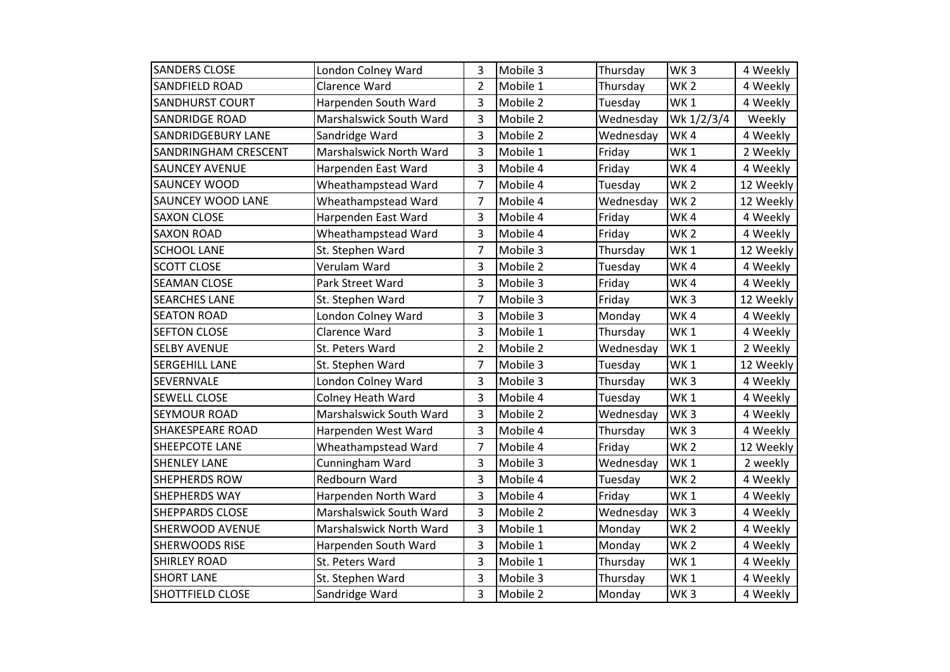| <b>SANDERS CLOSE</b>        | London Colney Ward       | 3              | Mobile 3 | Thursday  | WK <sub>3</sub> | 4 Weekly  |
|-----------------------------|--------------------------|----------------|----------|-----------|-----------------|-----------|
| <b>SANDFIELD ROAD</b>       | Clarence Ward            | $\overline{2}$ | Mobile 1 | Thursday  | WK <sub>2</sub> | 4 Weekly  |
| <b>SANDHURST COURT</b>      | Harpenden South Ward     | 3              | Mobile 2 | Tuesday   | WK <sub>1</sub> | 4 Weekly  |
| <b>SANDRIDGE ROAD</b>       | Marshalswick South Ward  | 3              | Mobile 2 | Wednesday | Wk 1/2/3/4      | Weekly    |
| <b>SANDRIDGEBURY LANE</b>   | Sandridge Ward           | 3              | Mobile 2 | Wednesday | WK4             | 4 Weekly  |
| <b>SANDRINGHAM CRESCENT</b> | Marshalswick North Ward  | 3              | Mobile 1 | Friday    | WK <sub>1</sub> | 2 Weekly  |
| <b>SAUNCEY AVENUE</b>       | Harpenden East Ward      | 3              | Mobile 4 | Friday    | WK4             | 4 Weekly  |
| <b>SAUNCEY WOOD</b>         | Wheathampstead Ward      | $\overline{7}$ | Mobile 4 | Tuesday   | WK <sub>2</sub> | 12 Weekly |
| <b>SAUNCEY WOOD LANE</b>    | Wheathampstead Ward      | 7              | Mobile 4 | Wednesday | WK <sub>2</sub> | 12 Weekly |
| <b>SAXON CLOSE</b>          | Harpenden East Ward      | 3              | Mobile 4 | Friday    | WK4             | 4 Weekly  |
| <b>SAXON ROAD</b>           | Wheathampstead Ward      | 3              | Mobile 4 | Friday    | WK <sub>2</sub> | 4 Weekly  |
| <b>SCHOOL LANE</b>          | St. Stephen Ward         | 7              | Mobile 3 | Thursday  | WK <sub>1</sub> | 12 Weekly |
| <b>SCOTT CLOSE</b>          | Verulam Ward             | 3              | Mobile 2 | Tuesday   | WK4             | 4 Weekly  |
| <b>SEAMAN CLOSE</b>         | Park Street Ward         | 3              | Mobile 3 | Friday    | WK4             | 4 Weekly  |
| <b>SEARCHES LANE</b>        | St. Stephen Ward         | $\overline{7}$ | Mobile 3 | Friday    | WK <sub>3</sub> | 12 Weekly |
| <b>SEATON ROAD</b>          | London Colney Ward       | 3              | Mobile 3 | Monday    | WK4             | 4 Weekly  |
| <b>SEFTON CLOSE</b>         | Clarence Ward            | 3              | Mobile 1 | Thursday  | WK <sub>1</sub> | 4 Weekly  |
| <b>SELBY AVENUE</b>         | St. Peters Ward          | $\overline{2}$ | Mobile 2 | Wednesday | WK1             | 2 Weekly  |
| <b>SERGEHILL LANE</b>       | St. Stephen Ward         | 7              | Mobile 3 | Tuesday   | WK <sub>1</sub> | 12 Weekly |
| SEVERNVALE                  | London Colney Ward       | 3              | Mobile 3 | Thursday  | WK <sub>3</sub> | 4 Weekly  |
| <b>SEWELL CLOSE</b>         | <b>Colney Heath Ward</b> | 3              | Mobile 4 | Tuesday   | WK <sub>1</sub> | 4 Weekly  |
| <b>SEYMOUR ROAD</b>         | Marshalswick South Ward  | 3              | Mobile 2 | Wednesday | WK <sub>3</sub> | 4 Weekly  |
| <b>SHAKESPEARE ROAD</b>     | Harpenden West Ward      | 3              | Mobile 4 | Thursday  | WK <sub>3</sub> | 4 Weekly  |
| SHEEPCOTE LANE              | Wheathampstead Ward      | 7              | Mobile 4 | Friday    | WK <sub>2</sub> | 12 Weekly |
| <b>SHENLEY LANE</b>         | Cunningham Ward          | 3              | Mobile 3 | Wednesday | WK1             | 2 weekly  |
| <b>SHEPHERDS ROW</b>        | Redbourn Ward            | 3              | Mobile 4 | Tuesday   | WK <sub>2</sub> | 4 Weekly  |
| <b>SHEPHERDS WAY</b>        | Harpenden North Ward     | 3              | Mobile 4 | Friday    | WK <sub>1</sub> | 4 Weekly  |
| <b>SHEPPARDS CLOSE</b>      | Marshalswick South Ward  | 3              | Mobile 2 | Wednesday | WK <sub>3</sub> | 4 Weekly  |
| <b>SHERWOOD AVENUE</b>      | Marshalswick North Ward  | 3              | Mobile 1 | Monday    | WK <sub>2</sub> | 4 Weekly  |
| <b>SHERWOODS RISE</b>       | Harpenden South Ward     | 3              | Mobile 1 | Monday    | WK <sub>2</sub> | 4 Weekly  |
| <b>SHIRLEY ROAD</b>         | St. Peters Ward          | 3              | Mobile 1 | Thursday  | WK <sub>1</sub> | 4 Weekly  |
| <b>SHORT LANE</b>           | St. Stephen Ward         | 3              | Mobile 3 | Thursday  | WK <sub>1</sub> | 4 Weekly  |
| <b>SHOTTFIELD CLOSE</b>     | Sandridge Ward           | 3              | Mobile 2 | Monday    | WK <sub>3</sub> | 4 Weekly  |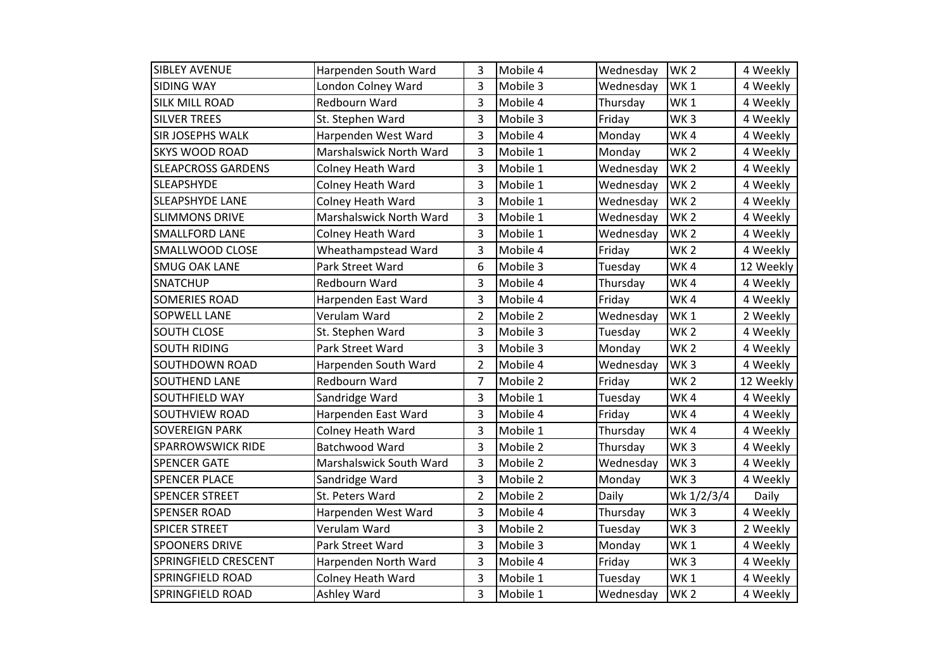| <b>SIBLEY AVENUE</b>      | Harpenden South Ward     | 3              | Mobile 4 | Wednesday | WK <sub>2</sub> | 4 Weekly  |
|---------------------------|--------------------------|----------------|----------|-----------|-----------------|-----------|
| <b>SIDING WAY</b>         | London Colney Ward       | 3              | Mobile 3 | Wednesday | WK <sub>1</sub> | 4 Weekly  |
| <b>SILK MILL ROAD</b>     | Redbourn Ward            | 3              | Mobile 4 | Thursday  | WK <sub>1</sub> | 4 Weekly  |
| <b>SILVER TREES</b>       | St. Stephen Ward         | 3              | Mobile 3 | Friday    | WK <sub>3</sub> | 4 Weekly  |
| <b>SIR JOSEPHS WALK</b>   | Harpenden West Ward      | 3              | Mobile 4 | Monday    | WK4             | 4 Weekly  |
| <b>SKYS WOOD ROAD</b>     | Marshalswick North Ward  | 3              | Mobile 1 | Monday    | WK <sub>2</sub> | 4 Weekly  |
| <b>SLEAPCROSS GARDENS</b> | <b>Colney Heath Ward</b> | 3              | Mobile 1 | Wednesday | WK <sub>2</sub> | 4 Weekly  |
| <b>SLEAPSHYDE</b>         | Colney Heath Ward        | 3              | Mobile 1 | Wednesday | WK <sub>2</sub> | 4 Weekly  |
| <b>SLEAPSHYDE LANE</b>    | <b>Colney Heath Ward</b> | 3              | Mobile 1 | Wednesday | WK <sub>2</sub> | 4 Weekly  |
| <b>SLIMMONS DRIVE</b>     | Marshalswick North Ward  | 3              | Mobile 1 | Wednesday | WK <sub>2</sub> | 4 Weekly  |
| <b>SMALLFORD LANE</b>     | <b>Colney Heath Ward</b> | 3              | Mobile 1 | Wednesday | WK <sub>2</sub> | 4 Weekly  |
| SMALLWOOD CLOSE           | Wheathampstead Ward      | 3              | Mobile 4 | Friday    | WK <sub>2</sub> | 4 Weekly  |
| <b>SMUG OAK LANE</b>      | Park Street Ward         | 6              | Mobile 3 | Tuesday   | WK4             | 12 Weekly |
| <b>SNATCHUP</b>           | Redbourn Ward            | 3              | Mobile 4 | Thursday  | WK4             | 4 Weekly  |
| <b>SOMERIES ROAD</b>      | Harpenden East Ward      | 3              | Mobile 4 | Friday    | WK4             | 4 Weekly  |
| <b>SOPWELL LANE</b>       | Verulam Ward             | $\overline{2}$ | Mobile 2 | Wednesday | WK <sub>1</sub> | 2 Weekly  |
| <b>SOUTH CLOSE</b>        | St. Stephen Ward         | 3              | Mobile 3 | Tuesday   | WK <sub>2</sub> | 4 Weekly  |
| <b>SOUTH RIDING</b>       | Park Street Ward         | 3              | Mobile 3 | Monday    | WK <sub>2</sub> | 4 Weekly  |
| <b>SOUTHDOWN ROAD</b>     | Harpenden South Ward     | $\overline{2}$ | Mobile 4 | Wednesday | WK <sub>3</sub> | 4 Weekly  |
| <b>SOUTHEND LANE</b>      | Redbourn Ward            | 7              | Mobile 2 | Friday    | WK <sub>2</sub> | 12 Weekly |
| SOUTHFIELD WAY            | Sandridge Ward           | 3              | Mobile 1 | Tuesday   | WK4             | 4 Weekly  |
| <b>SOUTHVIEW ROAD</b>     | Harpenden East Ward      | 3              | Mobile 4 | Friday    | WK4             | 4 Weekly  |
| <b>SOVEREIGN PARK</b>     | <b>Colney Heath Ward</b> | 3              | Mobile 1 | Thursday  | WK4             | 4 Weekly  |
| <b>SPARROWSWICK RIDE</b>  | Batchwood Ward           | 3              | Mobile 2 | Thursday  | WK <sub>3</sub> | 4 Weekly  |
| <b>SPENCER GATE</b>       | Marshalswick South Ward  | 3              | Mobile 2 | Wednesday | WK <sub>3</sub> | 4 Weekly  |
| <b>SPENCER PLACE</b>      | Sandridge Ward           | 3              | Mobile 2 | Monday    | WK <sub>3</sub> | 4 Weekly  |
| <b>SPENCER STREET</b>     | St. Peters Ward          | $\overline{2}$ | Mobile 2 | Daily     | Wk 1/2/3/4      | Daily     |
| <b>SPENSER ROAD</b>       | Harpenden West Ward      | 3              | Mobile 4 | Thursday  | WK <sub>3</sub> | 4 Weekly  |
| <b>SPICER STREET</b>      | Verulam Ward             | 3              | Mobile 2 | Tuesday   | WK <sub>3</sub> | 2 Weekly  |
| <b>SPOONERS DRIVE</b>     | Park Street Ward         | 3              | Mobile 3 | Monday    | WK <sub>1</sub> | 4 Weekly  |
| SPRINGFIELD CRESCENT      | Harpenden North Ward     | 3              | Mobile 4 | Friday    | WK <sub>3</sub> | 4 Weekly  |
| <b>SPRINGFIELD ROAD</b>   | Colney Heath Ward        | 3              | Mobile 1 | Tuesday   | WK <sub>1</sub> | 4 Weekly  |
| <b>SPRINGFIELD ROAD</b>   | Ashley Ward              | 3              | Mobile 1 | Wednesday | WK <sub>2</sub> | 4 Weekly  |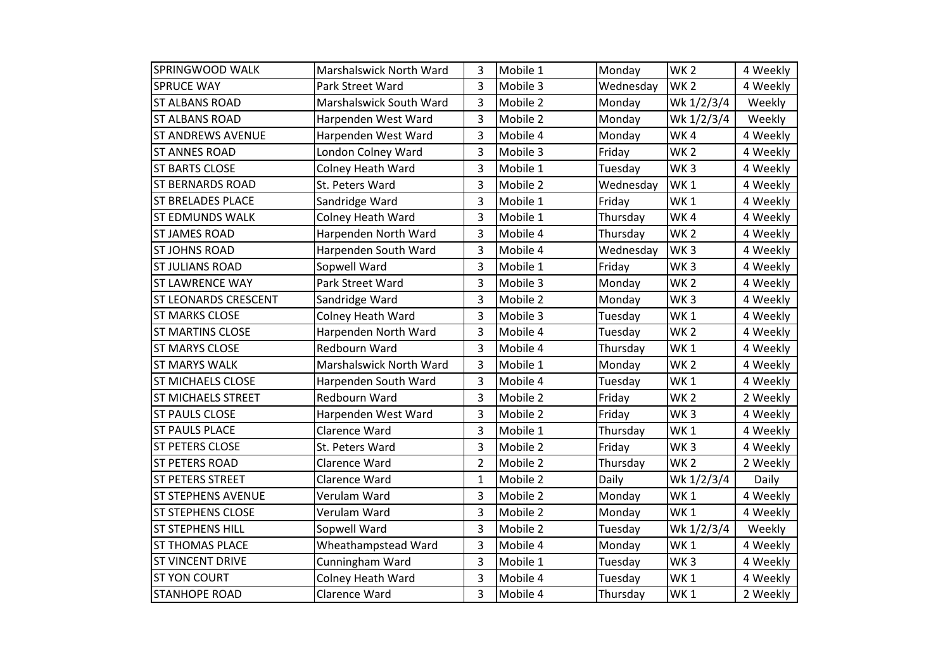| SPRINGWOOD WALK             | Marshalswick North Ward  | 3              | Mobile 1 | Monday    | WK <sub>2</sub> | 4 Weekly |
|-----------------------------|--------------------------|----------------|----------|-----------|-----------------|----------|
| <b>SPRUCE WAY</b>           | Park Street Ward         | 3              | Mobile 3 | Wednesday | WK <sub>2</sub> | 4 Weekly |
| <b>ST ALBANS ROAD</b>       | Marshalswick South Ward  | 3              | Mobile 2 | Monday    | Wk 1/2/3/4      | Weekly   |
| <b>ST ALBANS ROAD</b>       | Harpenden West Ward      | 3              | Mobile 2 | Monday    | Wk 1/2/3/4      | Weekly   |
| <b>ST ANDREWS AVENUE</b>    | Harpenden West Ward      | 3              | Mobile 4 | Monday    | WK4             | 4 Weekly |
| <b>ST ANNES ROAD</b>        | London Colney Ward       | 3              | Mobile 3 | Friday    | WK <sub>2</sub> | 4 Weekly |
| <b>ST BARTS CLOSE</b>       | Colney Heath Ward        | 3              | Mobile 1 | Tuesday   | WK <sub>3</sub> | 4 Weekly |
| <b>ST BERNARDS ROAD</b>     | St. Peters Ward          | 3              | Mobile 2 | Wednesday | WK <sub>1</sub> | 4 Weekly |
| <b>ST BRELADES PLACE</b>    | Sandridge Ward           | 3              | Mobile 1 | Friday    | WK <sub>1</sub> | 4 Weekly |
| <b>ST EDMUNDS WALK</b>      | <b>Colney Heath Ward</b> | 3              | Mobile 1 | Thursday  | WK4             | 4 Weekly |
| <b>ST JAMES ROAD</b>        | Harpenden North Ward     | 3              | Mobile 4 | Thursday  | WK <sub>2</sub> | 4 Weekly |
| <b>ST JOHNS ROAD</b>        | Harpenden South Ward     | 3              | Mobile 4 | Wednesday | WK <sub>3</sub> | 4 Weekly |
| <b>ST JULIANS ROAD</b>      | Sopwell Ward             | 3              | Mobile 1 | Friday    | WK <sub>3</sub> | 4 Weekly |
| <b>ST LAWRENCE WAY</b>      | Park Street Ward         | 3              | Mobile 3 | Monday    | WK <sub>2</sub> | 4 Weekly |
| <b>ST LEONARDS CRESCENT</b> | Sandridge Ward           | 3              | Mobile 2 | Monday    | WK <sub>3</sub> | 4 Weekly |
| <b>ST MARKS CLOSE</b>       | Colney Heath Ward        | 3              | Mobile 3 | Tuesday   | WK <sub>1</sub> | 4 Weekly |
| <b>ST MARTINS CLOSE</b>     | Harpenden North Ward     | 3              | Mobile 4 | Tuesday   | WK <sub>2</sub> | 4 Weekly |
| <b>ST MARYS CLOSE</b>       | Redbourn Ward            | 3              | Mobile 4 | Thursday  | WK1             | 4 Weekly |
| <b>ST MARYS WALK</b>        | Marshalswick North Ward  | 3              | Mobile 1 | Monday    | WK <sub>2</sub> | 4 Weekly |
| <b>ST MICHAELS CLOSE</b>    | Harpenden South Ward     | 3              | Mobile 4 | Tuesday   | WK <sub>1</sub> | 4 Weekly |
| <b>ST MICHAELS STREET</b>   | Redbourn Ward            | 3              | Mobile 2 | Friday    | WK <sub>2</sub> | 2 Weekly |
| <b>ST PAULS CLOSE</b>       | Harpenden West Ward      | 3              | Mobile 2 | Friday    | WK <sub>3</sub> | 4 Weekly |
| <b>ST PAULS PLACE</b>       | Clarence Ward            | 3              | Mobile 1 | Thursday  | WK <sub>1</sub> | 4 Weekly |
| <b>ST PETERS CLOSE</b>      | St. Peters Ward          | 3              | Mobile 2 | Friday    | WK <sub>3</sub> | 4 Weekly |
| <b>ST PETERS ROAD</b>       | Clarence Ward            | $\overline{2}$ | Mobile 2 | Thursday  | WK <sub>2</sub> | 2 Weekly |
| <b>ST PETERS STREET</b>     | Clarence Ward            | $\mathbf{1}$   | Mobile 2 | Daily     | Wk 1/2/3/4      | Daily    |
| <b>ST STEPHENS AVENUE</b>   | Verulam Ward             | 3              | Mobile 2 | Monday    | WK <sub>1</sub> | 4 Weekly |
| <b>ST STEPHENS CLOSE</b>    | Verulam Ward             | 3              | Mobile 2 | Monday    | WK <sub>1</sub> | 4 Weekly |
| <b>ST STEPHENS HILL</b>     | Sopwell Ward             | 3              | Mobile 2 | Tuesday   | Wk 1/2/3/4      | Weekly   |
| <b>ST THOMAS PLACE</b>      | Wheathampstead Ward      | 3              | Mobile 4 | Monday    | WK <sub>1</sub> | 4 Weekly |
| <b>ST VINCENT DRIVE</b>     | Cunningham Ward          | 3              | Mobile 1 | Tuesday   | WK <sub>3</sub> | 4 Weekly |
| <b>ST YON COURT</b>         | Colney Heath Ward        | 3              | Mobile 4 | Tuesday   | WK <sub>1</sub> | 4 Weekly |
| <b>STANHOPE ROAD</b>        | Clarence Ward            | 3              | Mobile 4 | Thursday  | WK1             | 2 Weekly |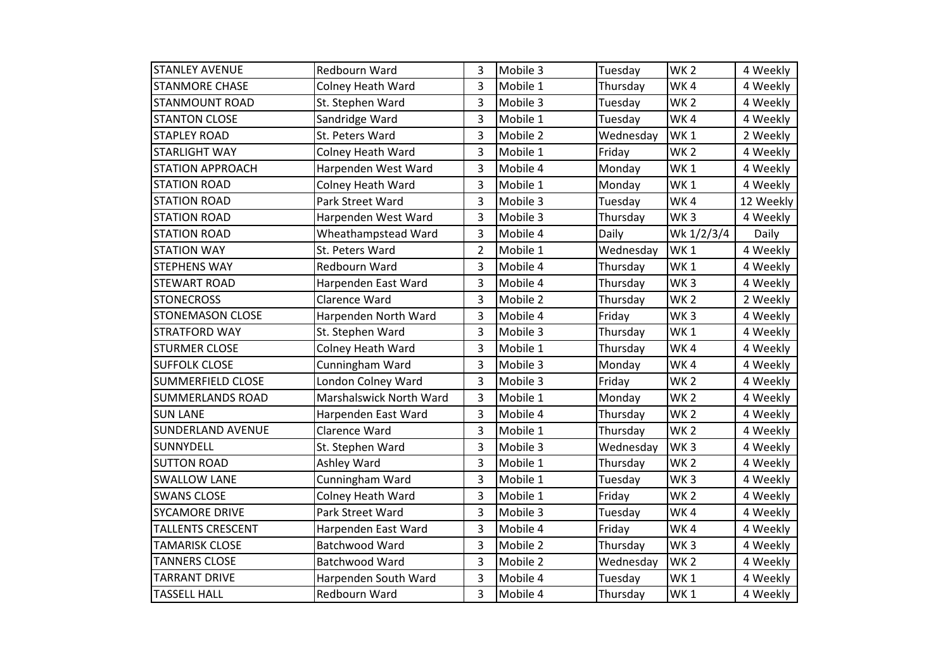| <b>STANLEY AVENUE</b>    | Redbourn Ward            | 3              | Mobile 3 | Tuesday   | WK <sub>2</sub> | 4 Weekly  |
|--------------------------|--------------------------|----------------|----------|-----------|-----------------|-----------|
| <b>STANMORE CHASE</b>    | <b>Colney Heath Ward</b> | 3              | Mobile 1 | Thursday  | WK4             | 4 Weekly  |
| <b>STANMOUNT ROAD</b>    | St. Stephen Ward         | 3              | Mobile 3 | Tuesday   | WK <sub>2</sub> | 4 Weekly  |
| <b>STANTON CLOSE</b>     | Sandridge Ward           | 3              | Mobile 1 | Tuesday   | WK4             | 4 Weekly  |
| <b>STAPLEY ROAD</b>      | St. Peters Ward          | 3              | Mobile 2 | Wednesday | WK <sub>1</sub> | 2 Weekly  |
| <b>STARLIGHT WAY</b>     | <b>Colney Heath Ward</b> | 3              | Mobile 1 | Friday    | WK <sub>2</sub> | 4 Weekly  |
| <b>STATION APPROACH</b>  | Harpenden West Ward      | 3              | Mobile 4 | Monday    | WK <sub>1</sub> | 4 Weekly  |
| <b>STATION ROAD</b>      | Colney Heath Ward        | 3              | Mobile 1 | Monday    | WK <sub>1</sub> | 4 Weekly  |
| <b>STATION ROAD</b>      | Park Street Ward         | 3              | Mobile 3 | Tuesday   | WK4             | 12 Weekly |
| <b>STATION ROAD</b>      | Harpenden West Ward      | 3              | Mobile 3 | Thursday  | WK <sub>3</sub> | 4 Weekly  |
| <b>STATION ROAD</b>      | Wheathampstead Ward      | 3              | Mobile 4 | Daily     | Wk 1/2/3/4      | Daily     |
| <b>STATION WAY</b>       | St. Peters Ward          | $\overline{2}$ | Mobile 1 | Wednesday | WK <sub>1</sub> | 4 Weekly  |
| <b>STEPHENS WAY</b>      | Redbourn Ward            | 3              | Mobile 4 | Thursday  | WK <sub>1</sub> | 4 Weekly  |
| <b>STEWART ROAD</b>      | Harpenden East Ward      | 3              | Mobile 4 | Thursday  | WK <sub>3</sub> | 4 Weekly  |
| <b>STONECROSS</b>        | Clarence Ward            | 3              | Mobile 2 | Thursday  | WK <sub>2</sub> | 2 Weekly  |
| <b>STONEMASON CLOSE</b>  | Harpenden North Ward     | 3              | Mobile 4 | Friday    | WK <sub>3</sub> | 4 Weekly  |
| <b>STRATFORD WAY</b>     | St. Stephen Ward         | 3              | Mobile 3 | Thursday  | WK <sub>1</sub> | 4 Weekly  |
| <b>STURMER CLOSE</b>     | <b>Colney Heath Ward</b> | 3              | Mobile 1 | Thursday  | WK4             | 4 Weekly  |
| <b>SUFFOLK CLOSE</b>     | Cunningham Ward          | 3              | Mobile 3 | Monday    | WK4             | 4 Weekly  |
| <b>SUMMERFIELD CLOSE</b> | London Colney Ward       | 3              | Mobile 3 | Friday    | WK <sub>2</sub> | 4 Weekly  |
| <b>SUMMERLANDS ROAD</b>  | Marshalswick North Ward  | 3              | Mobile 1 | Monday    | WK <sub>2</sub> | 4 Weekly  |
| <b>SUN LANE</b>          | Harpenden East Ward      | 3              | Mobile 4 | Thursday  | WK <sub>2</sub> | 4 Weekly  |
| <b>SUNDERLAND AVENUE</b> | Clarence Ward            | 3              | Mobile 1 | Thursday  | WK <sub>2</sub> | 4 Weekly  |
| SUNNYDELL                | St. Stephen Ward         | 3              | Mobile 3 | Wednesday | WK <sub>3</sub> | 4 Weekly  |
| <b>SUTTON ROAD</b>       | Ashley Ward              | 3              | Mobile 1 | Thursday  | WK <sub>2</sub> | 4 Weekly  |
| <b>SWALLOW LANE</b>      | Cunningham Ward          | 3              | Mobile 1 | Tuesday   | WK <sub>3</sub> | 4 Weekly  |
| <b>SWANS CLOSE</b>       | Colney Heath Ward        | 3              | Mobile 1 | Friday    | WK <sub>2</sub> | 4 Weekly  |
| <b>SYCAMORE DRIVE</b>    | Park Street Ward         | 3              | Mobile 3 | Tuesday   | WK4             | 4 Weekly  |
| <b>TALLENTS CRESCENT</b> | Harpenden East Ward      | 3              | Mobile 4 | Friday    | WK4             | 4 Weekly  |
| <b>TAMARISK CLOSE</b>    | Batchwood Ward           | 3              | Mobile 2 | Thursday  | WK <sub>3</sub> | 4 Weekly  |
| <b>TANNERS CLOSE</b>     | Batchwood Ward           | 3              | Mobile 2 | Wednesday | WK <sub>2</sub> | 4 Weekly  |
| <b>TARRANT DRIVE</b>     | Harpenden South Ward     | 3              | Mobile 4 | Tuesday   | WK <sub>1</sub> | 4 Weekly  |
| <b>TASSELL HALL</b>      | Redbourn Ward            | 3              | Mobile 4 | Thursday  | WK <sub>1</sub> | 4 Weekly  |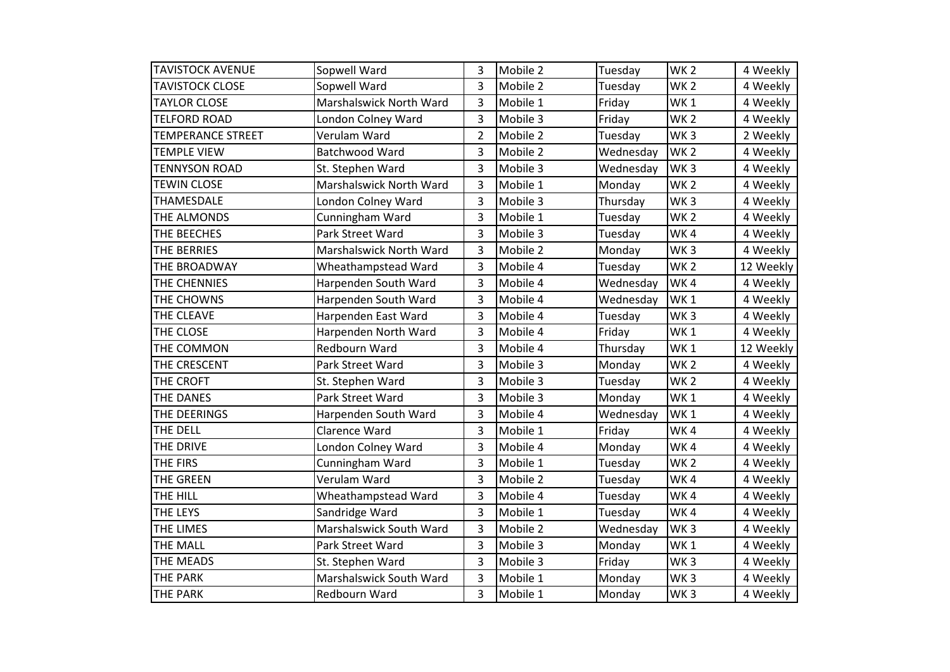| <b>TAVISTOCK AVENUE</b>  | Sopwell Ward            | 3              | Mobile 2 | Tuesday   | WK <sub>2</sub> | 4 Weekly  |
|--------------------------|-------------------------|----------------|----------|-----------|-----------------|-----------|
| <b>TAVISTOCK CLOSE</b>   | Sopwell Ward            | 3              | Mobile 2 | Tuesday   | WK <sub>2</sub> | 4 Weekly  |
| <b>TAYLOR CLOSE</b>      | Marshalswick North Ward | 3              | Mobile 1 | Friday    | WK <sub>1</sub> | 4 Weekly  |
| <b>TELFORD ROAD</b>      | London Colney Ward      | 3              | Mobile 3 | Friday    | WK <sub>2</sub> | 4 Weekly  |
| <b>TEMPERANCE STREET</b> | Verulam Ward            | $\overline{2}$ | Mobile 2 | Tuesday   | WK <sub>3</sub> | 2 Weekly  |
| <b>TEMPLE VIEW</b>       | Batchwood Ward          | 3              | Mobile 2 | Wednesday | WK <sub>2</sub> | 4 Weekly  |
| TENNYSON ROAD            | St. Stephen Ward        | 3              | Mobile 3 | Wednesday | WK <sub>3</sub> | 4 Weekly  |
| <b>TEWIN CLOSE</b>       | Marshalswick North Ward | 3              | Mobile 1 | Monday    | WK <sub>2</sub> | 4 Weekly  |
| <b>THAMESDALE</b>        | London Colney Ward      | 3              | Mobile 3 | Thursday  | WK <sub>3</sub> | 4 Weekly  |
| THE ALMONDS              | Cunningham Ward         | 3              | Mobile 1 | Tuesday   | WK <sub>2</sub> | 4 Weekly  |
| THE BEECHES              | Park Street Ward        | 3              | Mobile 3 | Tuesday   | WK4             | 4 Weekly  |
| THE BERRIES              | Marshalswick North Ward | 3              | Mobile 2 | Monday    | WK <sub>3</sub> | 4 Weekly  |
| THE BROADWAY             | Wheathampstead Ward     | 3              | Mobile 4 | Tuesday   | WK <sub>2</sub> | 12 Weekly |
| THE CHENNIES             | Harpenden South Ward    | 3              | Mobile 4 | Wednesday | WK4             | 4 Weekly  |
| THE CHOWNS               | Harpenden South Ward    | 3              | Mobile 4 | Wednesday | WK <sub>1</sub> | 4 Weekly  |
| THE CLEAVE               | Harpenden East Ward     | 3              | Mobile 4 | Tuesday   | WK <sub>3</sub> | 4 Weekly  |
| THE CLOSE                | Harpenden North Ward    | 3              | Mobile 4 | Friday    | WK <sub>1</sub> | 4 Weekly  |
| THE COMMON               | Redbourn Ward           | 3              | Mobile 4 | Thursday  | WK <sub>1</sub> | 12 Weekly |
| THE CRESCENT             | Park Street Ward        | 3              | Mobile 3 | Monday    | WK <sub>2</sub> | 4 Weekly  |
| THE CROFT                | St. Stephen Ward        | 3              | Mobile 3 | Tuesday   | WK <sub>2</sub> | 4 Weekly  |
| THE DANES                | Park Street Ward        | 3              | Mobile 3 | Monday    | WK <sub>1</sub> | 4 Weekly  |
| THE DEERINGS             | Harpenden South Ward    | 3              | Mobile 4 | Wednesday | WK <sub>1</sub> | 4 Weekly  |
| THE DELL                 | Clarence Ward           | 3              | Mobile 1 | Friday    | WK4             | 4 Weekly  |
| THE DRIVE                | London Colney Ward      | 3              | Mobile 4 | Monday    | WK4             | 4 Weekly  |
| THE FIRS                 | Cunningham Ward         | 3              | Mobile 1 | Tuesday   | WK <sub>2</sub> | 4 Weekly  |
| THE GREEN                | Verulam Ward            | 3              | Mobile 2 | Tuesday   | WK4             | 4 Weekly  |
| THE HILL                 | Wheathampstead Ward     | 3              | Mobile 4 | Tuesday   | WK4             | 4 Weekly  |
| THE LEYS                 | Sandridge Ward          | 3              | Mobile 1 | Tuesday   | WK4             | 4 Weekly  |
| THE LIMES                | Marshalswick South Ward | 3              | Mobile 2 | Wednesday | WK <sub>3</sub> | 4 Weekly  |
| THE MALL                 | Park Street Ward        | 3              | Mobile 3 | Monday    | WK <sub>1</sub> | 4 Weekly  |
| THE MEADS                | St. Stephen Ward        | 3              | Mobile 3 | Friday    | WK <sub>3</sub> | 4 Weekly  |
| THE PARK                 | Marshalswick South Ward | 3              | Mobile 1 | Monday    | WK <sub>3</sub> | 4 Weekly  |
| <b>THE PARK</b>          | Redbourn Ward           | 3              | Mobile 1 | Monday    | WK <sub>3</sub> | 4 Weekly  |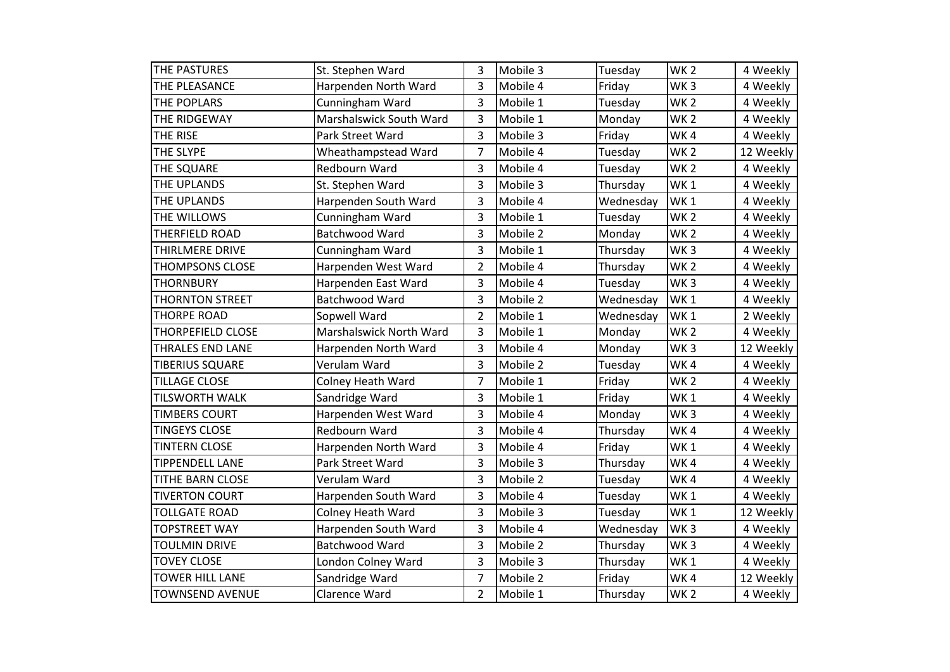| THE PASTURES             | St. Stephen Ward         | 3              | Mobile 3 | Tuesday   | WK <sub>2</sub> | 4 Weekly  |
|--------------------------|--------------------------|----------------|----------|-----------|-----------------|-----------|
| THE PLEASANCE            | Harpenden North Ward     | 3              | Mobile 4 | Friday    | WK <sub>3</sub> | 4 Weekly  |
| THE POPLARS              | Cunningham Ward          | 3              | Mobile 1 | Tuesday   | WK <sub>2</sub> | 4 Weekly  |
| THE RIDGEWAY             | Marshalswick South Ward  | 3              | Mobile 1 | Monday    | WK <sub>2</sub> | 4 Weekly  |
| THE RISE                 | Park Street Ward         | 3              | Mobile 3 | Friday    | WK4             | 4 Weekly  |
| THE SLYPE                | Wheathampstead Ward      | $\overline{7}$ | Mobile 4 | Tuesday   | WK <sub>2</sub> | 12 Weekly |
| THE SQUARE               | Redbourn Ward            | 3              | Mobile 4 | Tuesday   | WK <sub>2</sub> | 4 Weekly  |
| THE UPLANDS              | St. Stephen Ward         | 3              | Mobile 3 | Thursday  | WK <sub>1</sub> | 4 Weekly  |
| THE UPLANDS              | Harpenden South Ward     | 3              | Mobile 4 | Wednesday | WK <sub>1</sub> | 4 Weekly  |
| THE WILLOWS              | Cunningham Ward          | 3              | Mobile 1 | Tuesday   | WK <sub>2</sub> | 4 Weekly  |
| THERFIELD ROAD           | Batchwood Ward           | 3              | Mobile 2 | Monday    | WK <sub>2</sub> | 4 Weekly  |
| THIRLMERE DRIVE          | Cunningham Ward          | 3              | Mobile 1 | Thursday  | WK <sub>3</sub> | 4 Weekly  |
| <b>THOMPSONS CLOSE</b>   | Harpenden West Ward      | $\overline{2}$ | Mobile 4 | Thursday  | WK <sub>2</sub> | 4 Weekly  |
| <b>THORNBURY</b>         | Harpenden East Ward      | 3              | Mobile 4 | Tuesday   | WK <sub>3</sub> | 4 Weekly  |
| <b>THORNTON STREET</b>   | Batchwood Ward           | 3              | Mobile 2 | Wednesday | WK <sub>1</sub> | 4 Weekly  |
| <b>THORPE ROAD</b>       | Sopwell Ward             | $\overline{2}$ | Mobile 1 | Wednesday | WK <sub>1</sub> | 2 Weekly  |
| <b>THORPEFIELD CLOSE</b> | Marshalswick North Ward  | 3              | Mobile 1 | Monday    | WK <sub>2</sub> | 4 Weekly  |
| THRALES END LANE         | Harpenden North Ward     | 3              | Mobile 4 | Monday    | WK <sub>3</sub> | 12 Weekly |
| <b>TIBERIUS SQUARE</b>   | Verulam Ward             | 3              | Mobile 2 | Tuesday   | WK4             | 4 Weekly  |
| <b>TILLAGE CLOSE</b>     | Colney Heath Ward        | 7              | Mobile 1 | Friday    | WK <sub>2</sub> | 4 Weekly  |
| TILSWORTH WALK           | Sandridge Ward           | 3              | Mobile 1 | Friday    | WK1             | 4 Weekly  |
| <b>TIMBERS COURT</b>     | Harpenden West Ward      | 3              | Mobile 4 | Monday    | WK <sub>3</sub> | 4 Weekly  |
| <b>TINGEYS CLOSE</b>     | Redbourn Ward            | 3              | Mobile 4 | Thursday  | WK4             | 4 Weekly  |
| <b>TINTERN CLOSE</b>     | Harpenden North Ward     | 3              | Mobile 4 | Friday    | WK <sub>1</sub> | 4 Weekly  |
| <b>TIPPENDELL LANE</b>   | Park Street Ward         | 3              | Mobile 3 | Thursday  | WK4             | 4 Weekly  |
| TITHE BARN CLOSE         | Verulam Ward             | 3              | Mobile 2 | Tuesday   | WK4             | 4 Weekly  |
| <b>TIVERTON COURT</b>    | Harpenden South Ward     | 3              | Mobile 4 | Tuesday   | WK <sub>1</sub> | 4 Weekly  |
| <b>TOLLGATE ROAD</b>     | <b>Colney Heath Ward</b> | 3              | Mobile 3 | Tuesday   | WK <sub>1</sub> | 12 Weekly |
| <b>TOPSTREET WAY</b>     | Harpenden South Ward     | 3              | Mobile 4 | Wednesday | WK <sub>3</sub> | 4 Weekly  |
| <b>TOULMIN DRIVE</b>     | Batchwood Ward           | 3              | Mobile 2 | Thursday  | WK <sub>3</sub> | 4 Weekly  |
| <b>TOVEY CLOSE</b>       | London Colney Ward       | 3              | Mobile 3 | Thursday  | WK <sub>1</sub> | 4 Weekly  |
| <b>TOWER HILL LANE</b>   | Sandridge Ward           | 7              | Mobile 2 | Friday    | WK4             | 12 Weekly |
| <b>TOWNSEND AVENUE</b>   | Clarence Ward            | $\overline{2}$ | Mobile 1 | Thursday  | WK <sub>2</sub> | 4 Weekly  |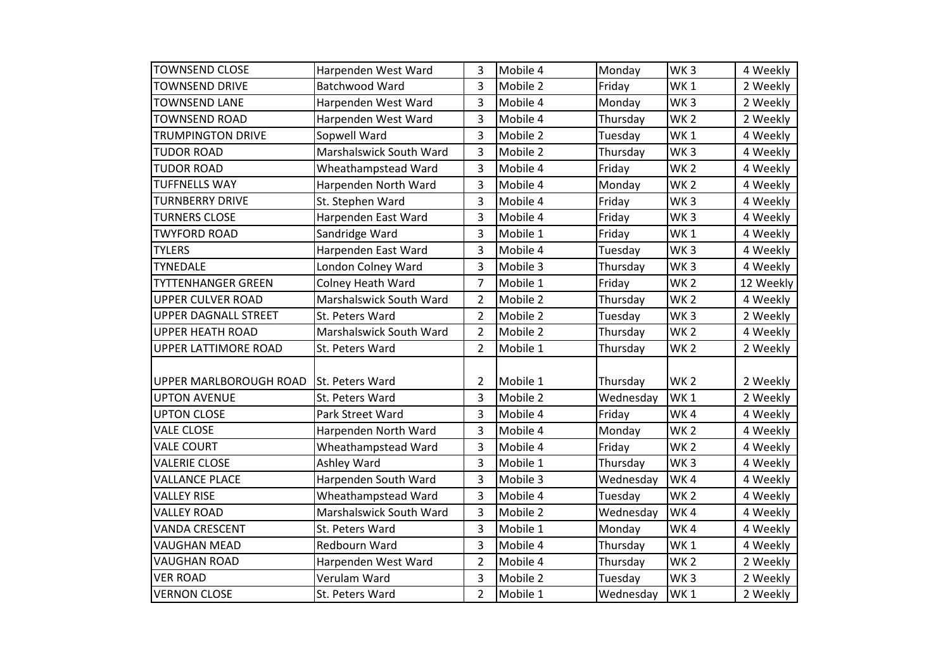| <b>TOWNSEND CLOSE</b>       | Harpenden West Ward      | 3              | Mobile 4 | Monday    | WK <sub>3</sub> | 4 Weekly  |
|-----------------------------|--------------------------|----------------|----------|-----------|-----------------|-----------|
| <b>TOWNSEND DRIVE</b>       | <b>Batchwood Ward</b>    | 3              | Mobile 2 | Friday    | WK <sub>1</sub> | 2 Weekly  |
| <b>TOWNSEND LANE</b>        | Harpenden West Ward      | 3              | Mobile 4 | Monday    | WK <sub>3</sub> | 2 Weekly  |
| <b>TOWNSEND ROAD</b>        | Harpenden West Ward      | 3              | Mobile 4 | Thursday  | WK <sub>2</sub> | 2 Weekly  |
| <b>TRUMPINGTON DRIVE</b>    | Sopwell Ward             | 3              | Mobile 2 | Tuesday   | WK <sub>1</sub> | 4 Weekly  |
| <b>TUDOR ROAD</b>           | Marshalswick South Ward  | 3              | Mobile 2 | Thursday  | WK <sub>3</sub> | 4 Weekly  |
| <b>TUDOR ROAD</b>           | Wheathampstead Ward      | 3              | Mobile 4 | Friday    | WK <sub>2</sub> | 4 Weekly  |
| <b>TUFFNELLS WAY</b>        | Harpenden North Ward     | 3              | Mobile 4 | Monday    | WK <sub>2</sub> | 4 Weekly  |
| <b>TURNBERRY DRIVE</b>      | St. Stephen Ward         | 3              | Mobile 4 | Friday    | WK <sub>3</sub> | 4 Weekly  |
| <b>TURNERS CLOSE</b>        | Harpenden East Ward      | 3              | Mobile 4 | Friday    | WK <sub>3</sub> | 4 Weekly  |
| <b>TWYFORD ROAD</b>         | Sandridge Ward           | 3              | Mobile 1 | Friday    | WK1             | 4 Weekly  |
| <b>TYLERS</b>               | Harpenden East Ward      | 3              | Mobile 4 | Tuesday   | WK <sub>3</sub> | 4 Weekly  |
| <b>TYNEDALE</b>             | London Colney Ward       | 3              | Mobile 3 | Thursday  | WK <sub>3</sub> | 4 Weekly  |
| <b>TYTTENHANGER GREEN</b>   | <b>Colney Heath Ward</b> | $\overline{7}$ | Mobile 1 | Friday    | WK <sub>2</sub> | 12 Weekly |
| <b>UPPER CULVER ROAD</b>    | Marshalswick South Ward  | $\overline{2}$ | Mobile 2 | Thursday  | WK <sub>2</sub> | 4 Weekly  |
| <b>UPPER DAGNALL STREET</b> | St. Peters Ward          | $\overline{2}$ | Mobile 2 | Tuesday   | WK <sub>3</sub> | 2 Weekly  |
| <b>UPPER HEATH ROAD</b>     | Marshalswick South Ward  | $\overline{2}$ | Mobile 2 | Thursday  | WK <sub>2</sub> | 4 Weekly  |
| <b>UPPER LATTIMORE ROAD</b> | St. Peters Ward          | $\overline{2}$ | Mobile 1 | Thursday  | WK <sub>2</sub> | 2 Weekly  |
|                             |                          |                |          |           |                 |           |
| UPPER MARLBOROUGH ROAD      | St. Peters Ward          | $\overline{2}$ | Mobile 1 | Thursday  | WK <sub>2</sub> | 2 Weekly  |
| <b>UPTON AVENUE</b>         | St. Peters Ward          | 3              | Mobile 2 | Wednesday | WK <sub>1</sub> | 2 Weekly  |
| <b>UPTON CLOSE</b>          | Park Street Ward         | 3              | Mobile 4 | Friday    | WK4             | 4 Weekly  |
| <b>VALE CLOSE</b>           | Harpenden North Ward     | 3              | Mobile 4 | Monday    | WK <sub>2</sub> | 4 Weekly  |
| <b>VALE COURT</b>           | Wheathampstead Ward      | 3              | Mobile 4 | Friday    | WK <sub>2</sub> | 4 Weekly  |
| <b>VALERIE CLOSE</b>        | Ashley Ward              | 3              | Mobile 1 | Thursday  | WK <sub>3</sub> | 4 Weekly  |
| <b>VALLANCE PLACE</b>       | Harpenden South Ward     | 3              | Mobile 3 | Wednesday | WK4             | 4 Weekly  |
| <b>VALLEY RISE</b>          | Wheathampstead Ward      | 3              | Mobile 4 | Tuesday   | WK <sub>2</sub> | 4 Weekly  |
| <b>VALLEY ROAD</b>          | Marshalswick South Ward  | 3              | Mobile 2 | Wednesday | WK4             | 4 Weekly  |
| <b>VANDA CRESCENT</b>       | St. Peters Ward          | 3              | Mobile 1 | Monday    | WK4             | 4 Weekly  |
| <b>VAUGHAN MEAD</b>         | Redbourn Ward            | 3              | Mobile 4 | Thursday  | WK <sub>1</sub> | 4 Weekly  |
| <b>VAUGHAN ROAD</b>         | Harpenden West Ward      | $\overline{2}$ | Mobile 4 | Thursday  | WK <sub>2</sub> | 2 Weekly  |
| <b>VER ROAD</b>             | Verulam Ward             | 3              | Mobile 2 | Tuesday   | WK <sub>3</sub> | 2 Weekly  |
| <b>VERNON CLOSE</b>         | St. Peters Ward          | $\overline{2}$ | Mobile 1 | Wednesday | WK <sub>1</sub> | 2 Weekly  |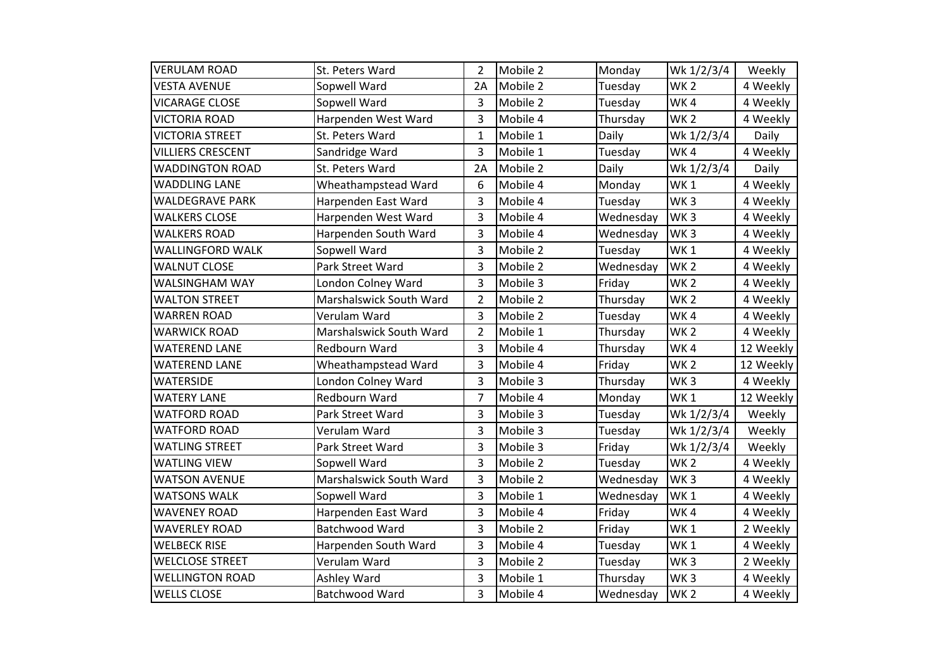| <b>VERULAM ROAD</b>      | St. Peters Ward         | 2              | Mobile 2 | Monday    | Wk 1/2/3/4      | Weekly    |
|--------------------------|-------------------------|----------------|----------|-----------|-----------------|-----------|
| <b>VESTA AVENUE</b>      | Sopwell Ward            | 2A             | Mobile 2 | Tuesday   | <b>WK2</b>      | 4 Weekly  |
| <b>VICARAGE CLOSE</b>    | Sopwell Ward            | 3              | Mobile 2 | Tuesday   | WK4             | 4 Weekly  |
| <b>VICTORIA ROAD</b>     | Harpenden West Ward     | 3              | Mobile 4 | Thursday  | <b>WK2</b>      | 4 Weekly  |
| <b>VICTORIA STREET</b>   | St. Peters Ward         | $\mathbf{1}$   | Mobile 1 | Daily     | Wk 1/2/3/4      | Daily     |
| <b>VILLIERS CRESCENT</b> | Sandridge Ward          | 3              | Mobile 1 | Tuesday   | WK4             | 4 Weekly  |
| <b>WADDINGTON ROAD</b>   | St. Peters Ward         | 2A             | Mobile 2 | Daily     | Wk 1/2/3/4      | Daily     |
| <b>WADDLING LANE</b>     | Wheathampstead Ward     | 6              | Mobile 4 | Monday    | <b>WK1</b>      | 4 Weekly  |
| <b>WALDEGRAVE PARK</b>   | Harpenden East Ward     | 3              | Mobile 4 | Tuesday   | WK <sub>3</sub> | 4 Weekly  |
| <b>WALKERS CLOSE</b>     | Harpenden West Ward     | 3              | Mobile 4 | Wednesday | WK <sub>3</sub> | 4 Weekly  |
| <b>WALKERS ROAD</b>      | Harpenden South Ward    | 3              | Mobile 4 | Wednesday | WK <sub>3</sub> | 4 Weekly  |
| <b>WALLINGFORD WALK</b>  | Sopwell Ward            | 3              | Mobile 2 | Tuesday   | WK <sub>1</sub> | 4 Weekly  |
| <b>WALNUT CLOSE</b>      | Park Street Ward        | 3              | Mobile 2 | Wednesday | WK <sub>2</sub> | 4 Weekly  |
| <b>WALSINGHAM WAY</b>    | London Colney Ward      | 3              | Mobile 3 | Friday    | <b>WK2</b>      | 4 Weekly  |
| <b>WALTON STREET</b>     | Marshalswick South Ward | $\overline{2}$ | Mobile 2 | Thursday  | <b>WK2</b>      | 4 Weekly  |
| <b>WARREN ROAD</b>       | Verulam Ward            | 3              | Mobile 2 | Tuesday   | WK4             | 4 Weekly  |
| <b>WARWICK ROAD</b>      | Marshalswick South Ward | $\overline{2}$ | Mobile 1 | Thursday  | <b>WK2</b>      | 4 Weekly  |
| <b>WATEREND LANE</b>     | Redbourn Ward           | 3              | Mobile 4 | Thursday  | WK4             | 12 Weekly |
| <b>WATEREND LANE</b>     | Wheathampstead Ward     | 3              | Mobile 4 | Friday    | <b>WK2</b>      | 12 Weekly |
| <b>WATERSIDE</b>         | London Colney Ward      | 3              | Mobile 3 | Thursday  | WK <sub>3</sub> | 4 Weekly  |
| <b>WATERY LANE</b>       | Redbourn Ward           | $\overline{7}$ | Mobile 4 | Monday    | <b>WK1</b>      | 12 Weekly |
| <b>WATFORD ROAD</b>      | Park Street Ward        | 3              | Mobile 3 | Tuesday   | Wk 1/2/3/4      | Weekly    |
| <b>WATFORD ROAD</b>      | Verulam Ward            | 3              | Mobile 3 | Tuesday   | Wk 1/2/3/4      | Weekly    |
| <b>WATLING STREET</b>    | Park Street Ward        | 3              | Mobile 3 | Friday    | Wk 1/2/3/4      | Weekly    |
| <b>WATLING VIEW</b>      | Sopwell Ward            | 3              | Mobile 2 | Tuesday   | <b>WK2</b>      | 4 Weekly  |
| <b>WATSON AVENUE</b>     | Marshalswick South Ward | 3              | Mobile 2 | Wednesday | WK <sub>3</sub> | 4 Weekly  |
| <b>WATSONS WALK</b>      | Sopwell Ward            | 3              | Mobile 1 | Wednesday | WK <sub>1</sub> | 4 Weekly  |
| <b>WAVENEY ROAD</b>      | Harpenden East Ward     | 3              | Mobile 4 | Friday    | WK4             | 4 Weekly  |
| <b>WAVERLEY ROAD</b>     | Batchwood Ward          | 3              | Mobile 2 | Friday    | WK <sub>1</sub> | 2 Weekly  |
| <b>WELBECK RISE</b>      | Harpenden South Ward    | 3              | Mobile 4 | Tuesday   | <b>WK1</b>      | 4 Weekly  |
| <b>WELCLOSE STREET</b>   | Verulam Ward            | 3              | Mobile 2 | Tuesday   | WK <sub>3</sub> | 2 Weekly  |
| <b>WELLINGTON ROAD</b>   | Ashley Ward             | 3              | Mobile 1 | Thursday  | WK <sub>3</sub> | 4 Weekly  |
| <b>WELLS CLOSE</b>       | Batchwood Ward          | 3              | Mobile 4 | Wednesday | WK <sub>2</sub> | 4 Weekly  |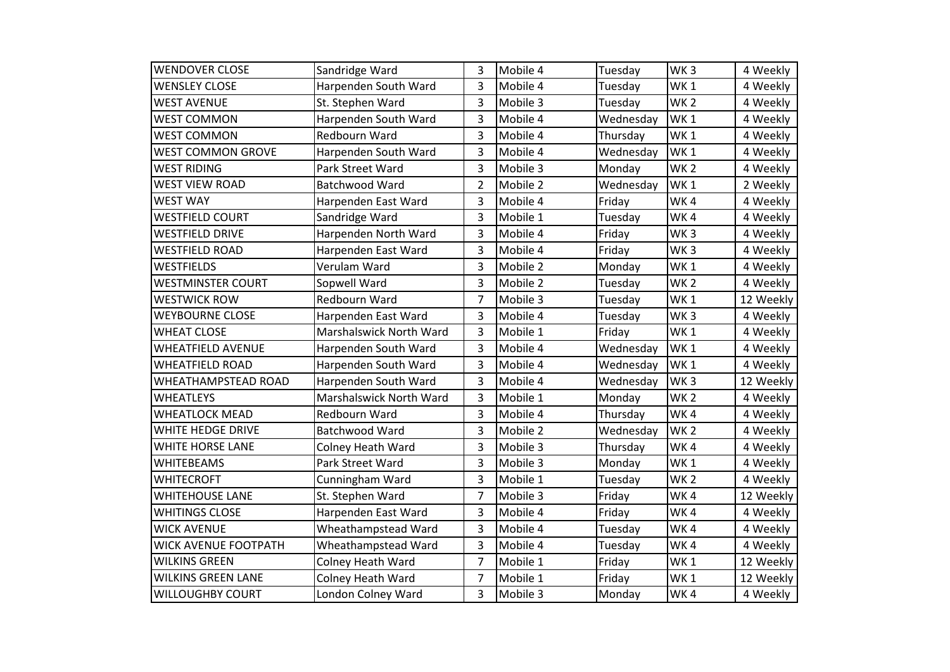| <b>WENDOVER CLOSE</b>       | Sandridge Ward          | 3              | Mobile 4 | Tuesday   | WK <sub>3</sub> | 4 Weekly  |
|-----------------------------|-------------------------|----------------|----------|-----------|-----------------|-----------|
| <b>WENSLEY CLOSE</b>        | Harpenden South Ward    | 3              | Mobile 4 | Tuesday   | WK <sub>1</sub> | 4 Weekly  |
| <b>WEST AVENUE</b>          | St. Stephen Ward        | 3              | Mobile 3 | Tuesday   | WK <sub>2</sub> | 4 Weekly  |
| <b>WEST COMMON</b>          | Harpenden South Ward    | 3              | Mobile 4 | Wednesday | WK <sub>1</sub> | 4 Weekly  |
| <b>WEST COMMON</b>          | Redbourn Ward           | 3              | Mobile 4 | Thursday  | WK <sub>1</sub> | 4 Weekly  |
| <b>WEST COMMON GROVE</b>    | Harpenden South Ward    | 3              | Mobile 4 | Wednesday | WK <sub>1</sub> | 4 Weekly  |
| <b>WEST RIDING</b>          | Park Street Ward        | 3              | Mobile 3 | Monday    | WK <sub>2</sub> | 4 Weekly  |
| <b>WEST VIEW ROAD</b>       | Batchwood Ward          | $\overline{2}$ | Mobile 2 | Wednesday | WK <sub>1</sub> | 2 Weekly  |
| <b>WEST WAY</b>             | Harpenden East Ward     | 3              | Mobile 4 | Friday    | WK4             | 4 Weekly  |
| <b>WESTFIELD COURT</b>      | Sandridge Ward          | 3              | Mobile 1 | Tuesday   | WK4             | 4 Weekly  |
| <b>WESTFIELD DRIVE</b>      | Harpenden North Ward    | 3              | Mobile 4 | Friday    | WK <sub>3</sub> | 4 Weekly  |
| <b>WESTFIELD ROAD</b>       | Harpenden East Ward     | 3              | Mobile 4 | Friday    | WK <sub>3</sub> | 4 Weekly  |
| <b>WESTFIELDS</b>           | Verulam Ward            | 3              | Mobile 2 | Monday    | WK <sub>1</sub> | 4 Weekly  |
| <b>WESTMINSTER COURT</b>    | Sopwell Ward            | 3              | Mobile 2 | Tuesday   | WK <sub>2</sub> | 4 Weekly  |
| <b>WESTWICK ROW</b>         | Redbourn Ward           | $\overline{7}$ | Mobile 3 | Tuesday   | WK <sub>1</sub> | 12 Weekly |
| <b>WEYBOURNE CLOSE</b>      | Harpenden East Ward     | 3              | Mobile 4 | Tuesday   | WK <sub>3</sub> | 4 Weekly  |
| <b>WHEAT CLOSE</b>          | Marshalswick North Ward | 3              | Mobile 1 | Friday    | WK <sub>1</sub> | 4 Weekly  |
| <b>WHEATFIELD AVENUE</b>    | Harpenden South Ward    | 3              | Mobile 4 | Wednesday | WK <sub>1</sub> | 4 Weekly  |
| <b>WHEATFIELD ROAD</b>      | Harpenden South Ward    | 3              | Mobile 4 | Wednesday | WK <sub>1</sub> | 4 Weekly  |
| WHEATHAMPSTEAD ROAD         | Harpenden South Ward    | 3              | Mobile 4 | Wednesday | WK <sub>3</sub> | 12 Weekly |
| <b>WHEATLEYS</b>            | Marshalswick North Ward | 3              | Mobile 1 | Monday    | WK <sub>2</sub> | 4 Weekly  |
| <b>WHEATLOCK MEAD</b>       | Redbourn Ward           | 3              | Mobile 4 | Thursday  | WK4             | 4 Weekly  |
| WHITE HEDGE DRIVE           | Batchwood Ward          | 3              | Mobile 2 | Wednesday | WK <sub>2</sub> | 4 Weekly  |
| WHITE HORSE LANE            | Colney Heath Ward       | 3              | Mobile 3 | Thursday  | WK4             | 4 Weekly  |
| <b>WHITEBEAMS</b>           | Park Street Ward        | 3              | Mobile 3 | Monday    | WK1             | 4 Weekly  |
| <b>WHITECROFT</b>           | Cunningham Ward         | 3              | Mobile 1 | Tuesday   | WK <sub>2</sub> | 4 Weekly  |
| <b>WHITEHOUSE LANE</b>      | St. Stephen Ward        | $\overline{7}$ | Mobile 3 | Friday    | WK4             | 12 Weekly |
| <b>WHITINGS CLOSE</b>       | Harpenden East Ward     | 3              | Mobile 4 | Friday    | WK4             | 4 Weekly  |
| <b>WICK AVENUE</b>          | Wheathampstead Ward     | 3              | Mobile 4 | Tuesday   | WK4             | 4 Weekly  |
| <b>WICK AVENUE FOOTPATH</b> | Wheathampstead Ward     | 3              | Mobile 4 | Tuesday   | WK4             | 4 Weekly  |
| <b>WILKINS GREEN</b>        | Colney Heath Ward       | $\overline{7}$ | Mobile 1 | Friday    | WK <sub>1</sub> | 12 Weekly |
| <b>WILKINS GREEN LANE</b>   | Colney Heath Ward       | 7              | Mobile 1 | Friday    | WK <sub>1</sub> | 12 Weekly |
| <b>WILLOUGHBY COURT</b>     | London Colney Ward      | 3              | Mobile 3 | Monday    | WK4             | 4 Weekly  |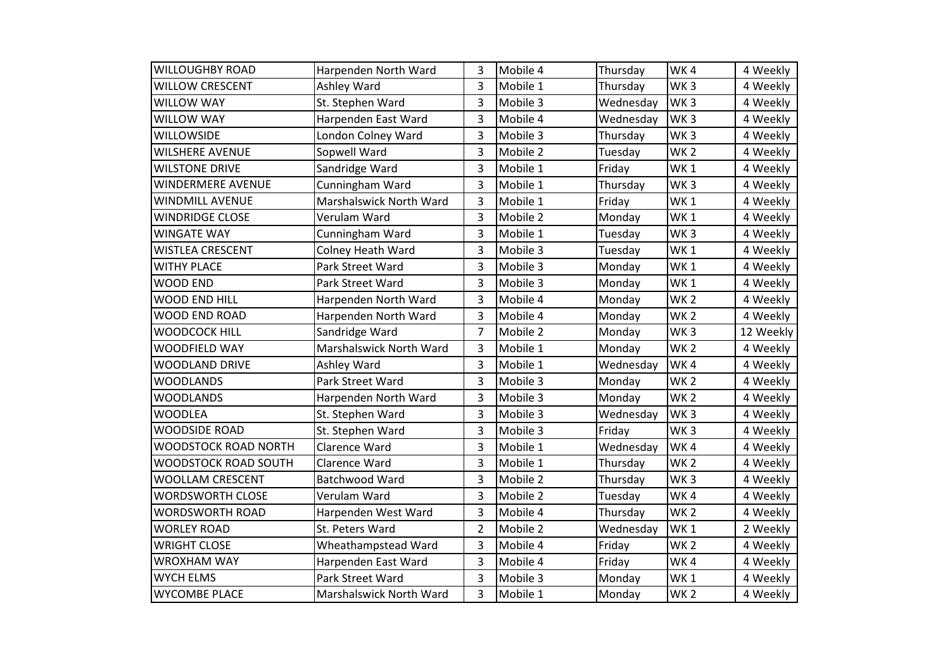| <b>WILLOUGHBY ROAD</b>  | Harpenden North Ward    | 3              | Mobile 4 | Thursday  | WK4             | 4 Weekly  |
|-------------------------|-------------------------|----------------|----------|-----------|-----------------|-----------|
| <b>WILLOW CRESCENT</b>  | Ashley Ward             | 3              | Mobile 1 | Thursday  | WK <sub>3</sub> | 4 Weekly  |
| WILLOW WAY              | St. Stephen Ward        | 3              | Mobile 3 | Wednesday | WK <sub>3</sub> | 4 Weekly  |
| <b>WILLOW WAY</b>       | Harpenden East Ward     | 3              | Mobile 4 | Wednesday | WK <sub>3</sub> | 4 Weekly  |
| <b>WILLOWSIDE</b>       | London Colney Ward      | 3              | Mobile 3 | Thursday  | WK <sub>3</sub> | 4 Weekly  |
| <b>WILSHERE AVENUE</b>  | Sopwell Ward            | 3              | Mobile 2 | Tuesday   | WK <sub>2</sub> | 4 Weekly  |
| <b>WILSTONE DRIVE</b>   | Sandridge Ward          | 3              | Mobile 1 | Friday    | WK <sub>1</sub> | 4 Weekly  |
| WINDERMERE AVENUE       | Cunningham Ward         | 3              | Mobile 1 | Thursday  | WK <sub>3</sub> | 4 Weekly  |
| WINDMILL AVENUE         | Marshalswick North Ward | 3              | Mobile 1 | Friday    | WK <sub>1</sub> | 4 Weekly  |
| <b>WINDRIDGE CLOSE</b>  | Verulam Ward            | 3              | Mobile 2 | Monday    | WK <sub>1</sub> | 4 Weekly  |
| <b>WINGATE WAY</b>      | Cunningham Ward         | 3              | Mobile 1 | Tuesday   | WK <sub>3</sub> | 4 Weekly  |
| <b>WISTLEA CRESCENT</b> | Colney Heath Ward       | 3              | Mobile 3 | Tuesday   | WK <sub>1</sub> | 4 Weekly  |
| <b>WITHY PLACE</b>      | Park Street Ward        | 3              | Mobile 3 | Monday    | WK <sub>1</sub> | 4 Weekly  |
| <b>WOOD END</b>         | Park Street Ward        | 3              | Mobile 3 | Monday    | WK <sub>1</sub> | 4 Weekly  |
| WOOD END HILL           | Harpenden North Ward    | 3              | Mobile 4 | Monday    | WK <sub>2</sub> | 4 Weekly  |
| WOOD END ROAD           | Harpenden North Ward    | 3              | Mobile 4 | Monday    | WK <sub>2</sub> | 4 Weekly  |
| <b>WOODCOCK HILL</b>    | Sandridge Ward          | $\overline{7}$ | Mobile 2 | Monday    | WK <sub>3</sub> | 12 Weekly |
| WOODFIELD WAY           | Marshalswick North Ward | 3              | Mobile 1 | Monday    | WK <sub>2</sub> | 4 Weekly  |
| <b>WOODLAND DRIVE</b>   | Ashley Ward             | 3              | Mobile 1 | Wednesday | WK4             | 4 Weekly  |
| <b>WOODLANDS</b>        | Park Street Ward        | 3              | Mobile 3 | Monday    | WK <sub>2</sub> | 4 Weekly  |
| <b>WOODLANDS</b>        | Harpenden North Ward    | 3              | Mobile 3 | Monday    | WK <sub>2</sub> | 4 Weekly  |
| <b>WOODLEA</b>          | St. Stephen Ward        | 3              | Mobile 3 | Wednesday | WK <sub>3</sub> | 4 Weekly  |
| <b>WOODSIDE ROAD</b>    | St. Stephen Ward        | 3              | Mobile 3 | Friday    | WK <sub>3</sub> | 4 Weekly  |
| WOODSTOCK ROAD NORTH    | Clarence Ward           | 3              | Mobile 1 | Wednesday | WK4             | 4 Weekly  |
| WOODSTOCK ROAD SOUTH    | Clarence Ward           | 3              | Mobile 1 | Thursday  | WK <sub>2</sub> | 4 Weekly  |
| WOOLLAM CRESCENT        | <b>Batchwood Ward</b>   | 3              | Mobile 2 | Thursday  | WK <sub>3</sub> | 4 Weekly  |
| <b>WORDSWORTH CLOSE</b> | Verulam Ward            | 3              | Mobile 2 | Tuesday   | WK4             | 4 Weekly  |
| WORDSWORTH ROAD         | Harpenden West Ward     | 3              | Mobile 4 | Thursday  | WK <sub>2</sub> | 4 Weekly  |
| <b>WORLEY ROAD</b>      | St. Peters Ward         | $\overline{2}$ | Mobile 2 | Wednesday | WK <sub>1</sub> | 2 Weekly  |
| <b>WRIGHT CLOSE</b>     | Wheathampstead Ward     | 3              | Mobile 4 | Friday    | WK <sub>2</sub> | 4 Weekly  |
| <b>WROXHAM WAY</b>      | Harpenden East Ward     | 3              | Mobile 4 | Friday    | WK4             | 4 Weekly  |
| <b>WYCH ELMS</b>        | Park Street Ward        | 3              | Mobile 3 | Monday    | WK <sub>1</sub> | 4 Weekly  |
| <b>WYCOMBE PLACE</b>    | Marshalswick North Ward | 3              | Mobile 1 | Monday    | WK <sub>2</sub> | 4 Weekly  |